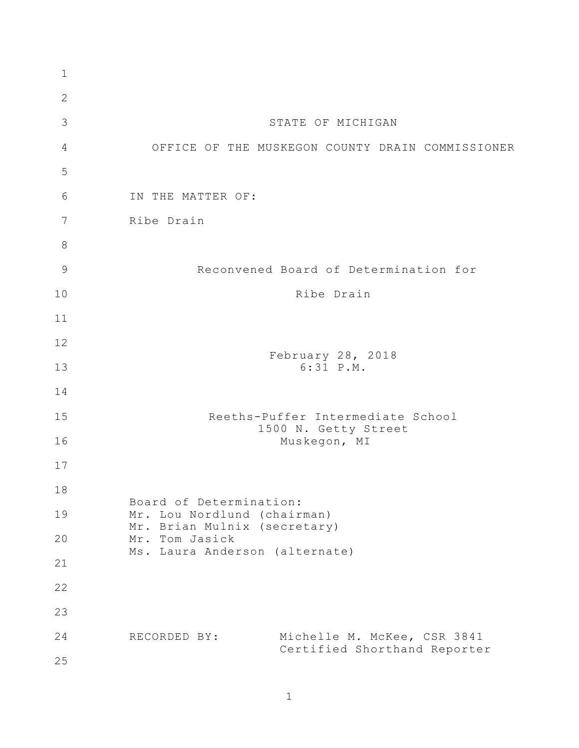| $\mathbf{1}$  |                                                                                                                                            |
|---------------|--------------------------------------------------------------------------------------------------------------------------------------------|
| $\mathbf{2}$  |                                                                                                                                            |
| 3             | STATE OF MICHIGAN                                                                                                                          |
| 4             | OFFICE OF THE MUSKEGON COUNTY DRAIN COMMISSIONER                                                                                           |
| 5             |                                                                                                                                            |
| 6             | IN THE MATTER OF:                                                                                                                          |
| 7             | Ribe Drain                                                                                                                                 |
| 8             |                                                                                                                                            |
| $\mathcal{G}$ | Reconvened Board of Determination for                                                                                                      |
| 10            | Ribe Drain                                                                                                                                 |
| 11            |                                                                                                                                            |
| 12            |                                                                                                                                            |
| 13            | February 28, 2018<br>$6:31$ $P.M.$                                                                                                         |
| 14            |                                                                                                                                            |
| 15            | Reeths-Puffer Intermediate School<br>1500 N. Getty Street<br>Muskegon, MI                                                                  |
| 16            |                                                                                                                                            |
| 17            |                                                                                                                                            |
| 18            | Board of Determination:<br>Mr. Lou Nordlund (chairman)<br>Mr. Brian Mulnix (secretary)<br>Mr. Tom Jasick<br>Ms. Laura Anderson (alternate) |
| 19            |                                                                                                                                            |
| 20            |                                                                                                                                            |
| 21            |                                                                                                                                            |
| 22            |                                                                                                                                            |
| 23            |                                                                                                                                            |
| 24            | Michelle M. McKee, CSR 3841<br>RECORDED BY:                                                                                                |
| 25            | Certified Shorthand Reporter                                                                                                               |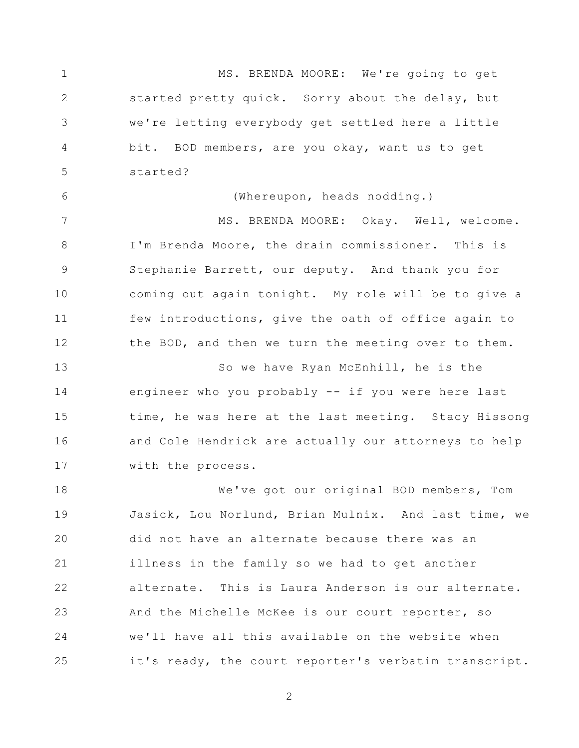1 2 3 4 5 6 7 8 9 10 11 12 13 14 15 16 17 18 19 20 21 22 23 24 25 MS. BRENDA MOORE: We're going to get started pretty quick. Sorry about the delay, but we're letting everybody get settled here a little bit. BOD members, are you okay, want us to get started? (Whereupon, heads nodding.) MS. BRENDA MOORE: Okay. Well, welcome. I'm Brenda Moore, the drain commissioner. This is Stephanie Barrett, our deputy. And thank you for coming out again tonight. My role will be to give a few introductions, give the oath of office again to the BOD, and then we turn the meeting over to them. So we have Ryan McEnhill, he is the engineer who you probably -- if you were here last time, he was here at the last meeting. Stacy Hissong and Cole Hendrick are actually our attorneys to help with the process. We've got our original BOD members, Tom Jasick, Lou Norlund, Brian Mulnix. And last time, we did not have an alternate because there was an illness in the family so we had to get another alternate. This is Laura Anderson is our alternate. And the Michelle McKee is our court reporter, so we'll have all this available on the website when it's ready, the court reporter's verbatim transcript.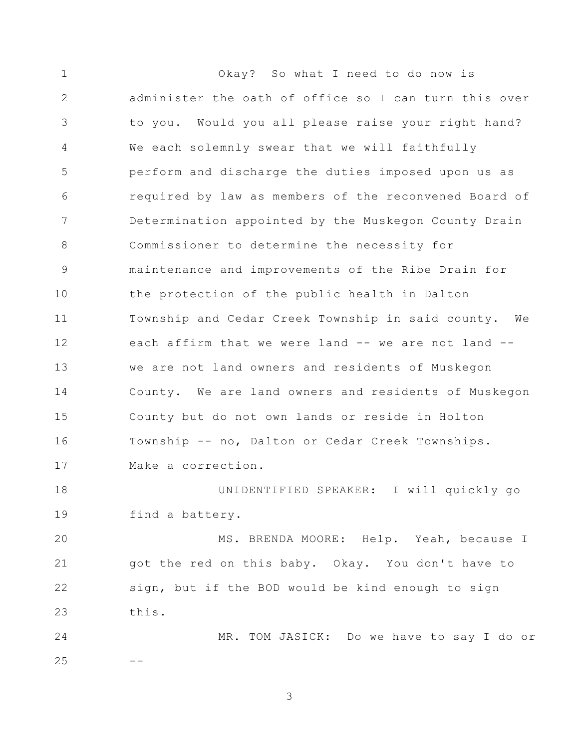1 2 3 4 5 6 7 8 9 10 11 12 13 14 15 16 17 18 19 20 21 22 23 24 25 Okay? So what I need to do now is administer the oath of office so I can turn this over to you. Would you all please raise your right hand? We each solemnly swear that we will faithfully perform and discharge the duties imposed upon us as required by law as members of the reconvened Board of Determination appointed by the Muskegon County Drain Commissioner to determine the necessity for maintenance and improvements of the Ribe Drain for the protection of the public health in Dalton Township and Cedar Creek Township in said county. We each affirm that we were land -- we are not land -we are not land owners and residents of Muskegon County. We are land owners and residents of Muskegon County but do not own lands or reside in Holton Township -- no, Dalton or Cedar Creek Townships. Make a correction. UNIDENTIFIED SPEAKER: I will quickly go find a battery. MS. BRENDA MOORE: Help. Yeah, because I got the red on this baby. Okay. You don't have to sign, but if the BOD would be kind enough to sign this. MR. TOM JASICK: Do we have to say I do or --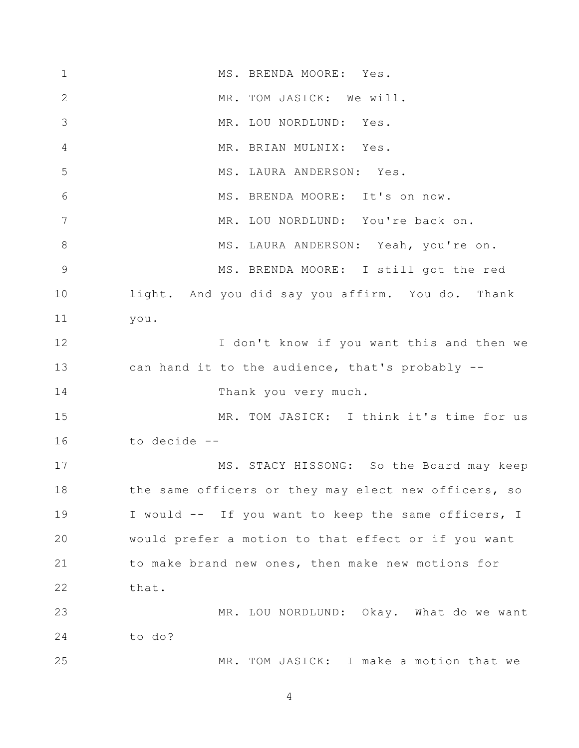1 2 3 4 5 6 7 8 9 10 11 12 13 14 15 16 17 18 19 20 21 22 23 24 25 MS. BRENDA MOORE: Yes. MR. TOM JASICK: We will. MR. LOU NORDLUND: Yes. MR. BRIAN MULNIX: Yes. MS. LAURA ANDERSON: Yes. MS. BRENDA MOORE: It's on now. MR. LOU NORDLUND: You're back on. MS. LAURA ANDERSON: Yeah, you're on. MS. BRENDA MOORE: I still got the red light. And you did say you affirm. You do. Thank you. I don't know if you want this and then we can hand it to the audience, that's probably -- Thank you very much. MR. TOM JASICK: I think it's time for us to decide -- MS. STACY HISSONG: So the Board may keep the same officers or they may elect new officers, so I would -- If you want to keep the same officers, I would prefer a motion to that effect or if you want to make brand new ones, then make new motions for that. MR. LOU NORDLUND: Okay. What do we want to do? MR. TOM JASICK: I make a motion that we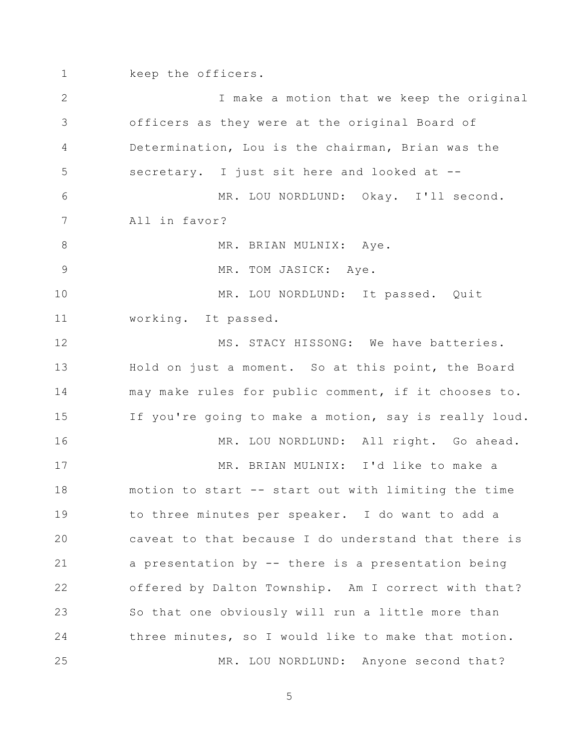1 2 3 4 5 6 7 8 9 10 11 12 13 14 15 16 17 18 19 20 21 22 23 24 25 keep the officers. I make a motion that we keep the original officers as they were at the original Board of Determination, Lou is the chairman, Brian was the secretary. I just sit here and looked at --MR. LOU NORDLUND: Okay. I'll second. All in favor? MR. BRIAN MULNIX: Aye. MR. TOM JASICK: Aye. MR. LOU NORDLUND: It passed. Quit working. It passed. MS. STACY HISSONG: We have batteries. Hold on just a moment. So at this point, the Board may make rules for public comment, if it chooses to. If you're going to make a motion, say is really loud. MR. LOU NORDLUND: All right. Go ahead. MR. BRIAN MULNIX: I'd like to make a motion to start -- start out with limiting the time to three minutes per speaker. I do want to add a caveat to that because I do understand that there is a presentation by -- there is a presentation being offered by Dalton Township. Am I correct with that? So that one obviously will run a little more than three minutes, so I would like to make that motion. MR. LOU NORDLUND: Anyone second that?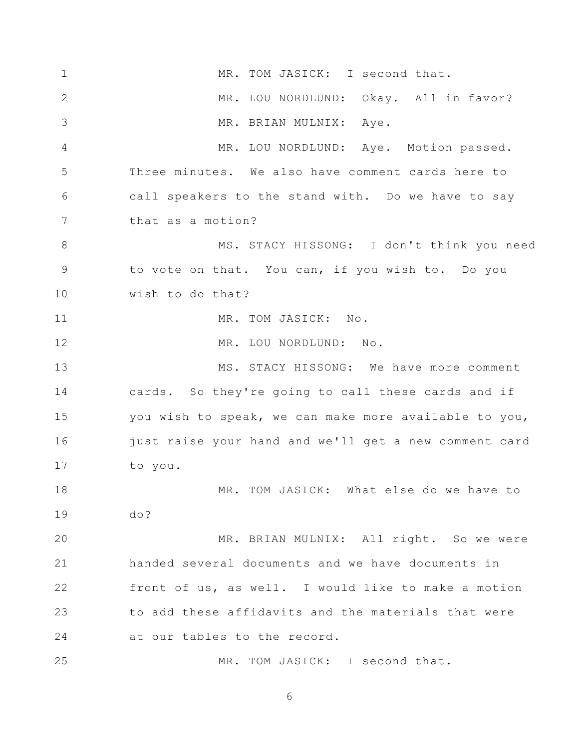1 2 3 4 5 6 7 8 9 10 11 12 13 14 15 16 17 18 19 20 21 22 23 24 25 MR. TOM JASICK: I second that. MR. LOU NORDLUND: Okay. All in favor? MR. BRIAN MULNIX: Aye. MR. LOU NORDLUND: Aye. Motion passed. Three minutes. We also have comment cards here to call speakers to the stand with. Do we have to say that as a motion? MS. STACY HISSONG: I don't think you need to vote on that. You can, if you wish to. Do you wish to do that? MR. TOM JASICK: No. MR. LOU NORDLUND: No. MS. STACY HISSONG: We have more comment cards. So they're going to call these cards and if you wish to speak, we can make more available to you, just raise your hand and we'll get a new comment card to you. MR. TOM JASICK: What else do we have to do? MR. BRIAN MULNIX: All right. So we were handed several documents and we have documents in front of us, as well. I would like to make a motion to add these affidavits and the materials that were at our tables to the record. MR. TOM JASICK: I second that.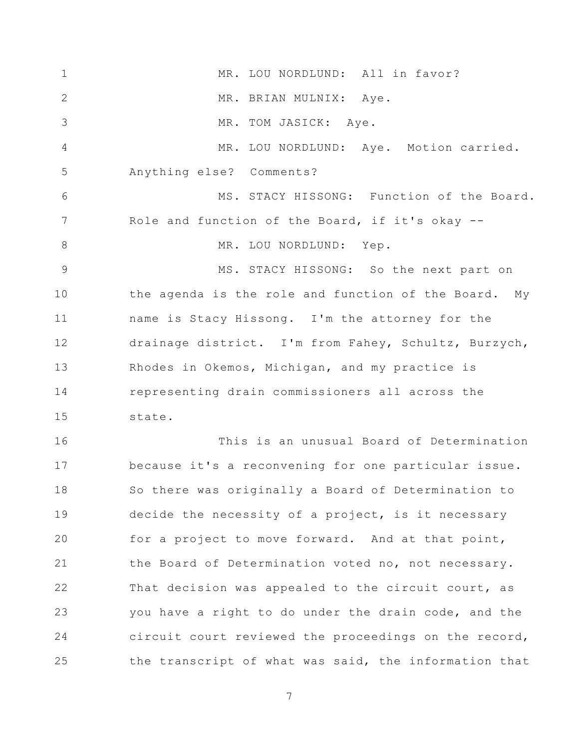1 2 3 4 5 6 7 8 9 10 11 12 13 14 15 16 17 18 19 20 21 22 23 24 25 MR. LOU NORDLUND: All in favor? MR. BRIAN MULNIX: Aye. MR. TOM JASICK: Aye. MR. LOU NORDLUND: Aye. Motion carried. Anything else? Comments? MS. STACY HISSONG: Function of the Board. Role and function of the Board, if it's okay -- MR. LOU NORDLUND: Yep. MS. STACY HISSONG: So the next part on the agenda is the role and function of the Board. My name is Stacy Hissong. I'm the attorney for the drainage district. I'm from Fahey, Schultz, Burzych, Rhodes in Okemos, Michigan, and my practice is representing drain commissioners all across the state. This is an unusual Board of Determination because it's a reconvening for one particular issue. So there was originally a Board of Determination to decide the necessity of a project, is it necessary for a project to move forward. And at that point, the Board of Determination voted no, not necessary. That decision was appealed to the circuit court, as you have a right to do under the drain code, and the circuit court reviewed the proceedings on the record, the transcript of what was said, the information that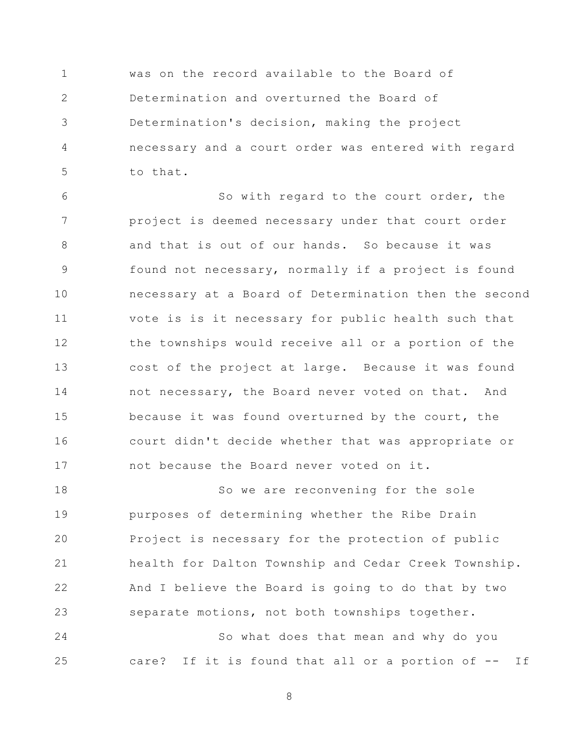1 2 3 4 5 was on the record available to the Board of Determination and overturned the Board of Determination's decision, making the project necessary and a court order was entered with regard to that.

6 7 8 9 10 11 12 13 14 15 16 17 So with regard to the court order, the project is deemed necessary under that court order and that is out of our hands. So because it was found not necessary, normally if a project is found necessary at a Board of Determination then the second vote is is it necessary for public health such that the townships would receive all or a portion of the cost of the project at large. Because it was found not necessary, the Board never voted on that. And because it was found overturned by the court, the court didn't decide whether that was appropriate or not because the Board never voted on it.

18 19 20 21 22 23 So we are reconvening for the sole purposes of determining whether the Ribe Drain Project is necessary for the protection of public health for Dalton Township and Cedar Creek Township. And I believe the Board is going to do that by two separate motions, not both townships together.

24 25 So what does that mean and why do you care? If it is found that all or a portion of -- If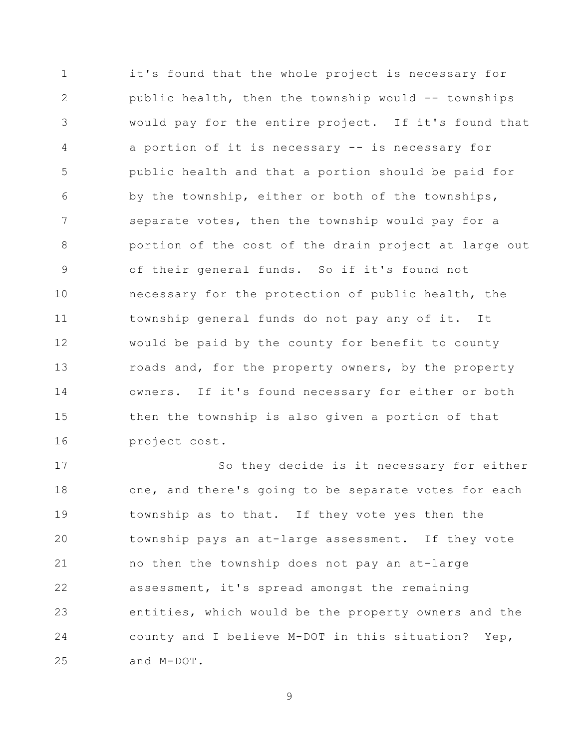1 2 3 4 5 6 7 8 9 10 11 12 13 14 15 16 it's found that the whole project is necessary for public health, then the township would -- townships would pay for the entire project. If it's found that a portion of it is necessary -- is necessary for public health and that a portion should be paid for by the township, either or both of the townships, separate votes, then the township would pay for a portion of the cost of the drain project at large out of their general funds. So if it's found not necessary for the protection of public health, the township general funds do not pay any of it. It would be paid by the county for benefit to county roads and, for the property owners, by the property owners. If it's found necessary for either or both then the township is also given a portion of that project cost.

17 18 19 20 21 22 23 24 25 So they decide is it necessary for either one, and there's going to be separate votes for each township as to that. If they vote yes then the township pays an at-large assessment. If they vote no then the township does not pay an at-large assessment, it's spread amongst the remaining entities, which would be the property owners and the county and I believe M-DOT in this situation? Yep, and M-DOT.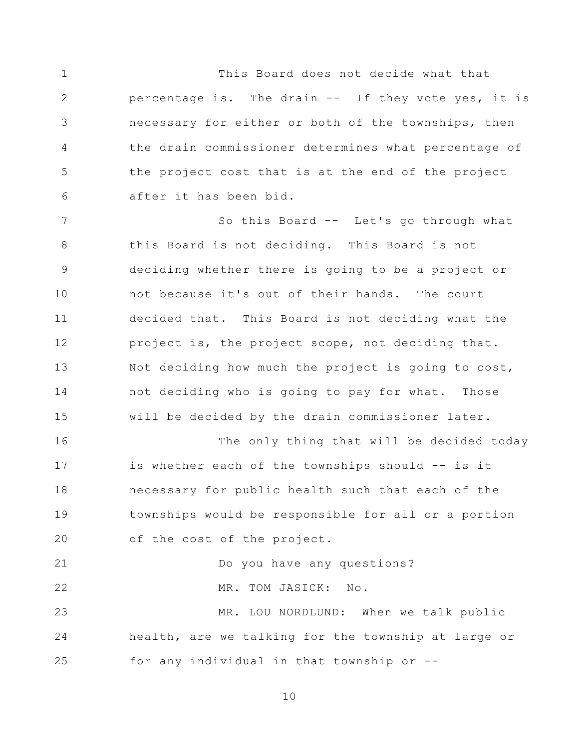1 2 3 4 5 6 This Board does not decide what that percentage is. The drain -- If they vote yes, it is necessary for either or both of the townships, then the drain commissioner determines what percentage of the project cost that is at the end of the project after it has been bid.

7 8 9 10 11 12 13 14 15 16 So this Board -- Let's go through what this Board is not deciding. This Board is not deciding whether there is going to be a project or not because it's out of their hands. The court decided that. This Board is not deciding what the project is, the project scope, not deciding that. Not deciding how much the project is going to cost, not deciding who is going to pay for what. Those will be decided by the drain commissioner later. The only thing that will be decided today

17 18 19 20 is whether each of the townships should -- is it necessary for public health such that each of the townships would be responsible for all or a portion of the cost of the project.

21 22 23 24 25 Do you have any questions? MR. TOM JASICK: No. MR. LOU NORDLUND: When we talk public health, are we talking for the township at large or for any individual in that township or --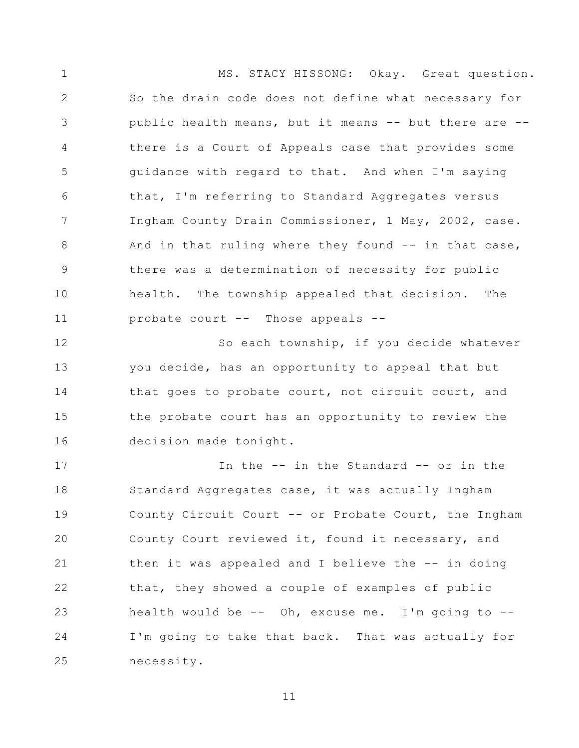1 2 3 4 5 6 7 8 9 10 11 MS. STACY HISSONG: Okay. Great question. So the drain code does not define what necessary for public health means, but it means -- but there are - there is a Court of Appeals case that provides some guidance with regard to that. And when I'm saying that, I'm referring to Standard Aggregates versus Ingham County Drain Commissioner, 1 May, 2002, case. And in that ruling where they found -- in that case, there was a determination of necessity for public health. The township appealed that decision. The probate court -- Those appeals --

12 13 14 15 16 So each township, if you decide whatever you decide, has an opportunity to appeal that but that goes to probate court, not circuit court, and the probate court has an opportunity to review the decision made tonight.

17 18 19 20 21 22 23 24 25 In the -- in the Standard -- or in the Standard Aggregates case, it was actually Ingham County Circuit Court -- or Probate Court, the Ingham County Court reviewed it, found it necessary, and then it was appealed and I believe the -- in doing that, they showed a couple of examples of public health would be  $--$  Oh, excuse me. I'm going to  $--$ I'm going to take that back. That was actually for necessity.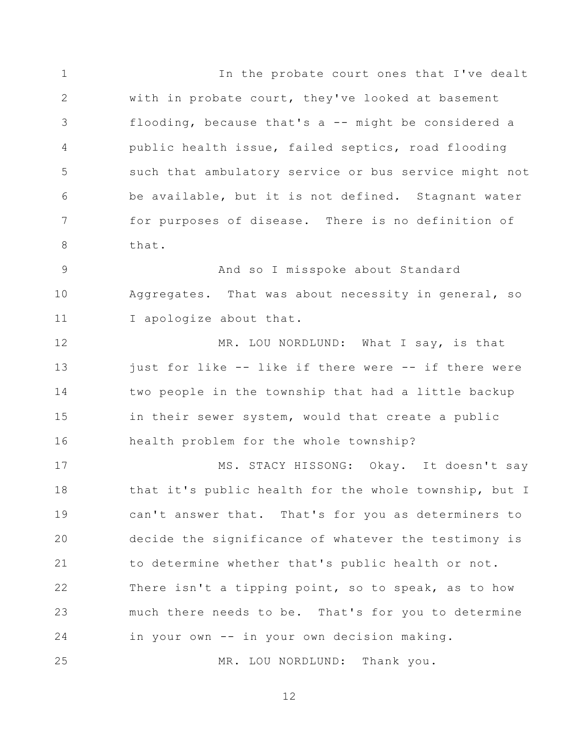1 2 3 4 5 6 7 8 In the probate court ones that I've dealt with in probate court, they've looked at basement flooding, because that's a -- might be considered a public health issue, failed septics, road flooding such that ambulatory service or bus service might not be available, but it is not defined. Stagnant water for purposes of disease. There is no definition of that.

9 10 11 And so I misspoke about Standard Aggregates. That was about necessity in general, so I apologize about that.

12 13 14 15 16 MR. LOU NORDLUND: What I say, is that just for like -- like if there were -- if there were two people in the township that had a little backup in their sewer system, would that create a public health problem for the whole township?

17 18 19 20 21 22 23 24 25 MS. STACY HISSONG: Okay. It doesn't say that it's public health for the whole township, but I can't answer that. That's for you as determiners to decide the significance of whatever the testimony is to determine whether that's public health or not. There isn't a tipping point, so to speak, as to how much there needs to be. That's for you to determine in your own -- in your own decision making. MR. LOU NORDLUND: Thank you.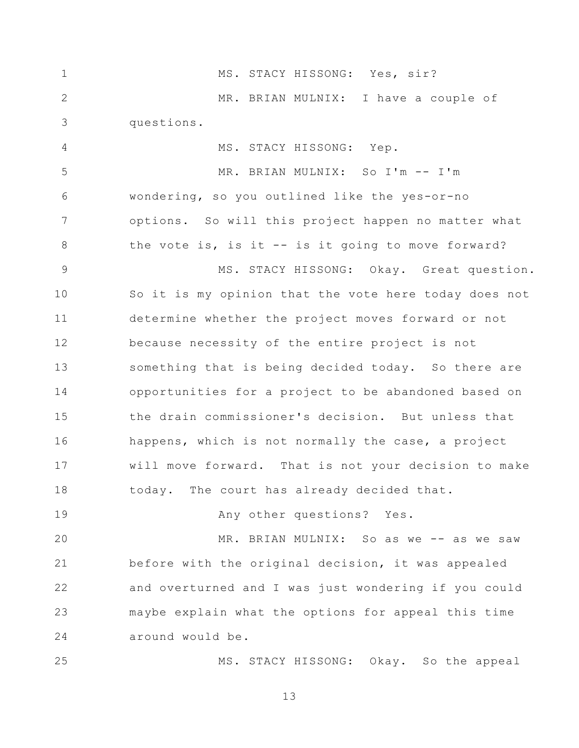| $\mathbf 1$ | MS. STACY HISSONG: Yes, sir?                          |
|-------------|-------------------------------------------------------|
| 2           | MR. BRIAN MULNIX: I have a couple of                  |
| 3           | questions.                                            |
| 4           | MS. STACY HISSONG: Yep.                               |
| 5           | MR. BRIAN MULNIX: So I'm -- I'm                       |
| $\epsilon$  | wondering, so you outlined like the yes-or-no         |
| 7           | options. So will this project happen no matter what   |
| 8           | the vote is, is it -- is it going to move forward?    |
| $\mathsf 9$ | MS. STACY HISSONG: Okay. Great question.              |
| 10          | So it is my opinion that the vote here today does not |
| 11          | determine whether the project moves forward or not    |
| 12          | because necessity of the entire project is not        |
| 13          | something that is being decided today. So there are   |
| 14          | opportunities for a project to be abandoned based on  |
| 15          | the drain commissioner's decision. But unless that    |
| 16          | happens, which is not normally the case, a project    |
| 17          | will move forward. That is not your decision to make  |
| 18          | today. The court has already decided that.            |
| 19          | Any other questions? Yes.                             |
| 20          | MR. BRIAN MULNIX: So as we -- as we saw               |
| 21          | before with the original decision, it was appealed    |
| 22          | and overturned and I was just wondering if you could  |
| 23          | maybe explain what the options for appeal this time   |
| 24          | around would be.                                      |
| 25          | MS. STACY HISSONG: Okay. So the appeal                |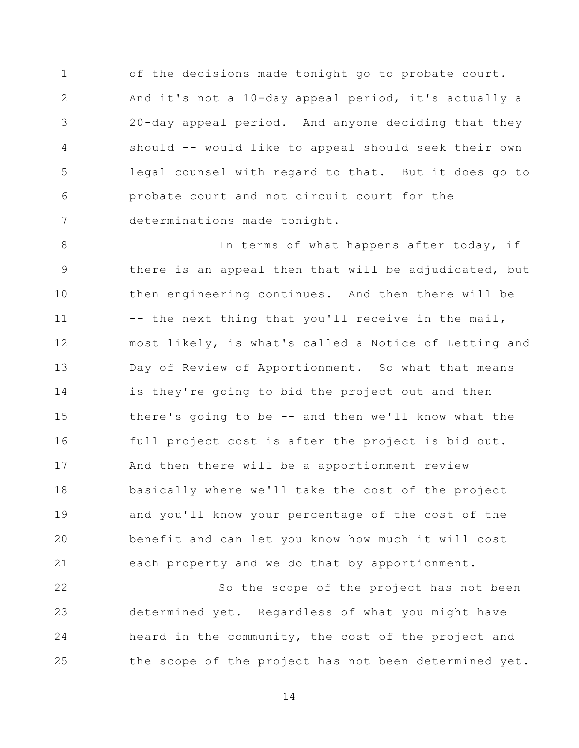1 2 3 4 5 6 7 of the decisions made tonight go to probate court. And it's not a 10-day appeal period, it's actually a 20-day appeal period. And anyone deciding that they should -- would like to appeal should seek their own legal counsel with regard to that. But it does go to probate court and not circuit court for the determinations made tonight.

8 9 10 11 12 13 14 15 16 17 18 19 20 21 In terms of what happens after today, if there is an appeal then that will be adjudicated, but then engineering continues. And then there will be -- the next thing that you'll receive in the mail, most likely, is what's called a Notice of Letting and Day of Review of Apportionment. So what that means is they're going to bid the project out and then there's going to be -- and then we'll know what the full project cost is after the project is bid out. And then there will be a apportionment review basically where we'll take the cost of the project and you'll know your percentage of the cost of the benefit and can let you know how much it will cost each property and we do that by apportionment.

22 23 24 25 So the scope of the project has not been determined yet. Regardless of what you might have heard in the community, the cost of the project and the scope of the project has not been determined yet.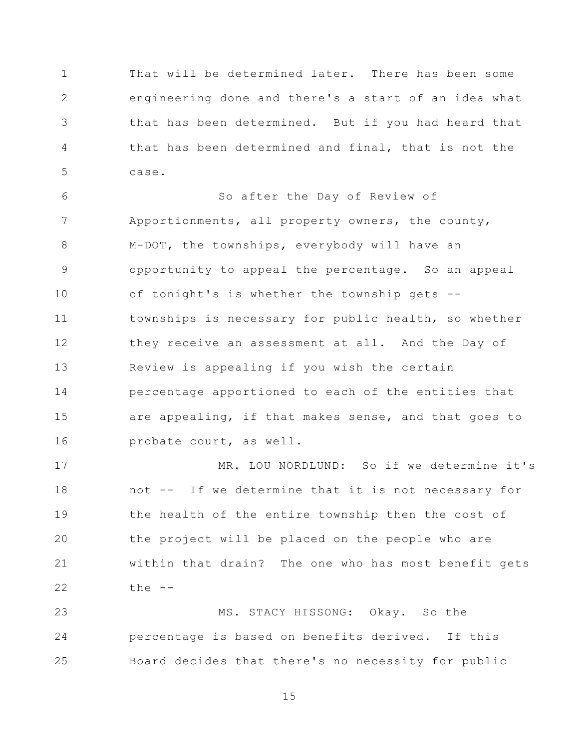1 2 3 4 5 That will be determined later. There has been some engineering done and there's a start of an idea what that has been determined. But if you had heard that that has been determined and final, that is not the case.

6 7 8 9 10 11 12 13 14 15 16 So after the Day of Review of Apportionments, all property owners, the county, M-DOT, the townships, everybody will have an opportunity to appeal the percentage. So an appeal of tonight's is whether the township gets - townships is necessary for public health, so whether they receive an assessment at all. And the Day of Review is appealing if you wish the certain percentage apportioned to each of the entities that are appealing, if that makes sense, and that goes to probate court, as well.

17 18 19 20 21 22 MR. LOU NORDLUND: So if we determine it's not -- If we determine that it is not necessary for the health of the entire township then the cost of the project will be placed on the people who are within that drain? The one who has most benefit gets the --

23 24 25 MS. STACY HISSONG: Okay. So the percentage is based on benefits derived. If this Board decides that there's no necessity for public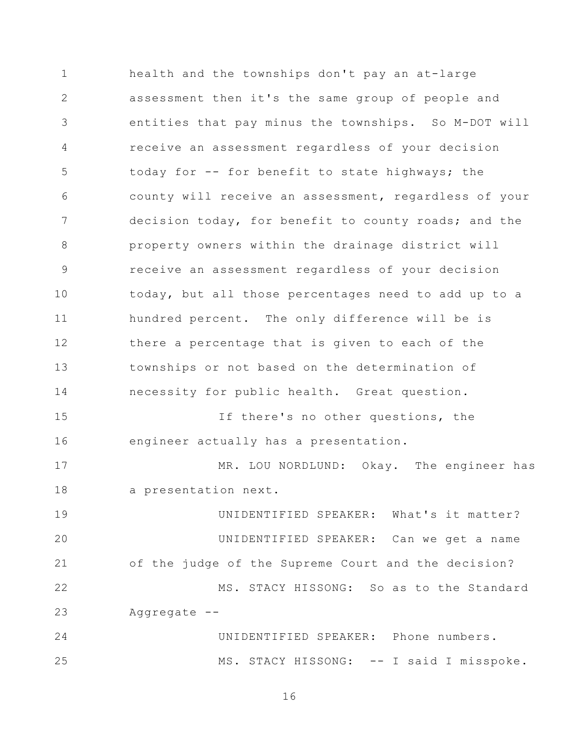1 2 3 4 5 6 7 8 9 10 11 12 13 14 15 16 17 18 19 20 21 22 23 24 25 health and the townships don't pay an at-large assessment then it's the same group of people and entities that pay minus the townships. So M-DOT will receive an assessment regardless of your decision today for -- for benefit to state highways; the county will receive an assessment, regardless of your decision today, for benefit to county roads; and the property owners within the drainage district will receive an assessment regardless of your decision today, but all those percentages need to add up to a hundred percent. The only difference will be is there a percentage that is given to each of the townships or not based on the determination of necessity for public health. Great question. If there's no other questions, the engineer actually has a presentation. MR. LOU NORDLUND: Okay. The engineer has a presentation next. UNIDENTIFIED SPEAKER: What's it matter? UNIDENTIFIED SPEAKER: Can we get a name of the judge of the Supreme Court and the decision? MS. STACY HISSONG: So as to the Standard Aggregate -- UNIDENTIFIED SPEAKER: Phone numbers. MS. STACY HISSONG: -- I said I misspoke.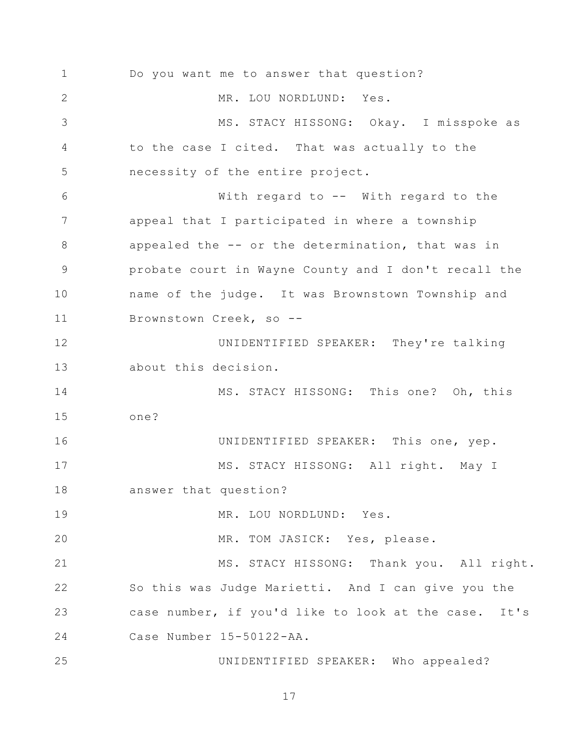1 2 3 4 5 6 7 8 9 10 11 12 13 14 15 16 17 18 19 20 21 22 23 24 25 Do you want me to answer that question? MR. LOU NORDLUND: Yes. MS. STACY HISSONG: Okay. I misspoke as to the case I cited. That was actually to the necessity of the entire project. With regard to -- With regard to the appeal that I participated in where a township appealed the -- or the determination, that was in probate court in Wayne County and I don't recall the name of the judge. It was Brownstown Township and Brownstown Creek, so -- UNIDENTIFIED SPEAKER: They're talking about this decision. MS. STACY HISSONG: This one? Oh, this one? UNIDENTIFIED SPEAKER: This one, yep. MS. STACY HISSONG: All right. May I answer that question? MR. LOU NORDLUND: Yes. MR. TOM JASICK: Yes, please. MS. STACY HISSONG: Thank you. All right. So this was Judge Marietti. And I can give you the case number, if you'd like to look at the case. It's Case Number 15-50122-AA. UNIDENTIFIED SPEAKER: Who appealed?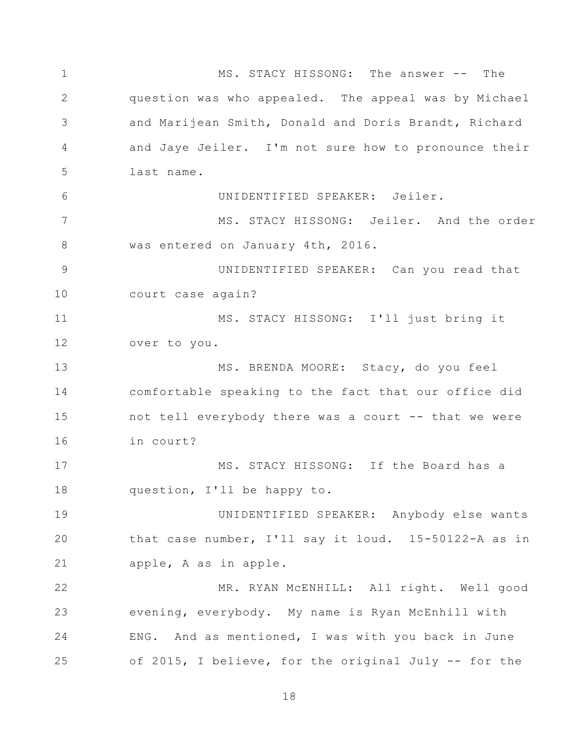1 2 3 4 5 6 7 8 9 10 11 12 13 14 15 16 17 18 19 20 21 22 23 24 25 MS. STACY HISSONG: The answer -- The question was who appealed. The appeal was by Michael and Marijean Smith, Donald and Doris Brandt, Richard and Jaye Jeiler. I'm not sure how to pronounce their last name. UNIDENTIFIED SPEAKER: Jeiler. MS. STACY HISSONG: Jeiler. And the order was entered on January 4th, 2016. UNIDENTIFIED SPEAKER: Can you read that court case again? MS. STACY HISSONG: I'll just bring it over to you. MS. BRENDA MOORE: Stacy, do you feel comfortable speaking to the fact that our office did not tell everybody there was a court -- that we were in court? MS. STACY HISSONG: If the Board has a question, I'll be happy to. UNIDENTIFIED SPEAKER: Anybody else wants that case number, I'll say it loud. 15-50122-A as in apple, A as in apple. MR. RYAN McENHILL: All right. Well good evening, everybody. My name is Ryan McEnhill with ENG. And as mentioned, I was with you back in June of 2015, I believe, for the original July -- for the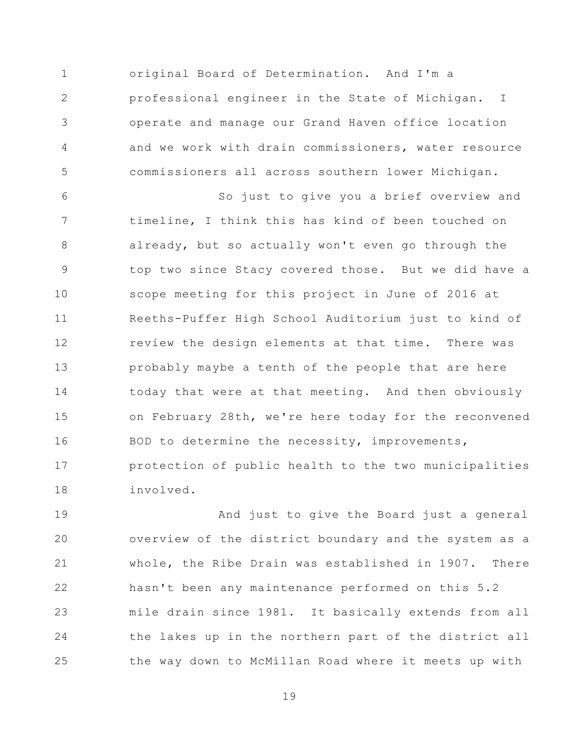1 2 3 4 5 original Board of Determination. And I'm a professional engineer in the State of Michigan. I operate and manage our Grand Haven office location and we work with drain commissioners, water resource commissioners all across southern lower Michigan.

6 7 8 9 10 11 12 13 14 15 16 17 18 So just to give you a brief overview and timeline, I think this has kind of been touched on already, but so actually won't even go through the top two since Stacy covered those. But we did have a scope meeting for this project in June of 2016 at Reeths-Puffer High School Auditorium just to kind of review the design elements at that time. There was probably maybe a tenth of the people that are here today that were at that meeting. And then obviously on February 28th, we're here today for the reconvened BOD to determine the necessity, improvements, protection of public health to the two municipalities involved.

19 20 21 22 23 24 25 And just to give the Board just a general overview of the district boundary and the system as a whole, the Ribe Drain was established in 1907. There hasn't been any maintenance performed on this 5.2 mile drain since 1981. It basically extends from all the lakes up in the northern part of the district all the way down to McMillan Road where it meets up with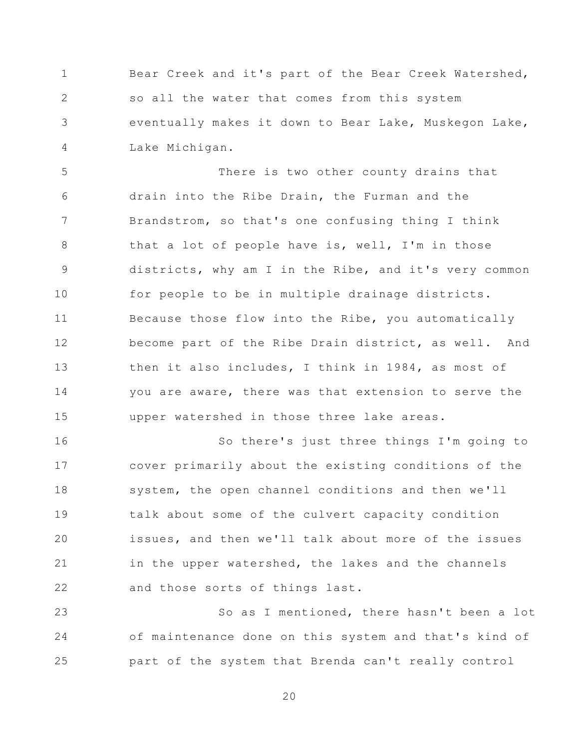1 2 3 4 Bear Creek and it's part of the Bear Creek Watershed, so all the water that comes from this system eventually makes it down to Bear Lake, Muskegon Lake, Lake Michigan.

5 6 7 8 9 10 11 12 13 14 15 There is two other county drains that drain into the Ribe Drain, the Furman and the Brandstrom, so that's one confusing thing I think that a lot of people have is, well, I'm in those districts, why am I in the Ribe, and it's very common for people to be in multiple drainage districts. Because those flow into the Ribe, you automatically become part of the Ribe Drain district, as well. And then it also includes, I think in 1984, as most of you are aware, there was that extension to serve the upper watershed in those three lake areas.

16 17 18 19 20 21 22 So there's just three things I'm going to cover primarily about the existing conditions of the system, the open channel conditions and then we'll talk about some of the culvert capacity condition issues, and then we'll talk about more of the issues in the upper watershed, the lakes and the channels and those sorts of things last.

23 24 25 So as I mentioned, there hasn't been a lot of maintenance done on this system and that's kind of part of the system that Brenda can't really control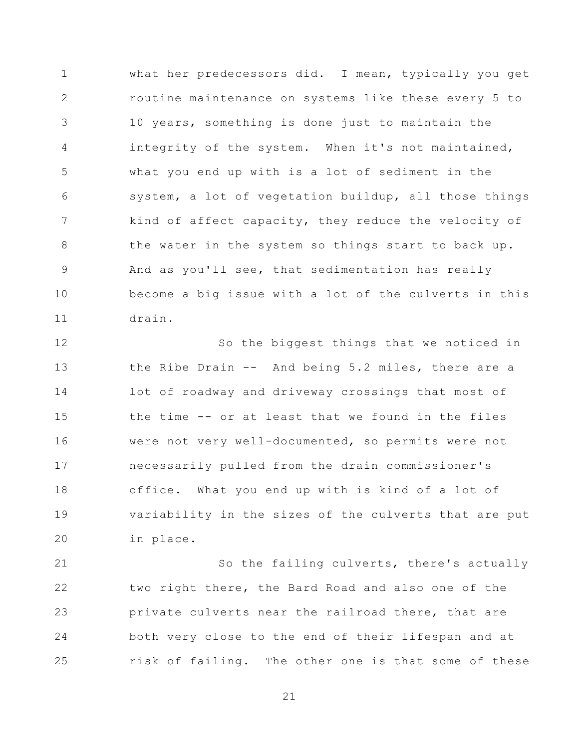1 2 3 4 5 6 7 8 9 10 11 what her predecessors did. I mean, typically you get routine maintenance on systems like these every 5 to 10 years, something is done just to maintain the integrity of the system. When it's not maintained, what you end up with is a lot of sediment in the system, a lot of vegetation buildup, all those things kind of affect capacity, they reduce the velocity of the water in the system so things start to back up. And as you'll see, that sedimentation has really become a big issue with a lot of the culverts in this drain.

12 13 14 15 16 17 18 19 20 So the biggest things that we noticed in the Ribe Drain -- And being 5.2 miles, there are a lot of roadway and driveway crossings that most of the time -- or at least that we found in the files were not very well-documented, so permits were not necessarily pulled from the drain commissioner's office. What you end up with is kind of a lot of variability in the sizes of the culverts that are put in place.

21 22 23 24 25 So the failing culverts, there's actually two right there, the Bard Road and also one of the private culverts near the railroad there, that are both very close to the end of their lifespan and at risk of failing. The other one is that some of these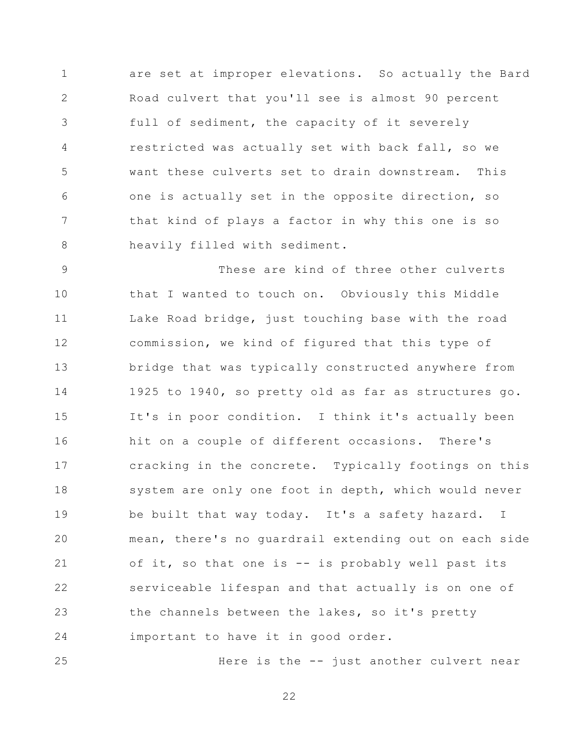1 2 3 4 5 6 7 8 are set at improper elevations. So actually the Bard Road culvert that you'll see is almost 90 percent full of sediment, the capacity of it severely restricted was actually set with back fall, so we want these culverts set to drain downstream. This one is actually set in the opposite direction, so that kind of plays a factor in why this one is so heavily filled with sediment.

9 10 11 12 13 14 15 16 17 18 19 20 21 22 23 24 These are kind of three other culverts that I wanted to touch on. Obviously this Middle Lake Road bridge, just touching base with the road commission, we kind of figured that this type of bridge that was typically constructed anywhere from 1925 to 1940, so pretty old as far as structures go. It's in poor condition. I think it's actually been hit on a couple of different occasions. There's cracking in the concrete. Typically footings on this system are only one foot in depth, which would never be built that way today. It's a safety hazard. I mean, there's no guardrail extending out on each side of it, so that one is -- is probably well past its serviceable lifespan and that actually is on one of the channels between the lakes, so it's pretty important to have it in good order.

Here is the -- just another culvert near

22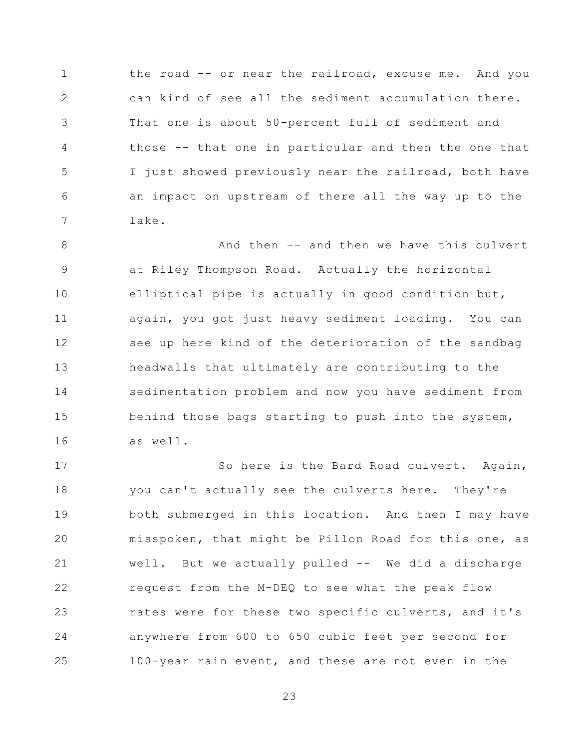1 2 3 4 5 6 7 the road -- or near the railroad, excuse me. And you can kind of see all the sediment accumulation there. That one is about 50-percent full of sediment and those -- that one in particular and then the one that I just showed previously near the railroad, both have an impact on upstream of there all the way up to the lake.

8 9 10 11 12 13 14 15 16 And then -- and then we have this culvert at Riley Thompson Road. Actually the horizontal elliptical pipe is actually in good condition but, again, you got just heavy sediment loading. You can see up here kind of the deterioration of the sandbag headwalls that ultimately are contributing to the sedimentation problem and now you have sediment from behind those bags starting to push into the system, as well.

17 18 19 20 21 22 23 24 25 So here is the Bard Road culvert. Again, you can't actually see the culverts here. They're both submerged in this location. And then I may have misspoken, that might be Pillon Road for this one, as well. But we actually pulled -- We did a discharge request from the M-DEQ to see what the peak flow rates were for these two specific culverts, and it's anywhere from 600 to 650 cubic feet per second for 100-year rain event, and these are not even in the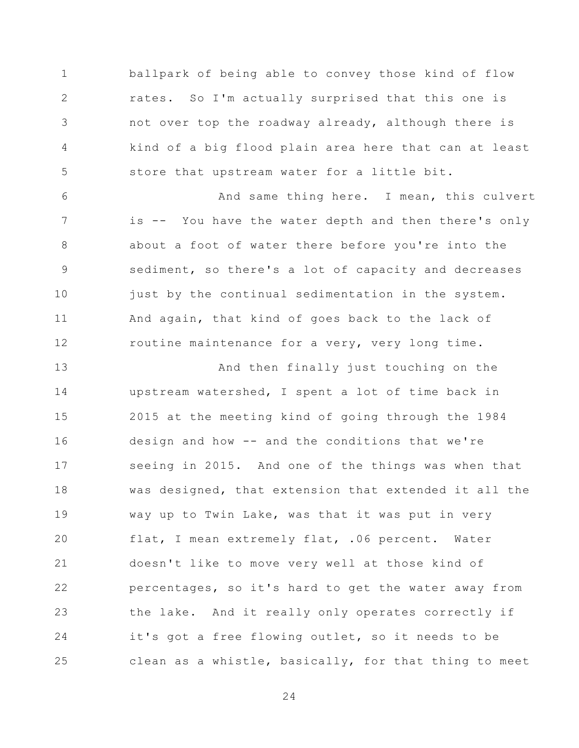1 2 3 4 5 ballpark of being able to convey those kind of flow rates. So I'm actually surprised that this one is not over top the roadway already, although there is kind of a big flood plain area here that can at least store that upstream water for a little bit.

6 7 8 9 10 11 12 And same thing here. I mean, this culvert is -- You have the water depth and then there's only about a foot of water there before you're into the sediment, so there's a lot of capacity and decreases just by the continual sedimentation in the system. And again, that kind of goes back to the lack of routine maintenance for a very, very long time.

13 14 15 16 17 18 19 20 21 22 23 24 25 And then finally just touching on the upstream watershed, I spent a lot of time back in 2015 at the meeting kind of going through the 1984 design and how -- and the conditions that we're seeing in 2015. And one of the things was when that was designed, that extension that extended it all the way up to Twin Lake, was that it was put in very flat, I mean extremely flat, .06 percent. Water doesn't like to move very well at those kind of percentages, so it's hard to get the water away from the lake. And it really only operates correctly if it's got a free flowing outlet, so it needs to be clean as a whistle, basically, for that thing to meet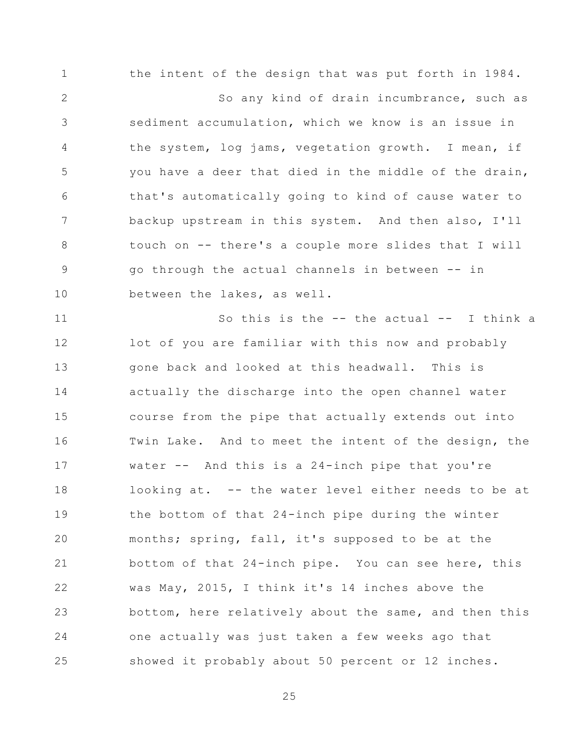1 2 3 4 5 6 7 8 9 10 the intent of the design that was put forth in 1984. So any kind of drain incumbrance, such as sediment accumulation, which we know is an issue in the system, log jams, vegetation growth. I mean, if you have a deer that died in the middle of the drain, that's automatically going to kind of cause water to backup upstream in this system. And then also, I'll touch on -- there's a couple more slides that I will go through the actual channels in between -- in between the lakes, as well.

11 12 13 14 15 16 17 18 19 20 21 22 23 24 25 So this is the -- the actual -- I think a lot of you are familiar with this now and probably gone back and looked at this headwall. This is actually the discharge into the open channel water course from the pipe that actually extends out into Twin Lake. And to meet the intent of the design, the water  $--$  And this is a 24-inch pipe that you're looking at. -- the water level either needs to be at the bottom of that 24-inch pipe during the winter months; spring, fall, it's supposed to be at the bottom of that 24-inch pipe. You can see here, this was May, 2015, I think it's 14 inches above the bottom, here relatively about the same, and then this one actually was just taken a few weeks ago that showed it probably about 50 percent or 12 inches.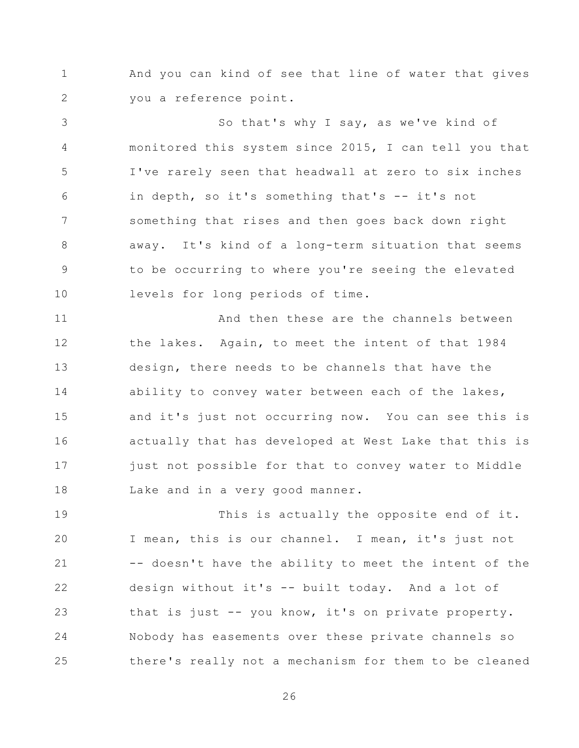1 2 And you can kind of see that line of water that gives you a reference point.

3 4 5 6 7 8 9 10 So that's why I say, as we've kind of monitored this system since 2015, I can tell you that I've rarely seen that headwall at zero to six inches in depth, so it's something that's -- it's not something that rises and then goes back down right away. It's kind of a long-term situation that seems to be occurring to where you're seeing the elevated levels for long periods of time.

11 12 13 14 15 16 17 18 And then these are the channels between the lakes. Again, to meet the intent of that 1984 design, there needs to be channels that have the ability to convey water between each of the lakes, and it's just not occurring now. You can see this is actually that has developed at West Lake that this is just not possible for that to convey water to Middle Lake and in a very good manner.

19 20 21 22 23 24 25 This is actually the opposite end of it. I mean, this is our channel. I mean, it's just not -- doesn't have the ability to meet the intent of the design without it's -- built today. And a lot of that is just -- you know, it's on private property. Nobody has easements over these private channels so there's really not a mechanism for them to be cleaned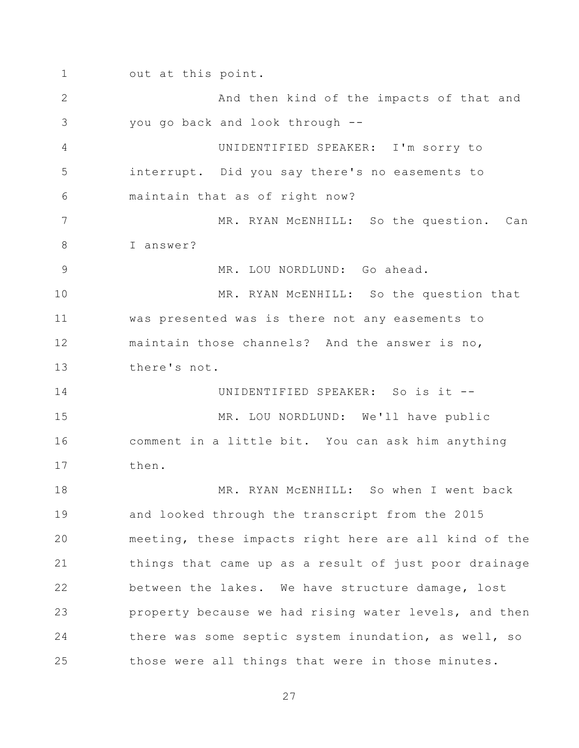1 2 3 4 5 6 7 8 9 10 11 12 13 14 15 16 17 18 19 20 21 22 23 24 25 out at this point. And then kind of the impacts of that and you go back and look through -- UNIDENTIFIED SPEAKER: I'm sorry to interrupt. Did you say there's no easements to maintain that as of right now? MR. RYAN McENHILL: So the question. Can I answer? MR. LOU NORDLUND: Go ahead. MR. RYAN MCENHILL: So the question that was presented was is there not any easements to maintain those channels? And the answer is no, there's not. UNIDENTIFIED SPEAKER: So is it -- MR. LOU NORDLUND: We'll have public comment in a little bit. You can ask him anything then. MR. RYAN MCENHILL: So when I went back and looked through the transcript from the 2015 meeting, these impacts right here are all kind of the things that came up as a result of just poor drainage between the lakes. We have structure damage, lost property because we had rising water levels, and then there was some septic system inundation, as well, so those were all things that were in those minutes.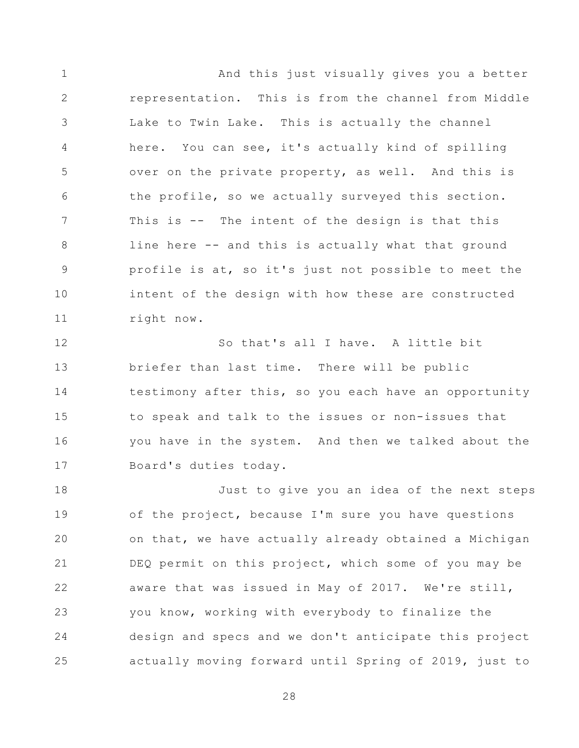1 2 3 4 5 6 7 8 9 10 11 And this just visually gives you a better representation. This is from the channel from Middle Lake to Twin Lake. This is actually the channel here. You can see, it's actually kind of spilling over on the private property, as well. And this is the profile, so we actually surveyed this section. This is -- The intent of the design is that this line here -- and this is actually what that ground profile is at, so it's just not possible to meet the intent of the design with how these are constructed right now.

12 13 14 15 16 17 So that's all I have. A little bit briefer than last time. There will be public testimony after this, so you each have an opportunity to speak and talk to the issues or non-issues that you have in the system. And then we talked about the Board's duties today.

18 19 20 21 22 23 24 25 Just to give you an idea of the next steps of the project, because I'm sure you have questions on that, we have actually already obtained a Michigan DEQ permit on this project, which some of you may be aware that was issued in May of 2017. We're still, you know, working with everybody to finalize the design and specs and we don't anticipate this project actually moving forward until Spring of 2019, just to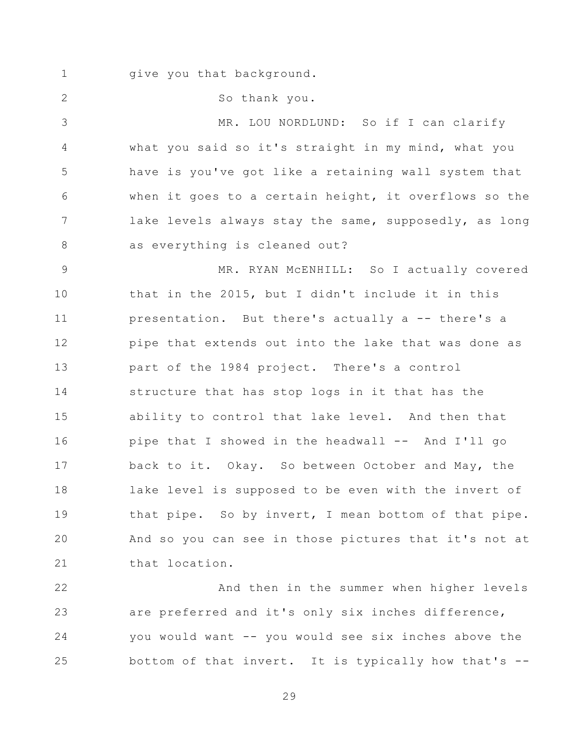1 give you that background.

So thank you.

2

3 4 5 6 7 8 MR. LOU NORDLUND: So if I can clarify what you said so it's straight in my mind, what you have is you've got like a retaining wall system that when it goes to a certain height, it overflows so the lake levels always stay the same, supposedly, as long as everything is cleaned out?

9 10 11 12 13 14 15 16 17 18 19 20 21 MR. RYAN MCENHILL: So I actually covered that in the 2015, but I didn't include it in this presentation. But there's actually a -- there's a pipe that extends out into the lake that was done as part of the 1984 project. There's a control structure that has stop logs in it that has the ability to control that lake level. And then that pipe that I showed in the headwall -- And I'll go back to it. Okay. So between October and May, the lake level is supposed to be even with the invert of that pipe. So by invert, I mean bottom of that pipe. And so you can see in those pictures that it's not at that location.

22 23 24 25 And then in the summer when higher levels are preferred and it's only six inches difference, you would want -- you would see six inches above the bottom of that invert. It is typically how that's --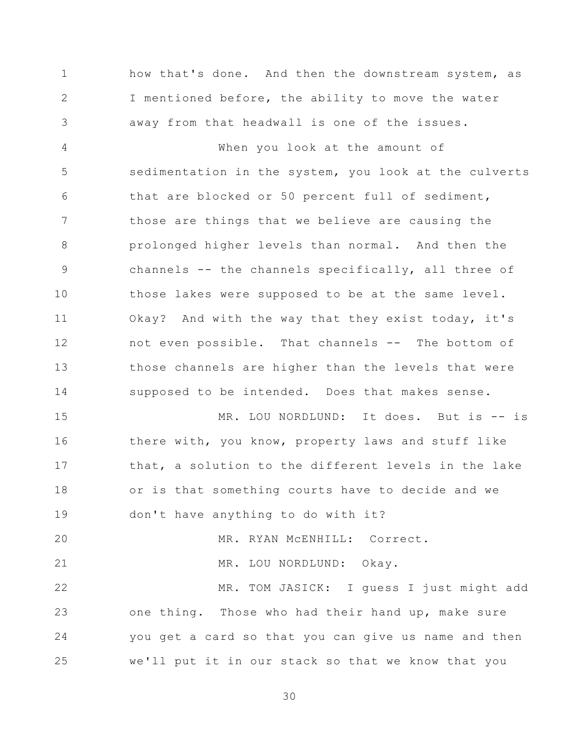1 2 3 how that's done. And then the downstream system, as I mentioned before, the ability to move the water away from that headwall is one of the issues.

4 5 6 7 8 9 10 11 12 13 14 When you look at the amount of sedimentation in the system, you look at the culverts that are blocked or 50 percent full of sediment, those are things that we believe are causing the prolonged higher levels than normal. And then the channels -- the channels specifically, all three of those lakes were supposed to be at the same level. Okay? And with the way that they exist today, it's not even possible. That channels -- The bottom of those channels are higher than the levels that were supposed to be intended. Does that makes sense.

15 16 17 18 19 MR. LOU NORDLUND: It does. But is -- is there with, you know, property laws and stuff like that, a solution to the different levels in the lake or is that something courts have to decide and we don't have anything to do with it?

20 21 22 23 24 25 MR. RYAN McENHILL: Correct. MR. LOU NORDLUND: Okay. MR. TOM JASICK: I guess I just might add one thing. Those who had their hand up, make sure you get a card so that you can give us name and then we'll put it in our stack so that we know that you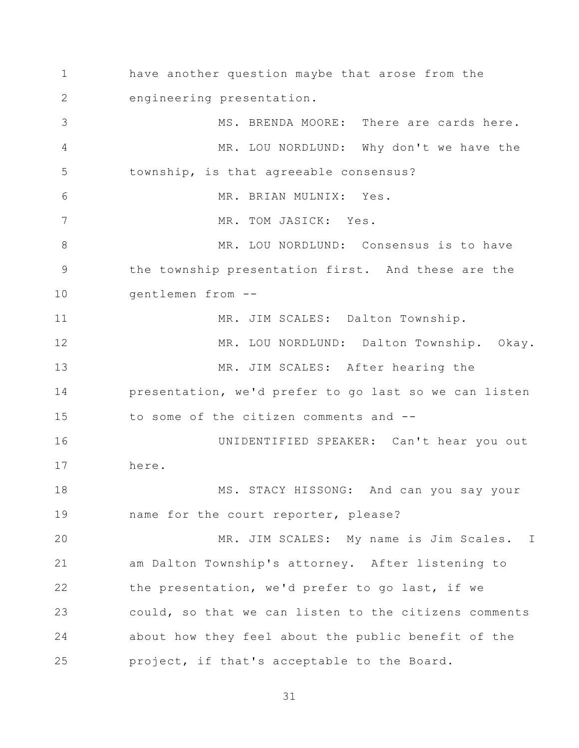1 2 3 4 5 6 7 8 9 10 11 12 13 14 15 16 17 18 19 20 21 22 23 24 25 have another question maybe that arose from the engineering presentation. MS. BRENDA MOORE: There are cards here. MR. LOU NORDLUND: Why don't we have the township, is that agreeable consensus? MR. BRIAN MULNIX: Yes. MR. TOM JASICK: Yes. MR. LOU NORDLUND: Consensus is to have the township presentation first. And these are the gentlemen from -- MR. JIM SCALES: Dalton Township. MR. LOU NORDLUND: Dalton Township. Okay. MR. JIM SCALES: After hearing the presentation, we'd prefer to go last so we can listen to some of the citizen comments and -- UNIDENTIFIED SPEAKER: Can't hear you out here. MS. STACY HISSONG: And can you say your name for the court reporter, please? MR. JIM SCALES: My name is Jim Scales. I am Dalton Township's attorney. After listening to the presentation, we'd prefer to go last, if we could, so that we can listen to the citizens comments about how they feel about the public benefit of the project, if that's acceptable to the Board.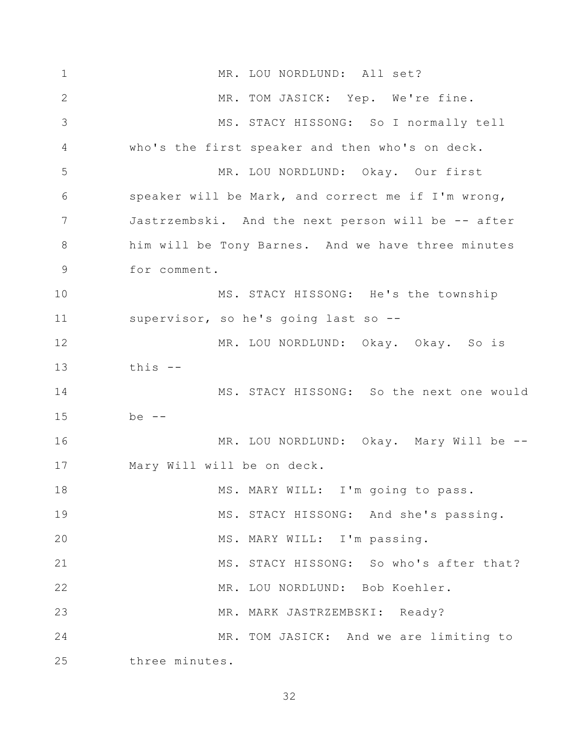1 2 3 4 5 6 7 8 9 10 11 12 13 14 15 16 17 18 19 20 21 22 23 24 25 MR. LOU NORDLUND: All set? MR. TOM JASICK: Yep. We're fine. MS. STACY HISSONG: So I normally tell who's the first speaker and then who's on deck. MR. LOU NORDLUND: Okay. Our first speaker will be Mark, and correct me if I'm wrong, Jastrzembski. And the next person will be -- after him will be Tony Barnes. And we have three minutes for comment. MS. STACY HISSONG: He's the township supervisor, so he's going last so -- MR. LOU NORDLUND: Okay. Okay. So is this -- MS. STACY HISSONG: So the next one would  $be$   $-$ MR. LOU NORDLUND: Okay. Mary Will be -- Mary Will will be on deck. MS. MARY WILL: I'm going to pass. MS. STACY HISSONG: And she's passing. MS. MARY WILL: I'm passing. MS. STACY HISSONG: So who's after that? MR. LOU NORDLUND: Bob Koehler. MR. MARK JASTRZEMBSKI: Ready? MR. TOM JASICK: And we are limiting to three minutes.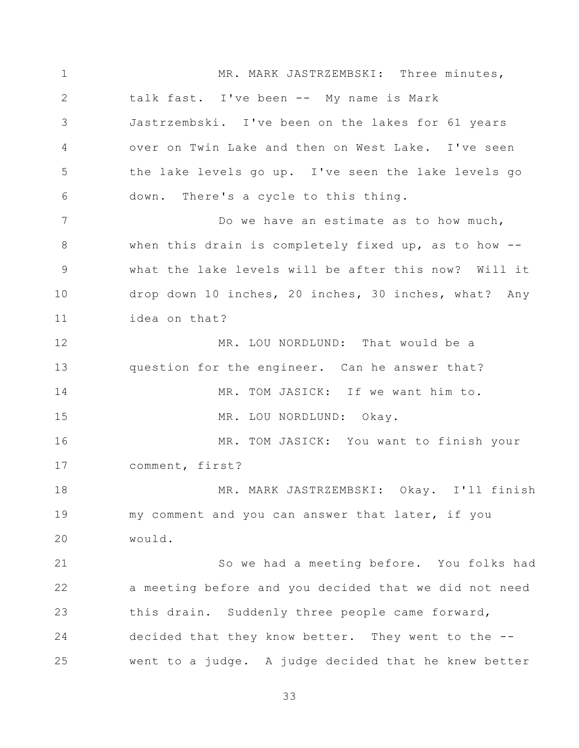1 2 3 4 5 6 7 8 9 10 11 12 13 14 15 16 17 18 19 20 21 22 23 24 25 MR. MARK JASTRZEMBSKI: Three minutes, talk fast. I've been -- My name is Mark Jastrzembski. I've been on the lakes for 61 years over on Twin Lake and then on West Lake. I've seen the lake levels go up. I've seen the lake levels go down. There's a cycle to this thing. Do we have an estimate as to how much, when this drain is completely fixed up, as to how -what the lake levels will be after this now? Will it drop down 10 inches, 20 inches, 30 inches, what? Any idea on that? MR. LOU NORDLUND: That would be a question for the engineer. Can he answer that? MR. TOM JASICK: If we want him to. MR. LOU NORDLUND: Okay. MR. TOM JASICK: You want to finish your comment, first? MR. MARK JASTRZEMBSKI: Okay. I'll finish my comment and you can answer that later, if you would. So we had a meeting before. You folks had a meeting before and you decided that we did not need this drain. Suddenly three people came forward, decided that they know better. They went to the - went to a judge. A judge decided that he knew better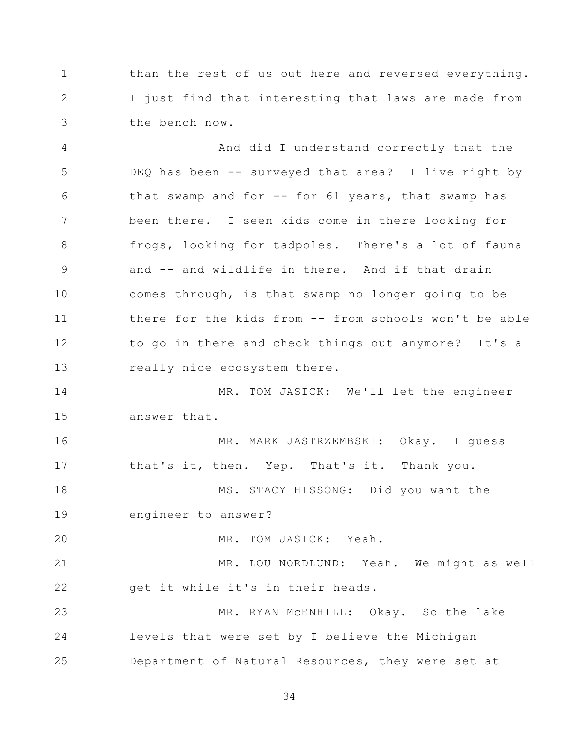1 2 3 than the rest of us out here and reversed everything. I just find that interesting that laws are made from the bench now.

4 5 6 7 8 9 10 11 12 13 And did I understand correctly that the DEQ has been -- surveyed that area? I live right by that swamp and for  $-$ - for 61 years, that swamp has been there. I seen kids come in there looking for frogs, looking for tadpoles. There's a lot of fauna and -- and wildlife in there. And if that drain comes through, is that swamp no longer going to be there for the kids from -- from schools won't be able to go in there and check things out anymore? It's a really nice ecosystem there.

14 15 MR. TOM JASICK: We'll let the engineer answer that.

16 17 MR. MARK JASTRZEMBSKI: Okay. I guess that's it, then. Yep. That's it. Thank you.

18 19 MS. STACY HISSONG: Did you want the engineer to answer?

20 MR. TOM JASICK: Yeah.

21 22 MR. LOU NORDLUND: Yeah. We might as well get it while it's in their heads.

23 24 25 MR. RYAN McENHILL: Okay. So the lake levels that were set by I believe the Michigan Department of Natural Resources, they were set at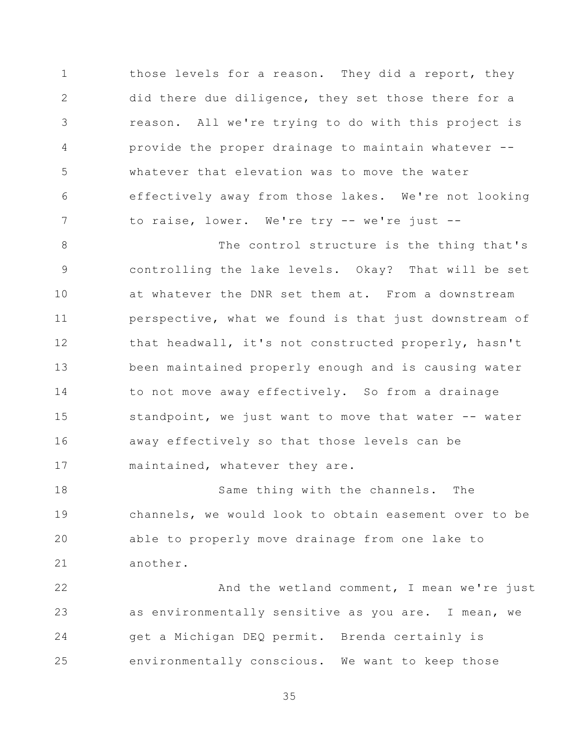1 2 3 4 5 6 7 those levels for a reason. They did a report, they did there due diligence, they set those there for a reason. All we're trying to do with this project is provide the proper drainage to maintain whatever - whatever that elevation was to move the water effectively away from those lakes. We're not looking to raise, lower. We're try -- we're just --

8 9 10 11 12 13 14 15 16 17 The control structure is the thing that's controlling the lake levels. Okay? That will be set at whatever the DNR set them at. From a downstream perspective, what we found is that just downstream of that headwall, it's not constructed properly, hasn't been maintained properly enough and is causing water to not move away effectively. So from a drainage standpoint, we just want to move that water -- water away effectively so that those levels can be maintained, whatever they are.

18 19 20 21 Same thing with the channels. The channels, we would look to obtain easement over to be able to properly move drainage from one lake to another.

22 23 24 25 And the wetland comment, I mean we're just as environmentally sensitive as you are. I mean, we get a Michigan DEQ permit. Brenda certainly is environmentally conscious. We want to keep those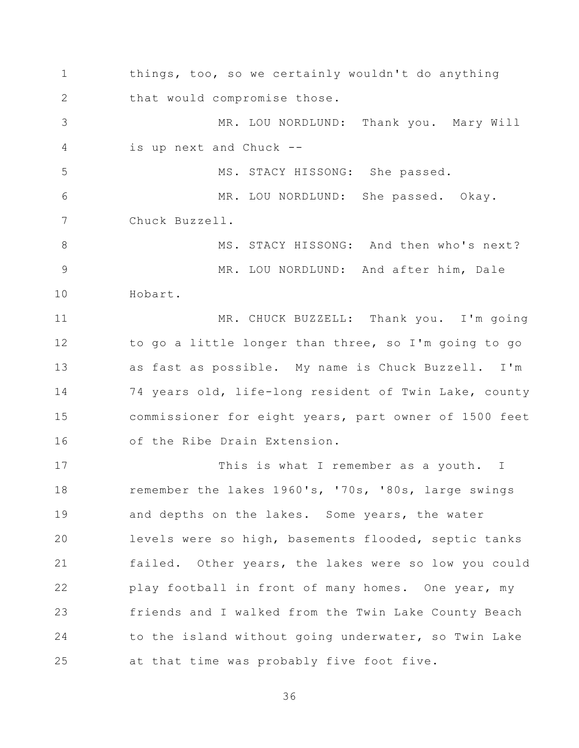1 2 3 4 5 6 7 8 9 10 11 12 13 14 15 16 17 18 19 20 21 22 23 24 25 things, too, so we certainly wouldn't do anything that would compromise those. MR. LOU NORDLUND: Thank you. Mary Will is up next and Chuck -- MS. STACY HISSONG: She passed. MR. LOU NORDLUND: She passed. Okay. Chuck Buzzell. MS. STACY HISSONG: And then who's next? MR. LOU NORDLUND: And after him, Dale Hobart. MR. CHUCK BUZZELL: Thank you. I'm going to go a little longer than three, so I'm going to go as fast as possible. My name is Chuck Buzzell. I'm 74 years old, life-long resident of Twin Lake, county commissioner for eight years, part owner of 1500 feet of the Ribe Drain Extension. This is what I remember as a youth. I remember the lakes 1960's, '70s, '80s, large swings and depths on the lakes. Some years, the water levels were so high, basements flooded, septic tanks failed. Other years, the lakes were so low you could play football in front of many homes. One year, my friends and I walked from the Twin Lake County Beach to the island without going underwater, so Twin Lake at that time was probably five foot five.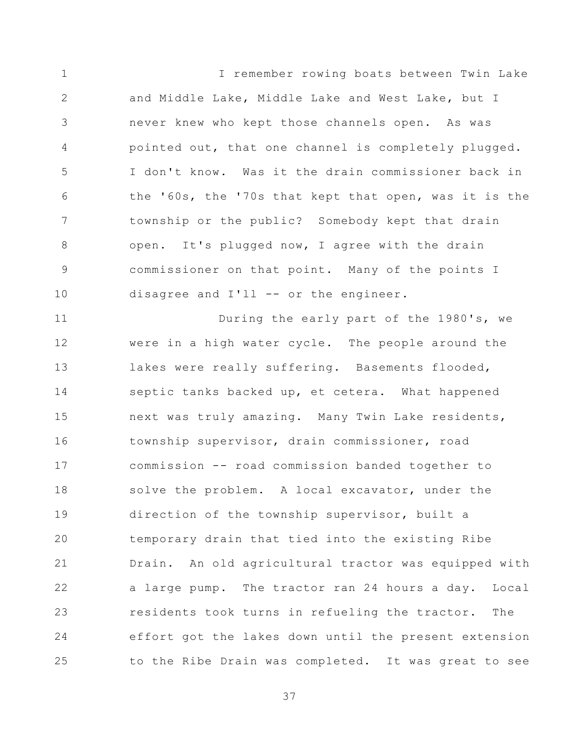1 2 3 4 5 6 7 8 9 10 I remember rowing boats between Twin Lake and Middle Lake, Middle Lake and West Lake, but I never knew who kept those channels open. As was pointed out, that one channel is completely plugged. I don't know. Was it the drain commissioner back in the '60s, the '70s that kept that open, was it is the township or the public? Somebody kept that drain open. It's plugged now, I agree with the drain commissioner on that point. Many of the points I disagree and I'll -- or the engineer.

11 12 13 14 15 16 17 18 19 20 21 22 23 24 25 During the early part of the 1980's, we were in a high water cycle. The people around the lakes were really suffering. Basements flooded, septic tanks backed up, et cetera. What happened next was truly amazing. Many Twin Lake residents, township supervisor, drain commissioner, road commission -- road commission banded together to solve the problem. A local excavator, under the direction of the township supervisor, built a temporary drain that tied into the existing Ribe Drain. An old agricultural tractor was equipped with a large pump. The tractor ran 24 hours a day. Local residents took turns in refueling the tractor. The effort got the lakes down until the present extension to the Ribe Drain was completed. It was great to see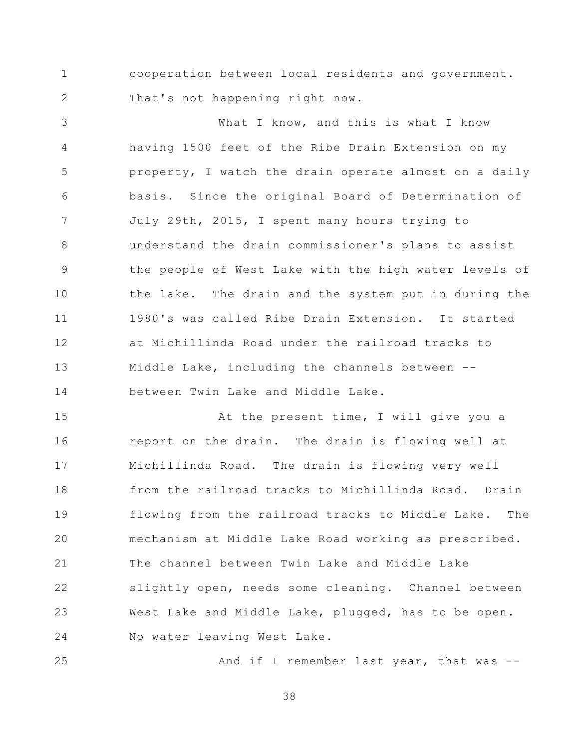1 2 cooperation between local residents and government. That's not happening right now.

3 4 5 6 7 8 9 10 11 12 13 14 What I know, and this is what I know having 1500 feet of the Ribe Drain Extension on my property, I watch the drain operate almost on a daily basis. Since the original Board of Determination of July 29th, 2015, I spent many hours trying to understand the drain commissioner's plans to assist the people of West Lake with the high water levels of the lake. The drain and the system put in during the 1980's was called Ribe Drain Extension. It started at Michillinda Road under the railroad tracks to Middle Lake, including the channels between - between Twin Lake and Middle Lake.

15 16 17 18 19 20 21 22 23 24 At the present time, I will give you a report on the drain. The drain is flowing well at Michillinda Road. The drain is flowing very well from the railroad tracks to Michillinda Road. Drain flowing from the railroad tracks to Middle Lake. The mechanism at Middle Lake Road working as prescribed. The channel between Twin Lake and Middle Lake slightly open, needs some cleaning. Channel between West Lake and Middle Lake, plugged, has to be open. No water leaving West Lake.

And if I remember last year, that was --

38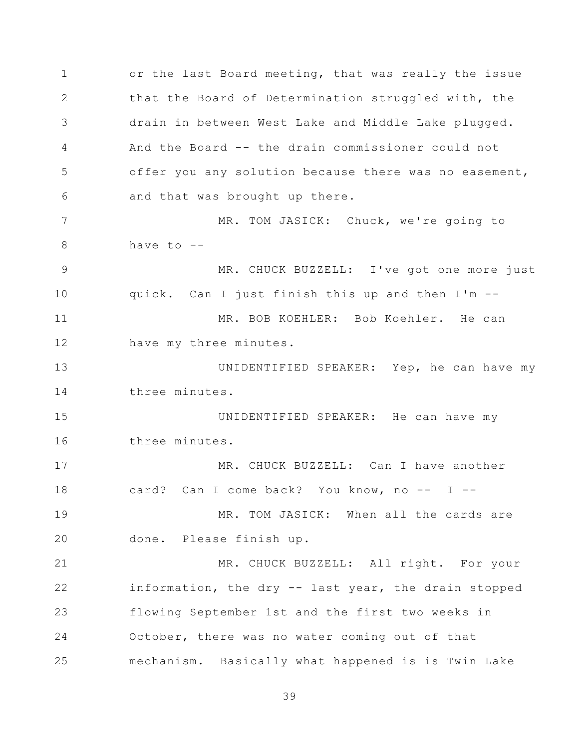1 2 3 4 5 6 7 8 9 10 11 12 13 14 15 16 17 18 19 20 21 22 23 24 25 or the last Board meeting, that was really the issue that the Board of Determination struggled with, the drain in between West Lake and Middle Lake plugged. And the Board -- the drain commissioner could not offer you any solution because there was no easement, and that was brought up there. MR. TOM JASICK: Chuck, we're going to have to  $-$ -MR. CHUCK BUZZELL: I've got one more just quick. Can I just finish this up and then I'm -- MR. BOB KOEHLER: Bob Koehler. He can have my three minutes. UNIDENTIFIED SPEAKER: Yep, he can have my three minutes. UNIDENTIFIED SPEAKER: He can have my three minutes. MR. CHUCK BUZZELL: Can I have another card? Can I come back? You know, no -- I --MR. TOM JASICK: When all the cards are done. Please finish up. MR. CHUCK BUZZELL: All right. For your information, the dry -- last year, the drain stopped flowing September 1st and the first two weeks in October, there was no water coming out of that mechanism. Basically what happened is is Twin Lake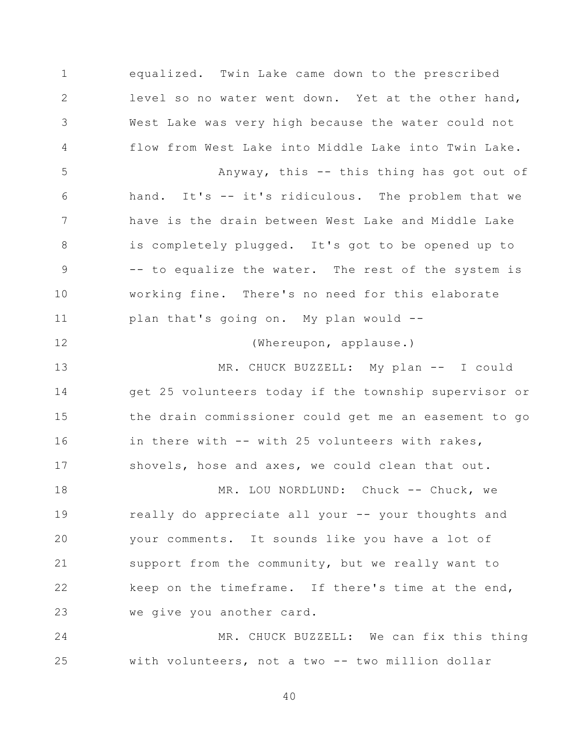1 2 3 4 5 6 7 8 9 10 11 12 13 14 equalized. Twin Lake came down to the prescribed level so no water went down. Yet at the other hand, West Lake was very high because the water could not flow from West Lake into Middle Lake into Twin Lake. Anyway, this -- this thing has got out of hand. It's -- it's ridiculous. The problem that we have is the drain between West Lake and Middle Lake is completely plugged. It's got to be opened up to -- to equalize the water. The rest of the system is working fine. There's no need for this elaborate plan that's going on. My plan would -- (Whereupon, applause.) MR. CHUCK BUZZELL: My plan -- I could get 25 volunteers today if the township supervisor or

15 16 17 the drain commissioner could get me an easement to go in there with -- with 25 volunteers with rakes, shovels, hose and axes, we could clean that out.

18 19 20 21 22 23 MR. LOU NORDLUND: Chuck -- Chuck, we really do appreciate all your -- your thoughts and your comments. It sounds like you have a lot of support from the community, but we really want to keep on the timeframe. If there's time at the end, we give you another card.

24 25 MR. CHUCK BUZZELL: We can fix this thing with volunteers, not a two -- two million dollar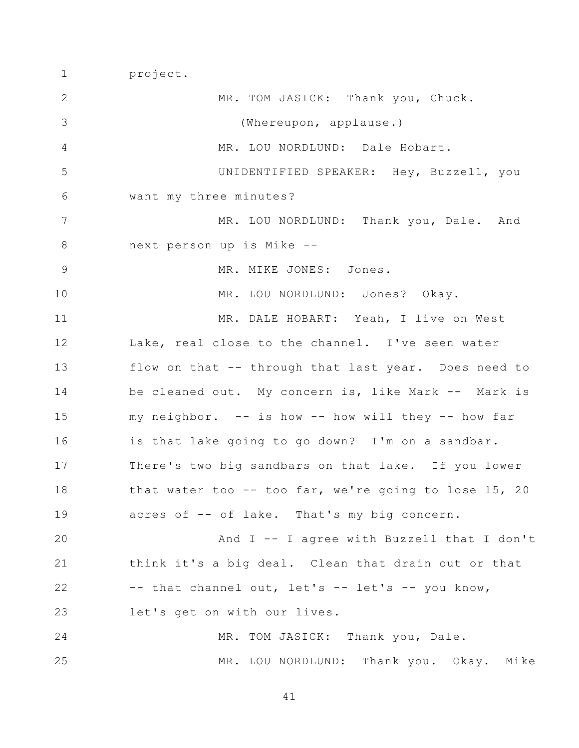project.

1

2 3 4 5 6 7 8 9 10 11 12 13 14 15 16 17 18 19 20 21 22 23 24 25 MR. TOM JASICK: Thank you, Chuck. (Whereupon, applause.) MR. LOU NORDLUND: Dale Hobart. UNIDENTIFIED SPEAKER: Hey, Buzzell, you want my three minutes? MR. LOU NORDLUND: Thank you, Dale. And next person up is Mike -- MR. MIKE JONES: Jones. MR. LOU NORDLUND: Jones? Okay. MR. DALE HOBART: Yeah, I live on West Lake, real close to the channel. I've seen water flow on that -- through that last year. Does need to be cleaned out. My concern is, like Mark -- Mark is my neighbor. -- is how -- how will they -- how far is that lake going to go down? I'm on a sandbar. There's two big sandbars on that lake. If you lower that water too -- too far, we're going to lose 15, 20 acres of -- of lake. That's my big concern. And I -- I agree with Buzzell that I don't think it's a big deal. Clean that drain out or that  $--$  that channel out, let's  $--$  let's  $--$  you know, let's get on with our lives. MR. TOM JASICK: Thank you, Dale. MR. LOU NORDLUND: Thank you. Okay. Mike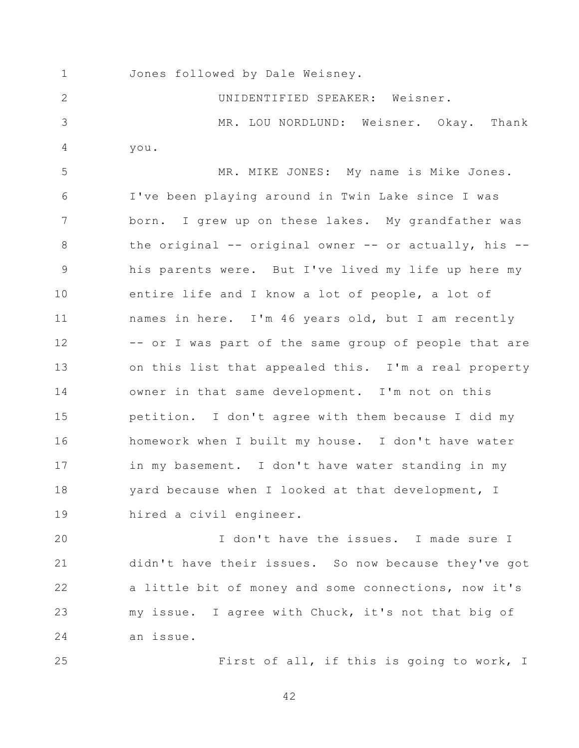1

Jones followed by Dale Weisney.

2 3 4 5 6 7 8 9 10 11 12 13 14 15 16 17 18 19 UNIDENTIFIED SPEAKER: Weisner. MR. LOU NORDLUND: Weisner. Okay. Thank you. MR. MIKE JONES: My name is Mike Jones. I've been playing around in Twin Lake since I was born. I grew up on these lakes. My grandfather was the original -- original owner -- or actually, his - his parents were. But I've lived my life up here my entire life and I know a lot of people, a lot of names in here. I'm 46 years old, but I am recently -- or I was part of the same group of people that are on this list that appealed this. I'm a real property owner in that same development. I'm not on this petition. I don't agree with them because I did my homework when I built my house. I don't have water in my basement. I don't have water standing in my yard because when I looked at that development, I hired a civil engineer.

20 21 22 23 24 I don't have the issues. I made sure I didn't have their issues. So now because they've got a little bit of money and some connections, now it's my issue. I agree with Chuck, it's not that big of an issue.

25

First of all, if this is going to work, I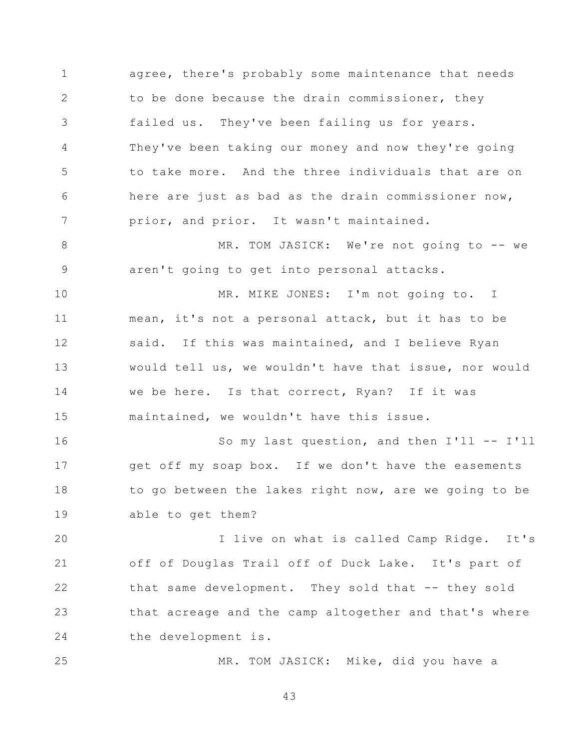1 2 3 4 5 6 7 agree, there's probably some maintenance that needs to be done because the drain commissioner, they failed us. They've been failing us for years. They've been taking our money and now they're going to take more. And the three individuals that are on here are just as bad as the drain commissioner now, prior, and prior. It wasn't maintained.

8 9 MR. TOM JASICK: We're not going to -- we aren't going to get into personal attacks.

10 11 12 13 14 15 MR. MIKE JONES: I'm not going to. I mean, it's not a personal attack, but it has to be said. If this was maintained, and I believe Ryan would tell us, we wouldn't have that issue, nor would we be here. Is that correct, Ryan? If it was maintained, we wouldn't have this issue.

16 17 18 19 So my last question, and then I'll -- I'll get off my soap box. If we don't have the easements to go between the lakes right now, are we going to be able to get them?

20 21 22 23 24 I live on what is called Camp Ridge. It's off of Douglas Trail off of Duck Lake. It's part of that same development. They sold that -- they sold that acreage and the camp altogether and that's where the development is.

MR. TOM JASICK: Mike, did you have a

43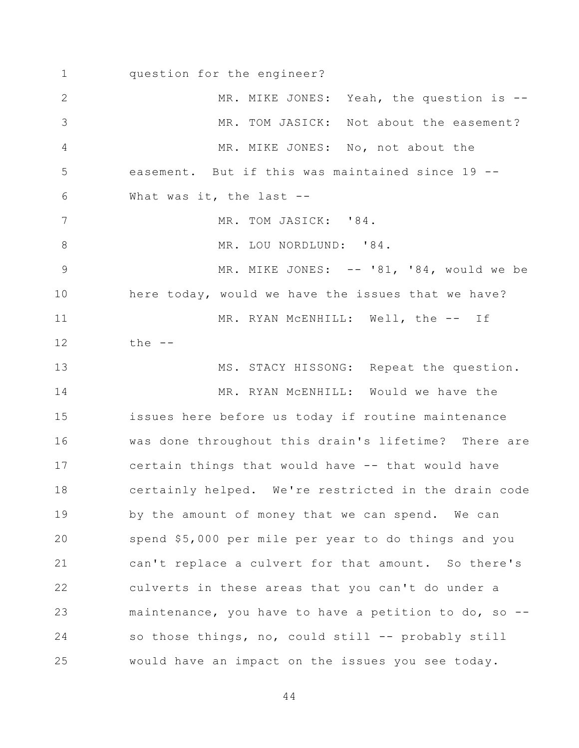1 2 3 4 5 6 7 8 9 10 11 12 13 14 15 16 17 18 19 20 21 22 23 24 25 question for the engineer? MR. MIKE JONES: Yeah, the question is --MR. TOM JASICK: Not about the easement? MR. MIKE JONES: No, not about the easement. But if this was maintained since 19 -- What was it, the last --MR. TOM JASICK: '84. MR. LOU NORDLUND: '84. MR. MIKE JONES: -- '81, '84, would we be here today, would we have the issues that we have? MR. RYAN McENHILL: Well, the -- If the  $--$ MS. STACY HISSONG: Repeat the question. MR. RYAN McENHILL: Would we have the issues here before us today if routine maintenance was done throughout this drain's lifetime? There are certain things that would have -- that would have certainly helped. We're restricted in the drain code by the amount of money that we can spend. We can spend \$5,000 per mile per year to do things and you can't replace a culvert for that amount. So there's culverts in these areas that you can't do under a maintenance, you have to have a petition to do, so - so those things, no, could still -- probably still would have an impact on the issues you see today.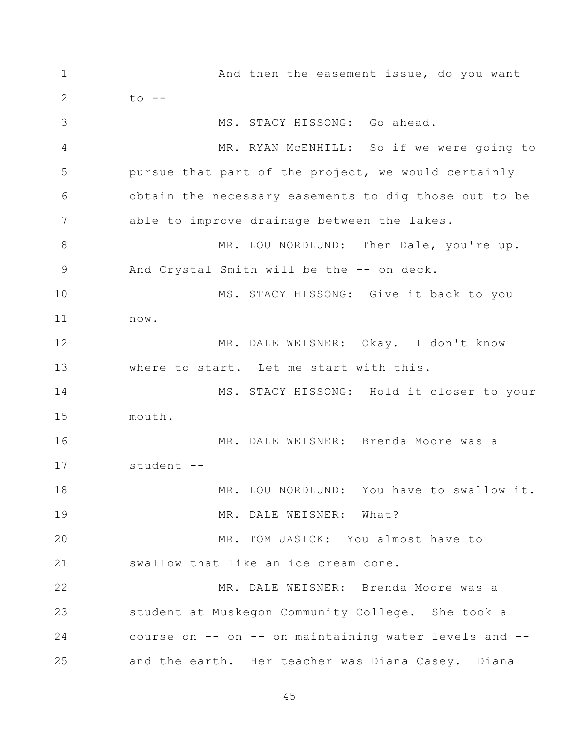1 2 3 4 5 6 7 8 9 10 11 12 13 14 15 16 17 18 19 20 21 22 23 24 25 And then the easement issue, do you want  $to$   $--$ MS. STACY HISSONG: Go ahead. MR. RYAN McENHILL: So if we were going to pursue that part of the project, we would certainly obtain the necessary easements to dig those out to be able to improve drainage between the lakes. MR. LOU NORDLUND: Then Dale, you're up. And Crystal Smith will be the -- on deck. MS. STACY HISSONG: Give it back to you now. MR. DALE WEISNER: Okay. I don't know where to start. Let me start with this. MS. STACY HISSONG: Hold it closer to your mouth. MR. DALE WEISNER: Brenda Moore was a student -- MR. LOU NORDLUND: You have to swallow it. MR. DALE WEISNER: What? MR. TOM JASICK: You almost have to swallow that like an ice cream cone. MR. DALE WEISNER: Brenda Moore was a student at Muskegon Community College. She took a course on  $--$  on  $--$  on maintaining water levels and  $-$ and the earth. Her teacher was Diana Casey. Diana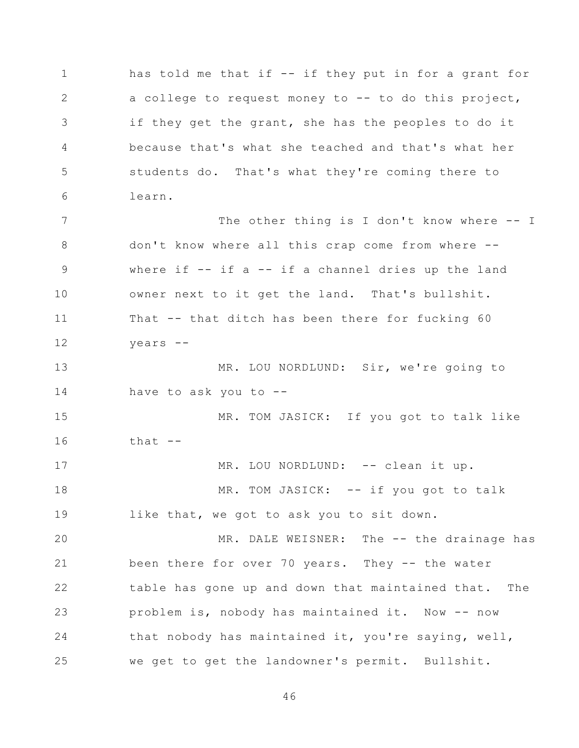1 2 3 4 5 6 7 8 9 10 11 12 13 14 15 16 17 18 19 20 21 22 23 24 25 has told me that if -- if they put in for a grant for a college to request money to -- to do this project, if they get the grant, she has the peoples to do it because that's what she teached and that's what her students do. That's what they're coming there to learn. The other thing is I don't know where -- I don't know where all this crap come from where - where if  $-$  if a  $-$  if a channel dries up the land owner next to it get the land. That's bullshit. That -- that ditch has been there for fucking 60 years -- MR. LOU NORDLUND: Sir, we're going to have to ask you to  $-$ -MR. TOM JASICK: If you got to talk like that  $--$ MR. LOU NORDLUND: -- clean it up. MR. TOM JASICK: -- if you got to talk like that, we got to ask you to sit down. MR. DALE WEISNER: The -- the drainage has been there for over 70 years. They -- the water table has gone up and down that maintained that. The problem is, nobody has maintained it. Now -- now that nobody has maintained it, you're saying, well, we get to get the landowner's permit. Bullshit.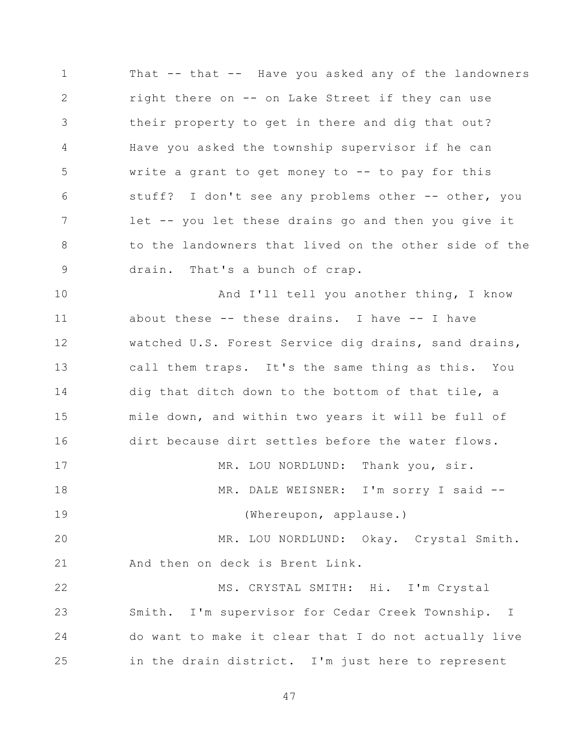1 2 3 4 5 6 7 8 9 That -- that -- Have you asked any of the landowners right there on -- on Lake Street if they can use their property to get in there and dig that out? Have you asked the township supervisor if he can write a grant to get money to -- to pay for this stuff? I don't see any problems other -- other, you let -- you let these drains go and then you give it to the landowners that lived on the other side of the drain. That's a bunch of crap.

10 11 12 13 14 15 16 17 18 19 20 21 22 23 24 And I'll tell you another thing, I know about these -- these drains. I have -- I have watched U.S. Forest Service dig drains, sand drains, call them traps. It's the same thing as this. You dig that ditch down to the bottom of that tile, a mile down, and within two years it will be full of dirt because dirt settles before the water flows. MR. LOU NORDLUND: Thank you, sir. MR. DALE WEISNER: I'm sorry I said -- (Whereupon, applause.) MR. LOU NORDLUND: Okay. Crystal Smith. And then on deck is Brent Link. MS. CRYSTAL SMITH: Hi. I'm Crystal Smith. I'm supervisor for Cedar Creek Township. I do want to make it clear that I do not actually live in the drain district. I'm just here to represent

47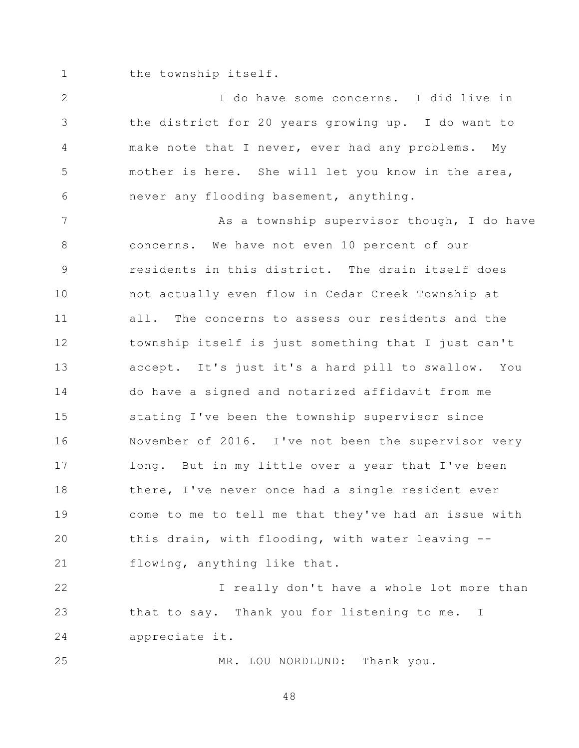1 the township itself.

2 3 4 5 6 I do have some concerns. I did live in the district for 20 years growing up. I do want to make note that I never, ever had any problems. My mother is here. She will let you know in the area, never any flooding basement, anything.

7 8 9 10 11 12 13 14 15 16 17 18 19 20 21 As a township supervisor though, I do have concerns. We have not even 10 percent of our residents in this district. The drain itself does not actually even flow in Cedar Creek Township at all. The concerns to assess our residents and the township itself is just something that I just can't accept. It's just it's a hard pill to swallow. You do have a signed and notarized affidavit from me stating I've been the township supervisor since November of 2016. I've not been the supervisor very long. But in my little over a year that I've been there, I've never once had a single resident ever come to me to tell me that they've had an issue with this drain, with flooding, with water leaving - flowing, anything like that.

22 23 24 I really don't have a whole lot more than that to say. Thank you for listening to me. I appreciate it.

MR. LOU NORDLUND: Thank you.

25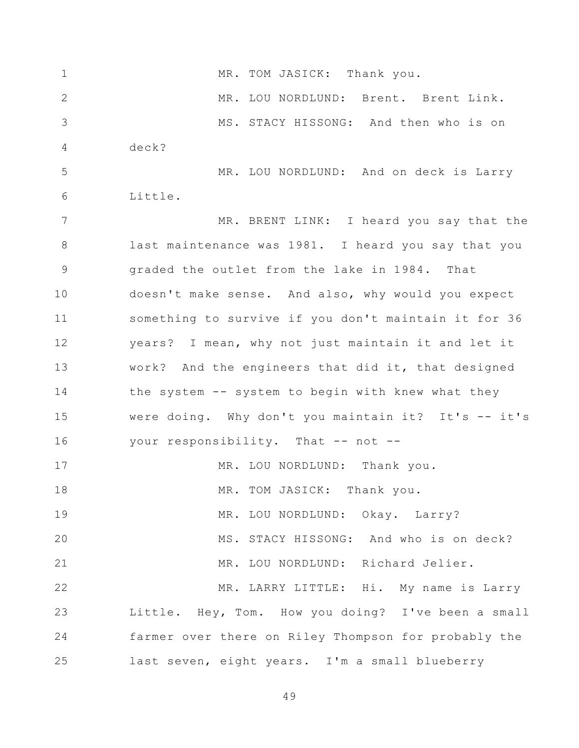1 2 3 4 5 6 7 8 9 10 11 12 13 14 15 16 17 18 19 20 21 22 23 24 25 MR. TOM JASICK: Thank you. MR. LOU NORDLUND: Brent. Brent Link. MS. STACY HISSONG: And then who is on deck? MR. LOU NORDLUND: And on deck is Larry Little. MR. BRENT LINK: I heard you say that the last maintenance was 1981. I heard you say that you graded the outlet from the lake in 1984. That doesn't make sense. And also, why would you expect something to survive if you don't maintain it for 36 years? I mean, why not just maintain it and let it work? And the engineers that did it, that designed the system -- system to begin with knew what they were doing. Why don't you maintain it? It's  $--$  it's your responsibility. That -- not --MR. LOU NORDLUND: Thank you. MR. TOM JASICK: Thank you. MR. LOU NORDLUND: Okay. Larry? MS. STACY HISSONG: And who is on deck? MR. LOU NORDLUND: Richard Jelier. MR. LARRY LITTLE: Hi. My name is Larry Little. Hey, Tom. How you doing? I've been a small farmer over there on Riley Thompson for probably the last seven, eight years. I'm a small blueberry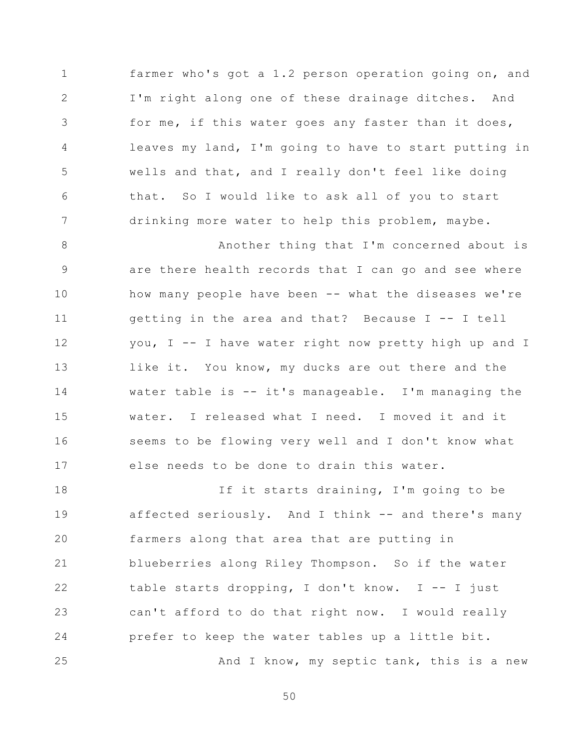1 2 3 4 5 6 7 farmer who's got a 1.2 person operation going on, and I'm right along one of these drainage ditches. And for me, if this water goes any faster than it does, leaves my land, I'm going to have to start putting in wells and that, and I really don't feel like doing that. So I would like to ask all of you to start drinking more water to help this problem, maybe.

8 9 10 11 12 13 14 15 16 17 Another thing that I'm concerned about is are there health records that I can go and see where how many people have been -- what the diseases we're getting in the area and that? Because I -- I tell you, I -- I have water right now pretty high up and I like it. You know, my ducks are out there and the water table is -- it's manageable. I'm managing the water. I released what I need. I moved it and it seems to be flowing very well and I don't know what else needs to be done to drain this water.

18 19 20 21 22 23 24 25 If it starts draining, I'm going to be affected seriously. And I think -- and there's many farmers along that area that are putting in blueberries along Riley Thompson. So if the water table starts dropping, I don't know. I -- I just can't afford to do that right now. I would really prefer to keep the water tables up a little bit. And I know, my septic tank, this is a new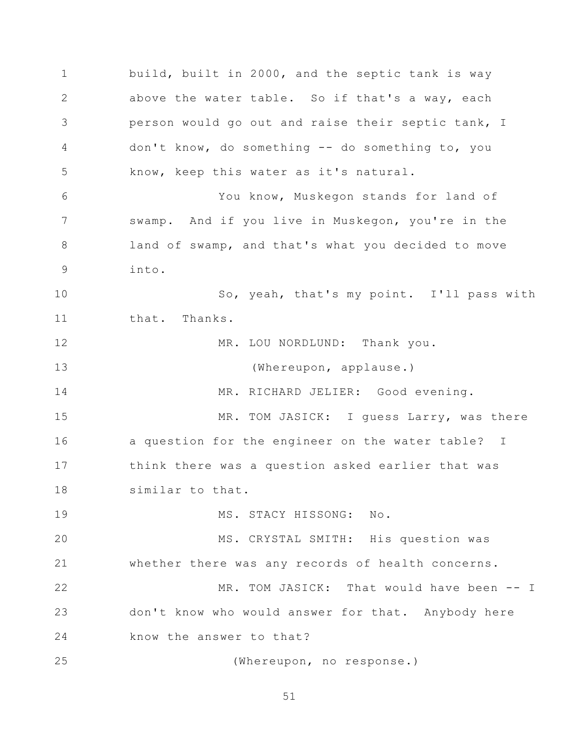1 2 3 4 5 6 7 8 9 10 11 12 13 14 15 16 17 18 19 20 21 22 23 24 25 build, built in 2000, and the septic tank is way above the water table. So if that's a way, each person would go out and raise their septic tank, I don't know, do something -- do something to, you know, keep this water as it's natural. You know, Muskegon stands for land of swamp. And if you live in Muskegon, you're in the land of swamp, and that's what you decided to move into. So, yeah, that's my point. I'll pass with that. Thanks. MR. LOU NORDLUND: Thank you. (Whereupon, applause.) MR. RICHARD JELIER: Good evening. MR. TOM JASICK: I guess Larry, was there a question for the engineer on the water table? I think there was a question asked earlier that was similar to that. MS. STACY HISSONG: No. MS. CRYSTAL SMITH: His question was whether there was any records of health concerns. MR. TOM JASICK: That would have been -- I don't know who would answer for that. Anybody here know the answer to that? (Whereupon, no response.)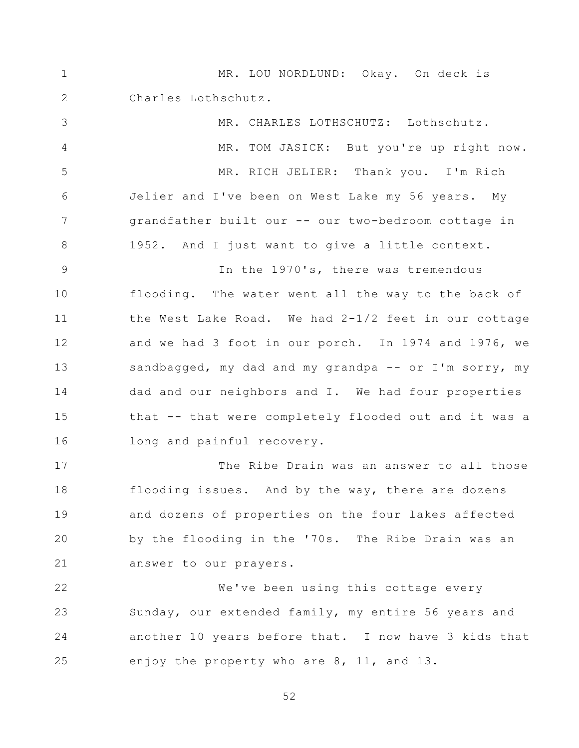1 2 3 4 5 6 7 8 9 10 11 12 13 14 15 16 17 18 19 20 21 22 23 24 25 MR. LOU NORDLUND: Okay. On deck is Charles Lothschutz. MR. CHARLES LOTHSCHUTZ: Lothschutz. MR. TOM JASICK: But you're up right now. MR. RICH JELIER: Thank you. I'm Rich Jelier and I've been on West Lake my 56 years. My grandfather built our -- our two-bedroom cottage in 1952. And I just want to give a little context. In the 1970's, there was tremendous flooding. The water went all the way to the back of the West Lake Road. We had  $2-1/2$  feet in our cottage and we had 3 foot in our porch. In 1974 and 1976, we sandbagged, my dad and my grandpa -- or I'm sorry, my dad and our neighbors and I. We had four properties that -- that were completely flooded out and it was a long and painful recovery. The Ribe Drain was an answer to all those flooding issues. And by the way, there are dozens and dozens of properties on the four lakes affected by the flooding in the '70s. The Ribe Drain was an answer to our prayers. We've been using this cottage every Sunday, our extended family, my entire 56 years and another 10 years before that. I now have 3 kids that enjoy the property who are 8, 11, and 13.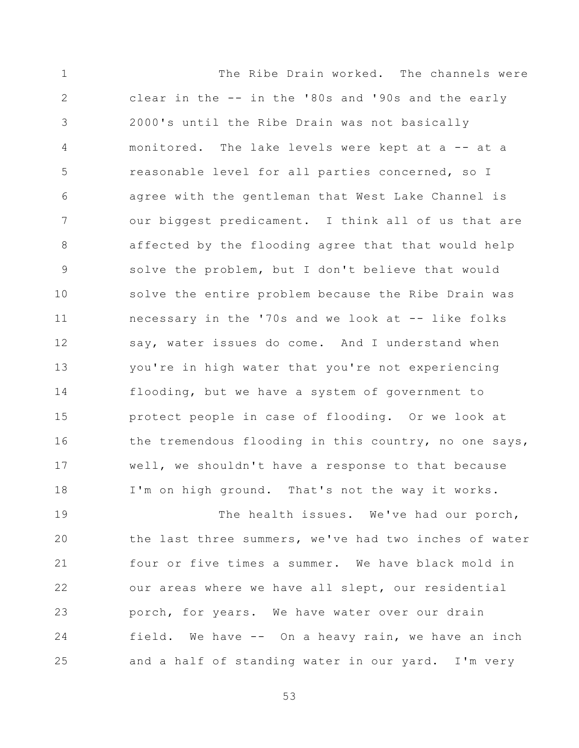1 2 3 4 5 6 7 8 9 10 11 12 13 14 15 16 17 18 The Ribe Drain worked. The channels were clear in the -- in the '80s and '90s and the early 2000's until the Ribe Drain was not basically monitored. The lake levels were kept at a -- at a reasonable level for all parties concerned, so I agree with the gentleman that West Lake Channel is our biggest predicament. I think all of us that are affected by the flooding agree that that would help solve the problem, but I don't believe that would solve the entire problem because the Ribe Drain was necessary in the '70s and we look at -- like folks say, water issues do come. And I understand when you're in high water that you're not experiencing flooding, but we have a system of government to protect people in case of flooding. Or we look at the tremendous flooding in this country, no one says, well, we shouldn't have a response to that because I'm on high ground. That's not the way it works.

19 20 21 22 23 24 25 The health issues. We've had our porch, the last three summers, we've had two inches of water four or five times a summer. We have black mold in our areas where we have all slept, our residential porch, for years. We have water over our drain field. We have -- On a heavy rain, we have an inch and a half of standing water in our yard. I'm very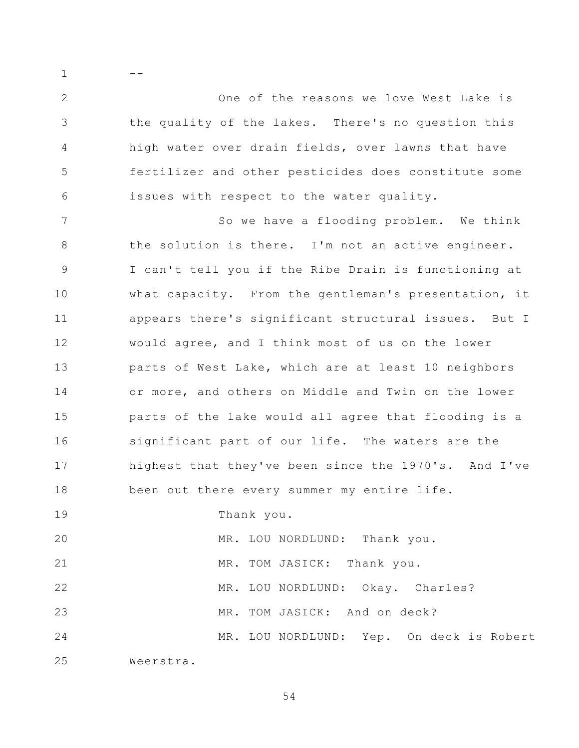2 3 4 5 6 One of the reasons we love West Lake is the quality of the lakes. There's no question this high water over drain fields, over lawns that have fertilizer and other pesticides does constitute some issues with respect to the water quality.

7 8 9 10 11 12 13 14 15 16 17 18 So we have a flooding problem. We think the solution is there. I'm not an active engineer. I can't tell you if the Ribe Drain is functioning at what capacity. From the gentleman's presentation, it appears there's significant structural issues. But I would agree, and I think most of us on the lower parts of West Lake, which are at least 10 neighbors or more, and others on Middle and Twin on the lower parts of the lake would all agree that flooding is a significant part of our life. The waters are the highest that they've been since the 1970's. And I've been out there every summer my entire life.

19 Thank you.

20 MR. LOU NORDLUND: Thank you.

MR. TOM JASICK: Thank you.

MR. LOU NORDLUND: Okay. Charles?

23 MR. TOM JASICK: And on deck?

24 MR. LOU NORDLUND: Yep. On deck is Robert

25 Weerstra.

21

22

1

--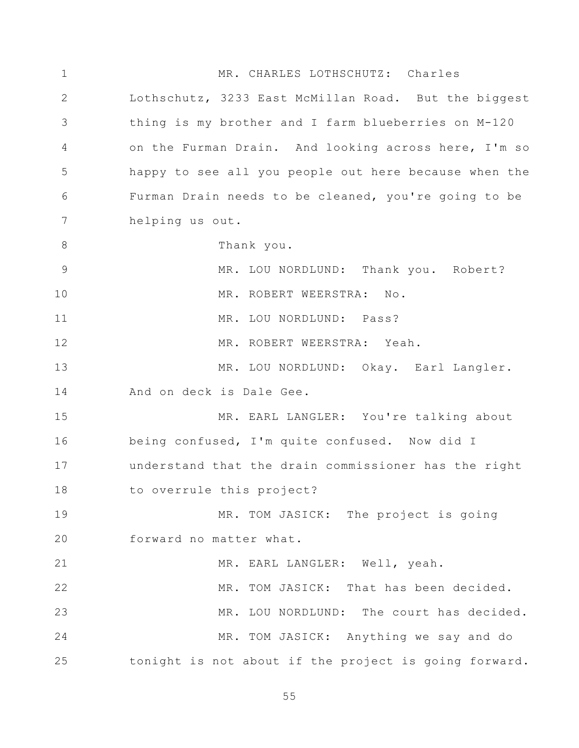1 2 3 4 5 6 7 8 9 10 11 12 13 14 15 16 17 18 19 20 21 22 23 24 25 MR. CHARLES LOTHSCHUTZ: Charles Lothschutz, 3233 East McMillan Road. But the biggest thing is my brother and I farm blueberries on M-120 on the Furman Drain. And looking across here, I'm so happy to see all you people out here because when the Furman Drain needs to be cleaned, you're going to be helping us out. Thank you. MR. LOU NORDLUND: Thank you. Robert? MR. ROBERT WEERSTRA: No. MR. LOU NORDLUND: Pass? MR. ROBERT WEERSTRA: Yeah. MR. LOU NORDLUND: Okay. Earl Langler. And on deck is Dale Gee. MR. EARL LANGLER: You're talking about being confused, I'm quite confused. Now did I understand that the drain commissioner has the right to overrule this project? MR. TOM JASICK: The project is going forward no matter what. MR. EARL LANGLER: Well, yeah. MR. TOM JASICK: That has been decided. MR. LOU NORDLUND: The court has decided. MR. TOM JASICK: Anything we say and do tonight is not about if the project is going forward.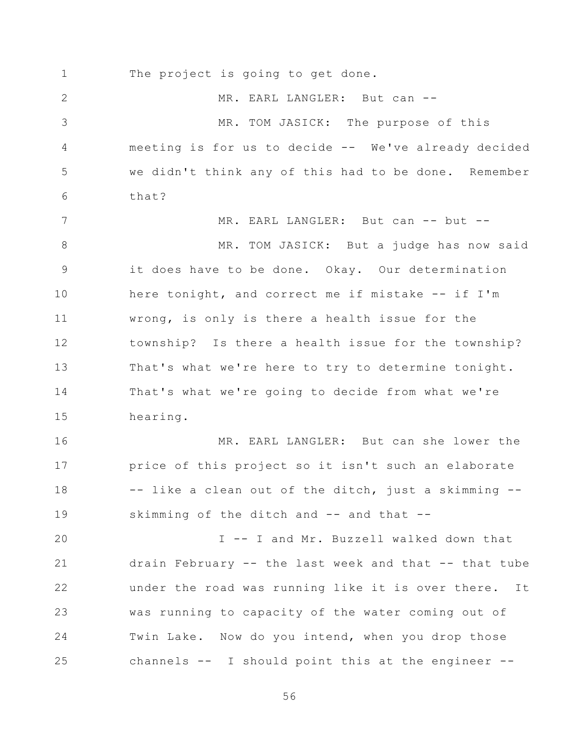1 2 3 4 5 6 7 8 9 10 11 12 13 14 15 16 17 18 19 20 21 22 23 24 25 The project is going to get done. MR. EARL LANGLER: But can --MR. TOM JASICK: The purpose of this meeting is for us to decide -- We've already decided we didn't think any of this had to be done. Remember that? MR. EARL LANGLER: But can -- but --MR. TOM JASICK: But a judge has now said it does have to be done. Okay. Our determination here tonight, and correct me if mistake -- if I'm wrong, is only is there a health issue for the township? Is there a health issue for the township? That's what we're here to try to determine tonight. That's what we're going to decide from what we're hearing. MR. EARL LANGLER: But can she lower the price of this project so it isn't such an elaborate -- like a clean out of the ditch, just a skimming - skimming of the ditch and -- and that --I -- I and Mr. Buzzell walked down that drain February -- the last week and that -- that tube under the road was running like it is over there. It was running to capacity of the water coming out of Twin Lake. Now do you intend, when you drop those channels -- I should point this at the engineer --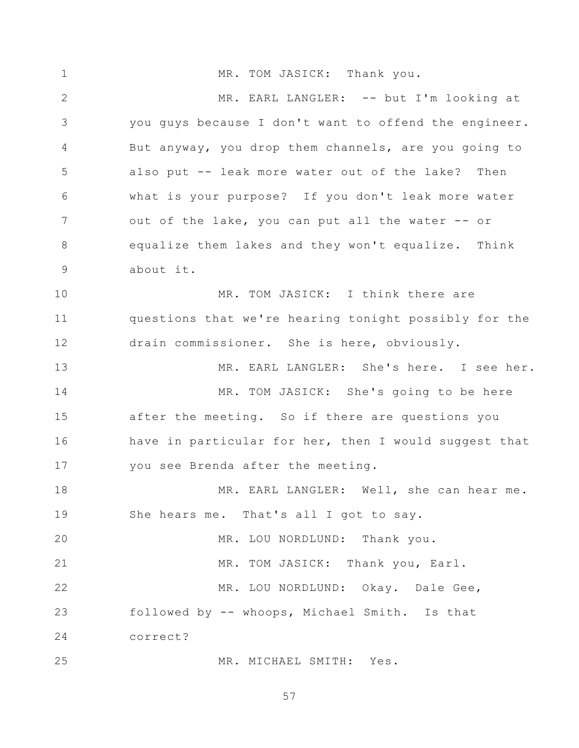1 2 3 4 5 6 7 8 9 10 11 12 13 14 15 16 17 18 19 20 21 22 23 24 25 MR. TOM JASICK: Thank you. MR. EARL LANGLER: -- but I'm looking at you guys because I don't want to offend the engineer. But anyway, you drop them channels, are you going to also put -- leak more water out of the lake? Then what is your purpose? If you don't leak more water out of the lake, you can put all the water -- or equalize them lakes and they won't equalize. Think about it. MR. TOM JASICK: I think there are questions that we're hearing tonight possibly for the drain commissioner. She is here, obviously. MR. EARL LANGLER: She's here. I see her. MR. TOM JASICK: She's going to be here after the meeting. So if there are questions you have in particular for her, then I would suggest that you see Brenda after the meeting. MR. EARL LANGLER: Well, she can hear me. She hears me. That's all I got to say. MR. LOU NORDLUND: Thank you. MR. TOM JASICK: Thank you, Earl. MR. LOU NORDLUND: Okay. Dale Gee, followed by -- whoops, Michael Smith. Is that correct? MR. MICHAEL SMITH: Yes.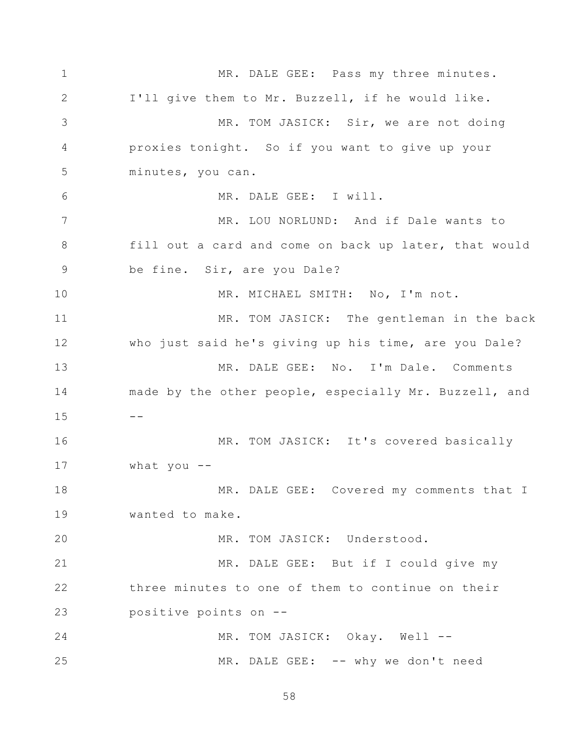1 2 3 4 5 6 7 8 9 10 11 12 13 14 15 16 17 18 19 20 21 22 23 24 25 MR. DALE GEE: Pass my three minutes. I'll give them to Mr. Buzzell, if he would like. MR. TOM JASICK: Sir, we are not doing proxies tonight. So if you want to give up your minutes, you can. MR. DALE GEE: I will. MR. LOU NORLUND: And if Dale wants to fill out a card and come on back up later, that would be fine. Sir, are you Dale? MR. MICHAEL SMITH: No, I'm not. MR. TOM JASICK: The gentleman in the back who just said he's giving up his time, are you Dale? MR. DALE GEE: No. I'm Dale. Comments made by the other people, especially Mr. Buzzell, and  $- -$ MR. TOM JASICK: It's covered basically what you  $-$ MR. DALE GEE: Covered my comments that I wanted to make. MR. TOM JASICK: Understood. MR. DALE GEE: But if I could give my three minutes to one of them to continue on their positive points on -- MR. TOM JASICK: Okay. Well --MR. DALE GEE: -- why we don't need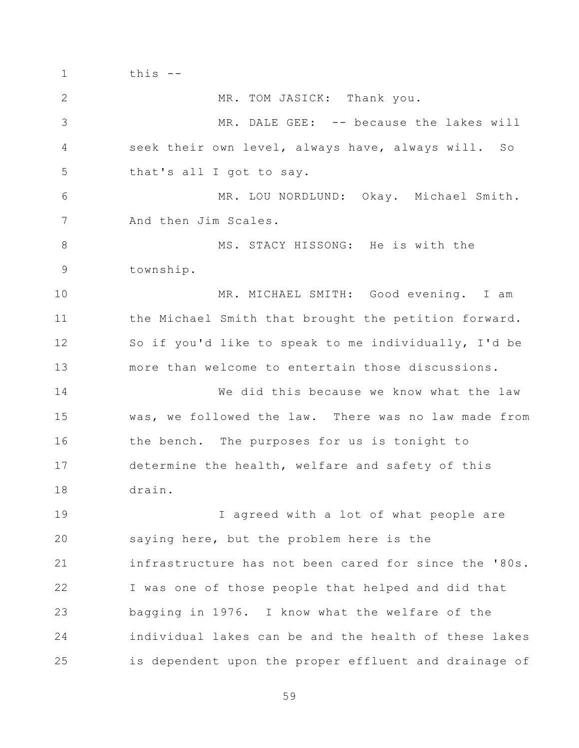1 2 3 4 5 6 7 8 9 10 11 12 13 14 15 16 17 18 19 20 21 22 23 24 25 this -- MR. TOM JASICK: Thank you. MR. DALE GEE: -- because the lakes will seek their own level, always have, always will. So that's all I got to say. MR. LOU NORDLUND: Okay. Michael Smith. And then Jim Scales. MS. STACY HISSONG: He is with the township. MR. MICHAEL SMITH: Good evening. I am the Michael Smith that brought the petition forward. So if you'd like to speak to me individually, I'd be more than welcome to entertain those discussions. We did this because we know what the law was, we followed the law. There was no law made from the bench. The purposes for us is tonight to determine the health, welfare and safety of this drain. I agreed with a lot of what people are saying here, but the problem here is the infrastructure has not been cared for since the '80s. I was one of those people that helped and did that bagging in 1976. I know what the welfare of the individual lakes can be and the health of these lakes is dependent upon the proper effluent and drainage of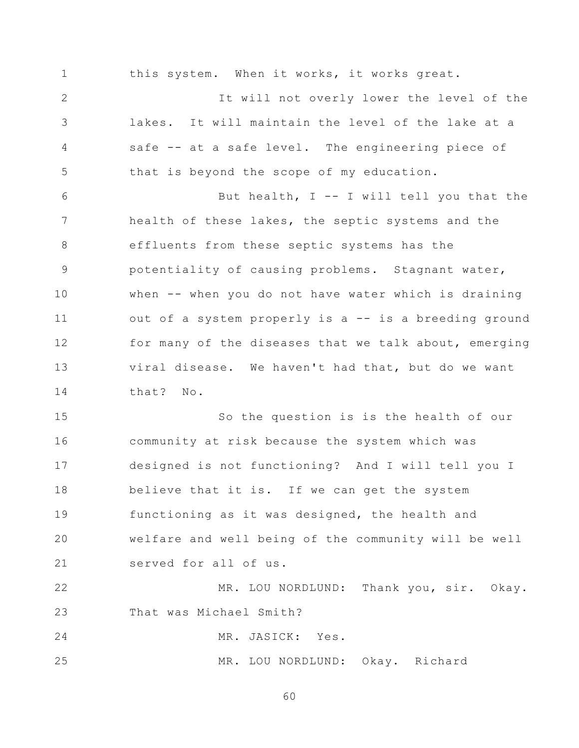1 2 3 4 5 6 7 8 9 10 11 12 13 14 15 16 17 18 19 20 21 22 23 this system. When it works, it works great. It will not overly lower the level of the lakes. It will maintain the level of the lake at a safe -- at a safe level. The engineering piece of that is beyond the scope of my education. But health, I -- I will tell you that the health of these lakes, the septic systems and the effluents from these septic systems has the potentiality of causing problems. Stagnant water, when -- when you do not have water which is draining out of a system properly is a -- is a breeding ground for many of the diseases that we talk about, emerging viral disease. We haven't had that, but do we want that? No. So the question is is the health of our community at risk because the system which was designed is not functioning? And I will tell you I believe that it is. If we can get the system functioning as it was designed, the health and welfare and well being of the community will be well served for all of us. MR. LOU NORDLUND: Thank you, sir. Okay. That was Michael Smith?

24 MR. JASICK: Yes.

25 MR. LOU NORDLUND: Okay. Richard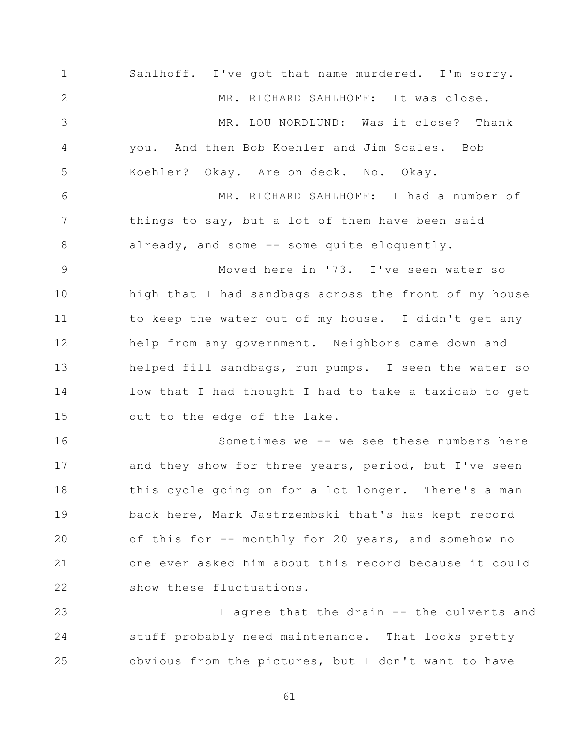1 2 3 4 5 6 7 8 9 10 11 12 13 14 15 16 17 18 19 20 21 22 Sahlhoff. I've got that name murdered. I'm sorry. MR. RICHARD SAHLHOFF: It was close. MR. LOU NORDLUND: Was it close? Thank you. And then Bob Koehler and Jim Scales. Bob Koehler? Okay. Are on deck. No. Okay. MR. RICHARD SAHLHOFF: I had a number of things to say, but a lot of them have been said already, and some -- some quite eloquently. Moved here in '73. I've seen water so high that I had sandbags across the front of my house to keep the water out of my house. I didn't get any help from any government. Neighbors came down and helped fill sandbags, run pumps. I seen the water so low that I had thought I had to take a taxicab to get out to the edge of the lake. Sometimes we -- we see these numbers here and they show for three years, period, but I've seen this cycle going on for a lot longer. There's a man back here, Mark Jastrzembski that's has kept record of this for -- monthly for 20 years, and somehow no one ever asked him about this record because it could show these fluctuations.

23 24 25 I agree that the drain -- the culverts and stuff probably need maintenance. That looks pretty obvious from the pictures, but I don't want to have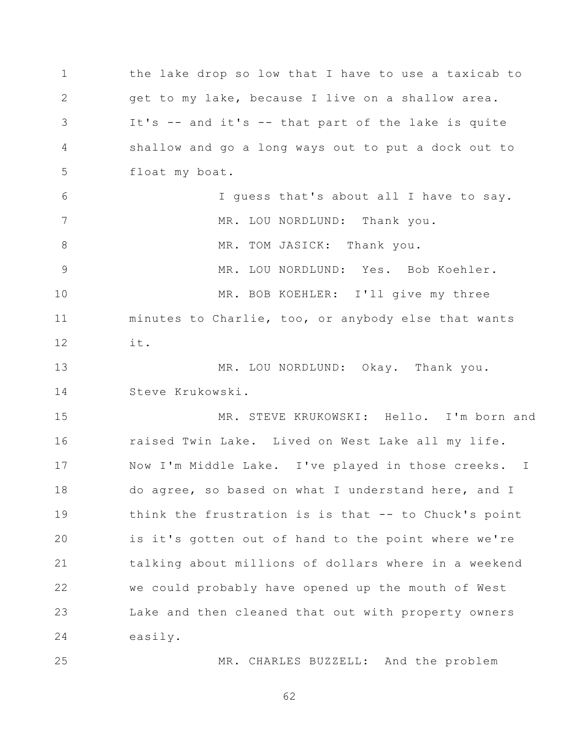1 2 3 4 5 6 7 8 9 10 11 12 13 14 15 16 17 18 19 20 21 22 23 24 25 the lake drop so low that I have to use a taxicab to get to my lake, because I live on a shallow area. It's -- and it's -- that part of the lake is quite shallow and go a long ways out to put a dock out to float my boat. I guess that's about all I have to say. MR. LOU NORDLUND: Thank you. MR. TOM JASICK: Thank you. MR. LOU NORDLUND: Yes. Bob Koehler. MR. BOB KOEHLER: I'll give my three minutes to Charlie, too, or anybody else that wants it. MR. LOU NORDLUND: Okay. Thank you. Steve Krukowski. MR. STEVE KRUKOWSKI: Hello. I'm born and raised Twin Lake. Lived on West Lake all my life. Now I'm Middle Lake. I've played in those creeks. I do agree, so based on what I understand here, and I think the frustration is is that -- to Chuck's point is it's gotten out of hand to the point where we're talking about millions of dollars where in a weekend we could probably have opened up the mouth of West Lake and then cleaned that out with property owners easily. MR. CHARLES BUZZELL: And the problem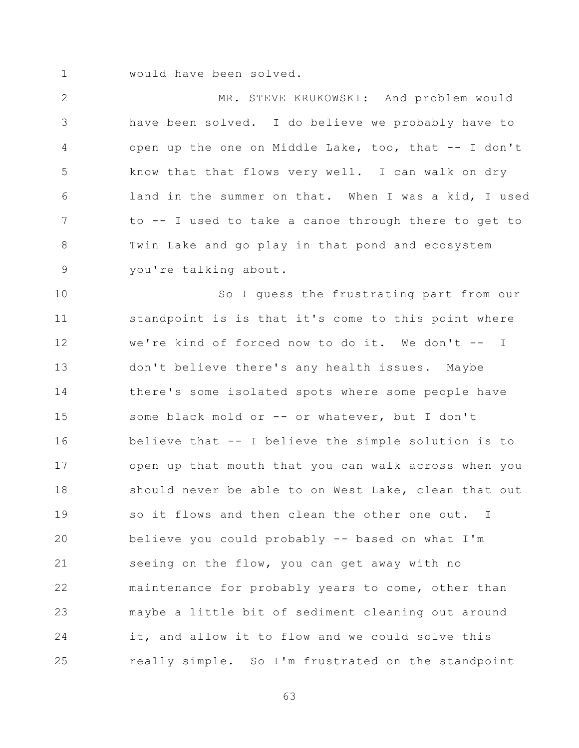1 would have been solved.

2 3 4 5 6 7 8 9 MR. STEVE KRUKOWSKI: And problem would have been solved. I do believe we probably have to open up the one on Middle Lake, too, that -- I don't know that that flows very well. I can walk on dry land in the summer on that. When I was a kid, I used to -- I used to take a canoe through there to get to Twin Lake and go play in that pond and ecosystem you're talking about.

10 11 12 13 14 15 16 17 18 19 20 21 22 23 24 25 So I guess the frustrating part from our standpoint is is that it's come to this point where we're kind of forced now to do it. We don't -- I don't believe there's any health issues. Maybe there's some isolated spots where some people have some black mold or -- or whatever, but I don't believe that -- I believe the simple solution is to open up that mouth that you can walk across when you should never be able to on West Lake, clean that out so it flows and then clean the other one out. I believe you could probably -- based on what I'm seeing on the flow, you can get away with no maintenance for probably years to come, other than maybe a little bit of sediment cleaning out around it, and allow it to flow and we could solve this really simple. So I'm frustrated on the standpoint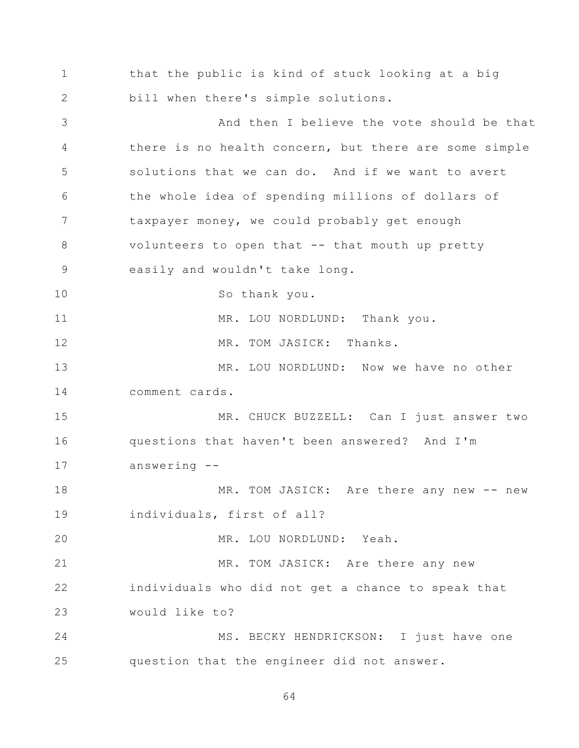1 2 3 4 5 6 7 8 9 10 11 12 13 14 15 16 17 18 19 20 21 22 23 24 25 that the public is kind of stuck looking at a big bill when there's simple solutions. And then I believe the vote should be that there is no health concern, but there are some simple solutions that we can do. And if we want to avert the whole idea of spending millions of dollars of taxpayer money, we could probably get enough volunteers to open that -- that mouth up pretty easily and wouldn't take long. So thank you. MR. LOU NORDLUND: Thank you. MR. TOM JASICK: Thanks. MR. LOU NORDLUND: Now we have no other comment cards. MR. CHUCK BUZZELL: Can I just answer two questions that haven't been answered? And I'm answering -- MR. TOM JASICK: Are there any new -- new individuals, first of all? MR. LOU NORDLUND: Yeah. MR. TOM JASICK: Are there any new individuals who did not get a chance to speak that would like to? MS. BECKY HENDRICKSON: I just have one question that the engineer did not answer.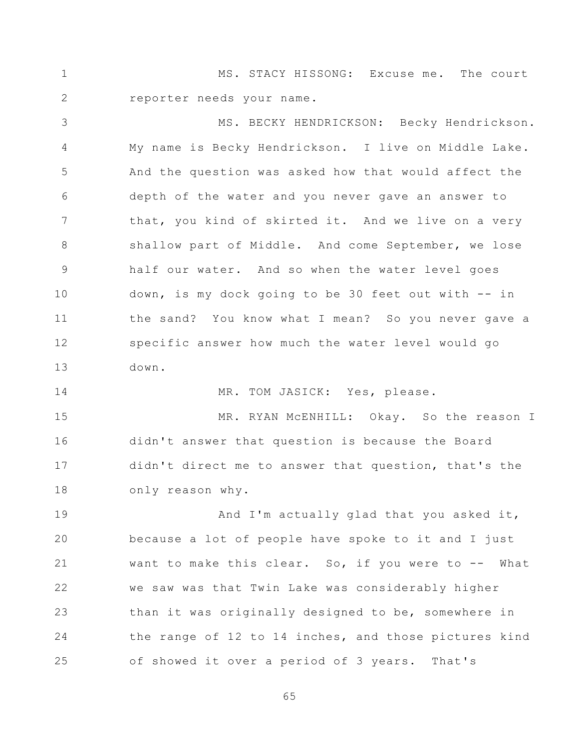1 2 MS. STACY HISSONG: Excuse me. The court reporter needs your name.

3 4 5 6 7 8 9 10 11 12 13 MS. BECKY HENDRICKSON: Becky Hendrickson. My name is Becky Hendrickson. I live on Middle Lake. And the question was asked how that would affect the depth of the water and you never gave an answer to that, you kind of skirted it. And we live on a very shallow part of Middle. And come September, we lose half our water. And so when the water level goes down, is my dock going to be 30 feet out with -- in the sand? You know what I mean? So you never gave a specific answer how much the water level would go down.

14 MR. TOM JASICK: Yes, please.

15 16 17 18 MR. RYAN McENHILL: Okay. So the reason I didn't answer that question is because the Board didn't direct me to answer that question, that's the only reason why.

19 20 21 22 23 24 25 And I'm actually glad that you asked it, because a lot of people have spoke to it and I just want to make this clear. So, if you were to -- What we saw was that Twin Lake was considerably higher than it was originally designed to be, somewhere in the range of 12 to 14 inches, and those pictures kind of showed it over a period of 3 years. That's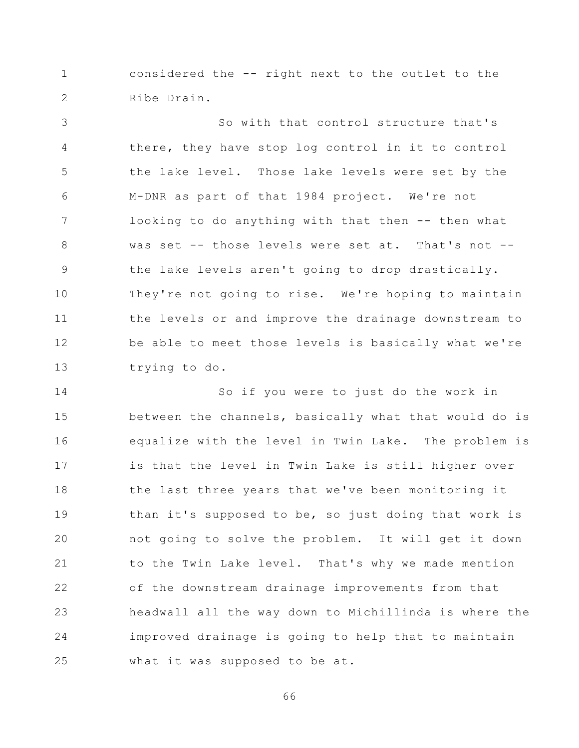1 2 considered the -- right next to the outlet to the Ribe Drain.

3 4 5 6 7 8 9 10 11 12 13 So with that control structure that's there, they have stop log control in it to control the lake level. Those lake levels were set by the M-DNR as part of that 1984 project. We're not looking to do anything with that then -- then what was set -- those levels were set at. That's not -the lake levels aren't going to drop drastically. They're not going to rise. We're hoping to maintain the levels or and improve the drainage downstream to be able to meet those levels is basically what we're trying to do.

14 15 16 17 18 19 20 21 22 23 24 25 So if you were to just do the work in between the channels, basically what that would do is equalize with the level in Twin Lake. The problem is is that the level in Twin Lake is still higher over the last three years that we've been monitoring it than it's supposed to be, so just doing that work is not going to solve the problem. It will get it down to the Twin Lake level. That's why we made mention of the downstream drainage improvements from that headwall all the way down to Michillinda is where the improved drainage is going to help that to maintain what it was supposed to be at.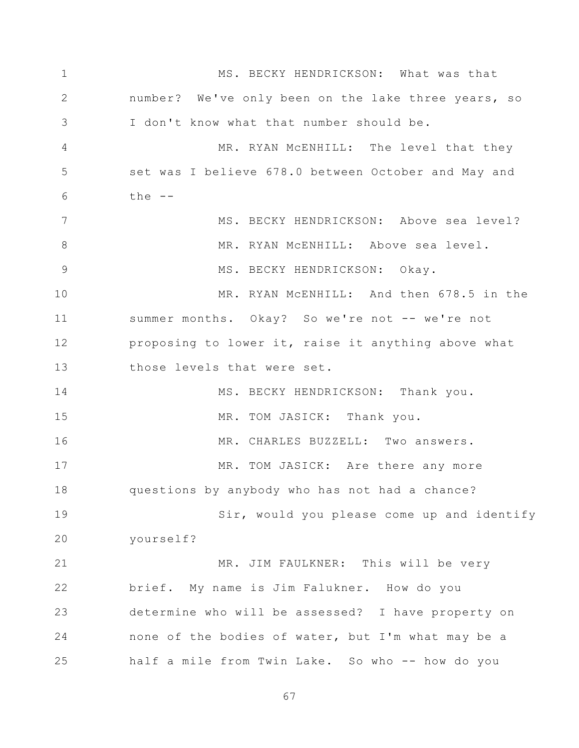1 2 3 4 5 6 7 8 9 10 11 12 13 14 15 16 17 18 19 20 21 22 23 24 25 MS. BECKY HENDRICKSON: What was that number? We've only been on the lake three years, so I don't know what that number should be. MR. RYAN MCENHILL: The level that they set was I believe 678.0 between October and May and the  $--$ MS. BECKY HENDRICKSON: Above sea level? MR. RYAN McENHILL: Above sea level. MS. BECKY HENDRICKSON: Okay. MR. RYAN McENHILL: And then 678.5 in the summer months. Okay? So we're not -- we're not proposing to lower it, raise it anything above what those levels that were set. MS. BECKY HENDRICKSON: Thank you. MR. TOM JASICK: Thank you. MR. CHARLES BUZZELL: Two answers. MR. TOM JASICK: Are there any more questions by anybody who has not had a chance? Sir, would you please come up and identify yourself? MR. JIM FAULKNER: This will be very brief. My name is Jim Falukner. How do you determine who will be assessed? I have property on none of the bodies of water, but I'm what may be a half a mile from Twin Lake. So who -- how do you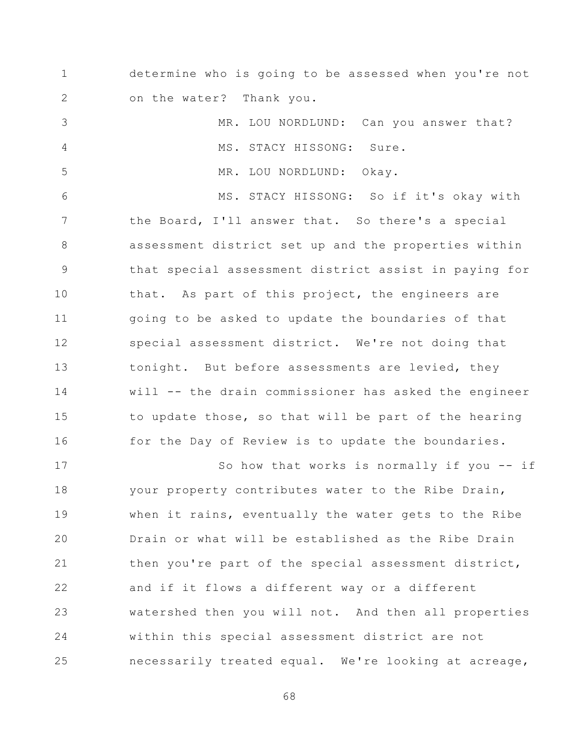1 2 determine who is going to be assessed when you're not on the water? Thank you.

3 4 5 6 7 8 9 10 11 12 13 14 15 16 MR. LOU NORDLUND: Can you answer that? MS. STACY HISSONG: Sure. MR. LOU NORDLUND: Okay. MS. STACY HISSONG: So if it's okay with the Board, I'll answer that. So there's a special assessment district set up and the properties within that special assessment district assist in paying for that. As part of this project, the engineers are going to be asked to update the boundaries of that special assessment district. We're not doing that tonight. But before assessments are levied, they will -- the drain commissioner has asked the engineer to update those, so that will be part of the hearing for the Day of Review is to update the boundaries.

17 18 19 20 21 22 23 24 25 So how that works is normally if you -- if your property contributes water to the Ribe Drain, when it rains, eventually the water gets to the Ribe Drain or what will be established as the Ribe Drain then you're part of the special assessment district, and if it flows a different way or a different watershed then you will not. And then all properties within this special assessment district are not necessarily treated equal. We're looking at acreage,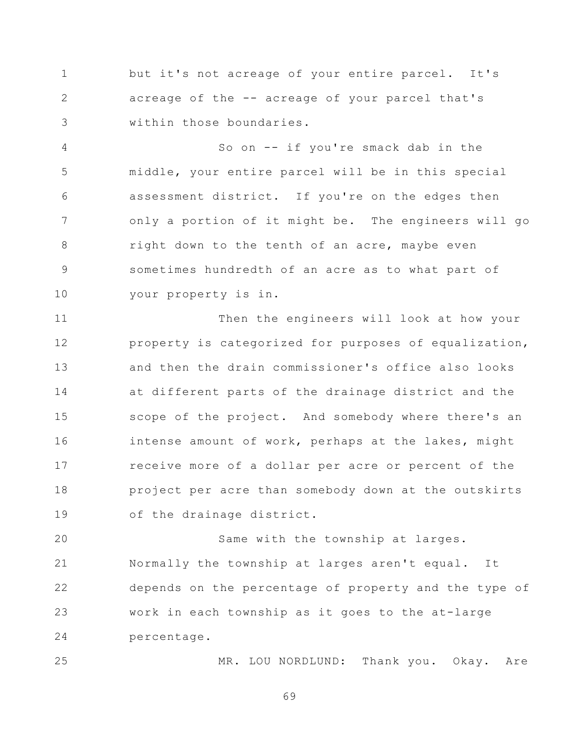1 2 3 but it's not acreage of your entire parcel. It's acreage of the -- acreage of your parcel that's within those boundaries.

4 5 6 7 8 9 10 So on -- if you're smack dab in the middle, your entire parcel will be in this special assessment district. If you're on the edges then only a portion of it might be. The engineers will go right down to the tenth of an acre, maybe even sometimes hundredth of an acre as to what part of your property is in.

11 12 13 14 15 16 17 18 19 Then the engineers will look at how your property is categorized for purposes of equalization, and then the drain commissioner's office also looks at different parts of the drainage district and the scope of the project. And somebody where there's an intense amount of work, perhaps at the lakes, might receive more of a dollar per acre or percent of the project per acre than somebody down at the outskirts of the drainage district.

20 21 22 23 24 Same with the township at larges. Normally the township at larges aren't equal. It depends on the percentage of property and the type of work in each township as it goes to the at-large percentage.

25

MR. LOU NORDLUND: Thank you. Okay. Are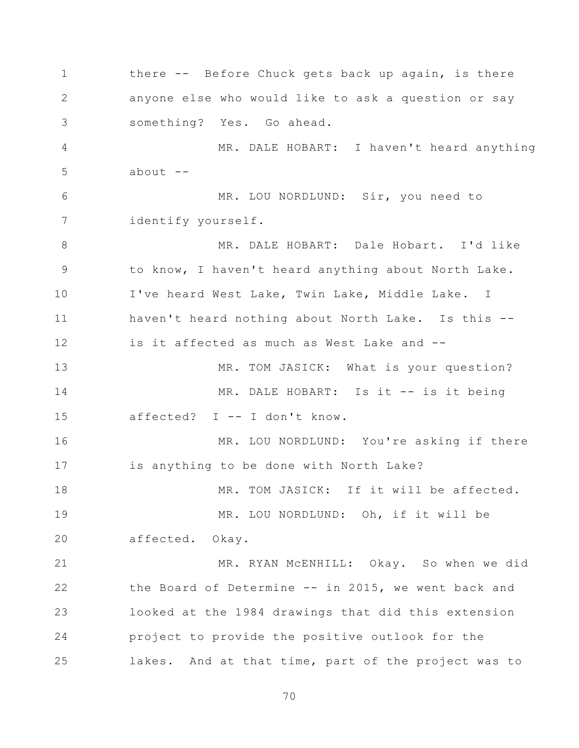1 2 3 4 5 6 7 8 9 10 11 12 13 14 15 16 17 18 19 20 21 22 23 24 25 there -- Before Chuck gets back up again, is there anyone else who would like to ask a question or say something? Yes. Go ahead. MR. DALE HOBART: I haven't heard anything about  $--$ MR. LOU NORDLUND: Sir, you need to identify yourself. MR. DALE HOBART: Dale Hobart. I'd like to know, I haven't heard anything about North Lake. I've heard West Lake, Twin Lake, Middle Lake. I haven't heard nothing about North Lake. Is this - is it affected as much as West Lake and -- MR. TOM JASICK: What is your question? MR. DALE HOBART: Is it -- is it being affected? I -- I don't know. MR. LOU NORDLUND: You're asking if there is anything to be done with North Lake? MR. TOM JASICK: If it will be affected. MR. LOU NORDLUND: Oh, if it will be affected. Okay. MR. RYAN McENHILL: Okay. So when we did the Board of Determine -- in 2015, we went back and looked at the 1984 drawings that did this extension project to provide the positive outlook for the lakes. And at that time, part of the project was to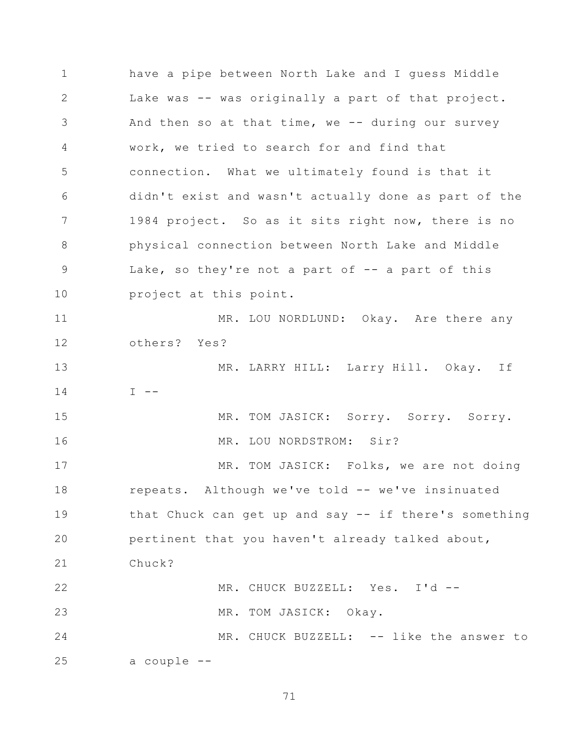1 2 3 4 5 6 7 8 9 10 11 12 13 14 15 16 17 18 19 20 21 22 23 24 25 have a pipe between North Lake and I guess Middle Lake was -- was originally a part of that project. And then so at that time, we  $-$  during our survey work, we tried to search for and find that connection. What we ultimately found is that it didn't exist and wasn't actually done as part of the 1984 project. So as it sits right now, there is no physical connection between North Lake and Middle Lake, so they're not a part of  $-$  a part of this project at this point. MR. LOU NORDLUND: Okay. Are there any others? Yes? MR. LARRY HILL: Larry Hill. Okay. If  $I - -$ MR. TOM JASICK: Sorry. Sorry. Sorry. MR. LOU NORDSTROM: Sir? MR. TOM JASICK: Folks, we are not doing repeats. Although we've told -- we've insinuated that Chuck can get up and say -- if there's something pertinent that you haven't already talked about, Chuck? MR. CHUCK BUZZELL: Yes. I'd -- MR. TOM JASICK: Okay. MR. CHUCK BUZZELL: -- like the answer to a couple --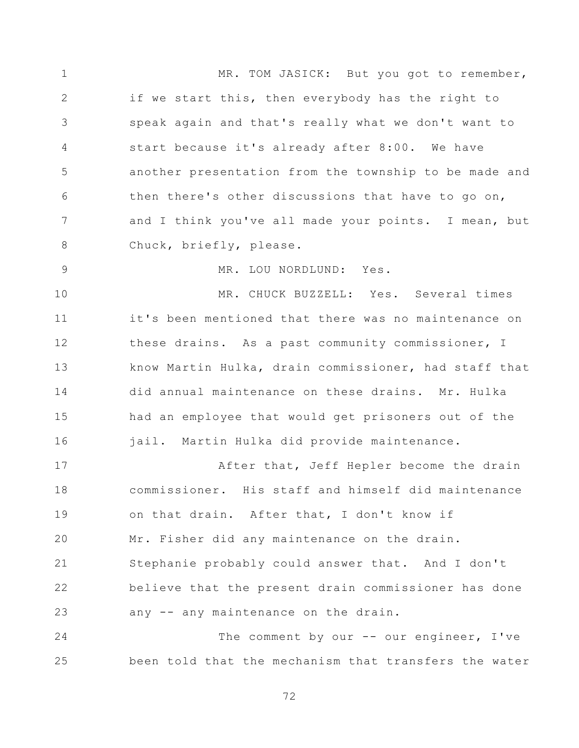1 2 3 4 5 6 7 8 9 10 11 12 13 14 15 16 17 18 19 20 21 22 23 MR. TOM JASICK: But you got to remember, if we start this, then everybody has the right to speak again and that's really what we don't want to start because it's already after 8:00. We have another presentation from the township to be made and then there's other discussions that have to go on, and I think you've all made your points. I mean, but Chuck, briefly, please. MR. LOU NORDLUND: Yes. MR. CHUCK BUZZELL: Yes. Several times it's been mentioned that there was no maintenance on these drains. As a past community commissioner, I know Martin Hulka, drain commissioner, had staff that did annual maintenance on these drains. Mr. Hulka had an employee that would get prisoners out of the jail. Martin Hulka did provide maintenance. After that, Jeff Hepler become the drain commissioner. His staff and himself did maintenance on that drain. After that, I don't know if Mr. Fisher did any maintenance on the drain. Stephanie probably could answer that. And I don't believe that the present drain commissioner has done any -- any maintenance on the drain.

24 25 The comment by our -- our engineer, I've been told that the mechanism that transfers the water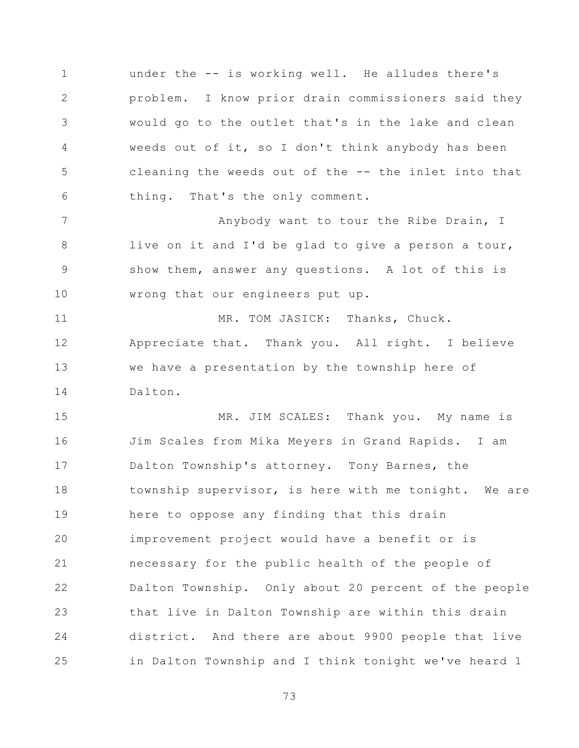1 2 3 4 5 6 under the -- is working well. He alludes there's problem. I know prior drain commissioners said they would go to the outlet that's in the lake and clean weeds out of it, so I don't think anybody has been cleaning the weeds out of the -- the inlet into that thing. That's the only comment.

7 8 9 10 Anybody want to tour the Ribe Drain, I live on it and I'd be glad to give a person a tour, show them, answer any questions. A lot of this is wrong that our engineers put up.

11 12 13 14 MR. TOM JASICK: Thanks, Chuck. Appreciate that. Thank you. All right. I believe we have a presentation by the township here of Dalton.

15 16 17 18 19 20 21 22 23 24 25 MR. JIM SCALES: Thank you. My name is Jim Scales from Mika Meyers in Grand Rapids. I am Dalton Township's attorney. Tony Barnes, the township supervisor, is here with me tonight. We are here to oppose any finding that this drain improvement project would have a benefit or is necessary for the public health of the people of Dalton Township. Only about 20 percent of the people that live in Dalton Township are within this drain district. And there are about 9900 people that live in Dalton Township and I think tonight we've heard 1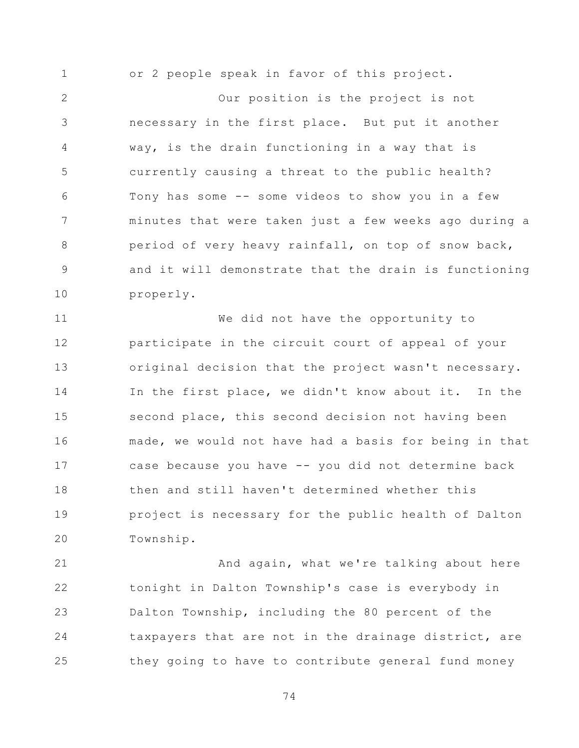1 or 2 people speak in favor of this project.

2 3 4 5 6 7 8 9 10 Our position is the project is not necessary in the first place. But put it another way, is the drain functioning in a way that is currently causing a threat to the public health? Tony has some -- some videos to show you in a few minutes that were taken just a few weeks ago during a period of very heavy rainfall, on top of snow back, and it will demonstrate that the drain is functioning properly.

11 12 13 14 15 16 17 18 19 20 We did not have the opportunity to participate in the circuit court of appeal of your original decision that the project wasn't necessary. In the first place, we didn't know about it. In the second place, this second decision not having been made, we would not have had a basis for being in that case because you have -- you did not determine back then and still haven't determined whether this project is necessary for the public health of Dalton Township.

21 22 23 24 25 And again, what we're talking about here tonight in Dalton Township's case is everybody in Dalton Township, including the 80 percent of the taxpayers that are not in the drainage district, are they going to have to contribute general fund money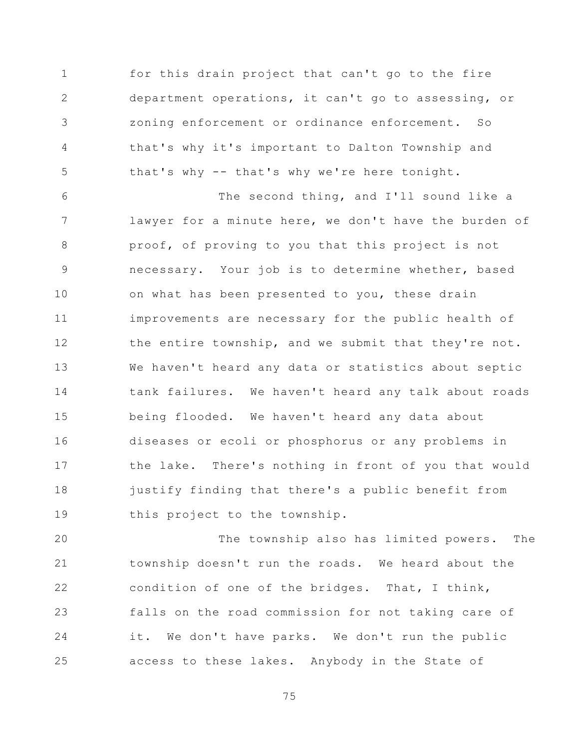1 2 3 4 5 for this drain project that can't go to the fire department operations, it can't go to assessing, or zoning enforcement or ordinance enforcement. So that's why it's important to Dalton Township and that's why -- that's why we're here tonight.

6 7 8 9 10 11 12 13 14 15 16 17 18 19 The second thing, and I'll sound like a lawyer for a minute here, we don't have the burden of proof, of proving to you that this project is not necessary. Your job is to determine whether, based on what has been presented to you, these drain improvements are necessary for the public health of the entire township, and we submit that they're not. We haven't heard any data or statistics about septic tank failures. We haven't heard any talk about roads being flooded. We haven't heard any data about diseases or ecoli or phosphorus or any problems in the lake. There's nothing in front of you that would justify finding that there's a public benefit from this project to the township.

20 21 22 23 24 25 The township also has limited powers. The township doesn't run the roads. We heard about the condition of one of the bridges. That, I think, falls on the road commission for not taking care of it. We don't have parks. We don't run the public access to these lakes. Anybody in the State of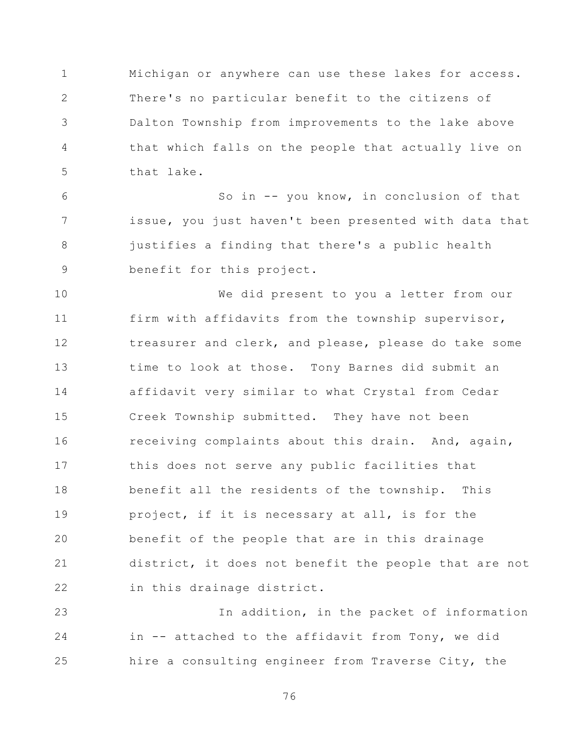1 2 3 4 5 Michigan or anywhere can use these lakes for access. There's no particular benefit to the citizens of Dalton Township from improvements to the lake above that which falls on the people that actually live on that lake.

6 7 8 9 So in -- you know, in conclusion of that issue, you just haven't been presented with data that justifies a finding that there's a public health benefit for this project.

10 11 12 13 14 15 16 17 18 19 20 21 22 We did present to you a letter from our firm with affidavits from the township supervisor, treasurer and clerk, and please, please do take some time to look at those. Tony Barnes did submit an affidavit very similar to what Crystal from Cedar Creek Township submitted. They have not been receiving complaints about this drain. And, again, this does not serve any public facilities that benefit all the residents of the township. This project, if it is necessary at all, is for the benefit of the people that are in this drainage district, it does not benefit the people that are not in this drainage district.

23 24 25 In addition, in the packet of information in -- attached to the affidavit from Tony, we did hire a consulting engineer from Traverse City, the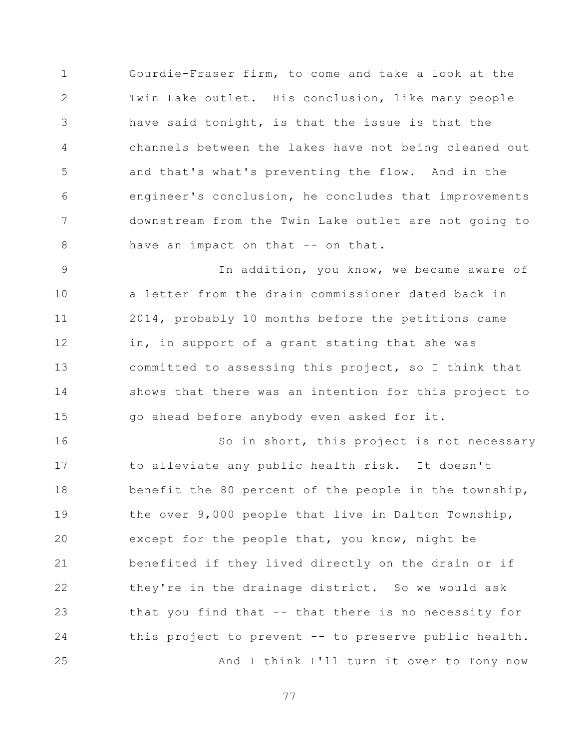1 2 3 4 5 6 7 8 Gourdie-Fraser firm, to come and take a look at the Twin Lake outlet. His conclusion, like many people have said tonight, is that the issue is that the channels between the lakes have not being cleaned out and that's what's preventing the flow. And in the engineer's conclusion, he concludes that improvements downstream from the Twin Lake outlet are not going to have an impact on that -- on that.

9 10 11 12 13 14 15 In addition, you know, we became aware of a letter from the drain commissioner dated back in 2014, probably 10 months before the petitions came in, in support of a grant stating that she was committed to assessing this project, so I think that shows that there was an intention for this project to go ahead before anybody even asked for it.

16 17 18 19 20 21 22 23 24 25 So in short, this project is not necessary to alleviate any public health risk. It doesn't benefit the 80 percent of the people in the township, the over 9,000 people that live in Dalton Township, except for the people that, you know, might be benefited if they lived directly on the drain or if they're in the drainage district. So we would ask that you find that -- that there is no necessity for this project to prevent -- to preserve public health. And I think I'll turn it over to Tony now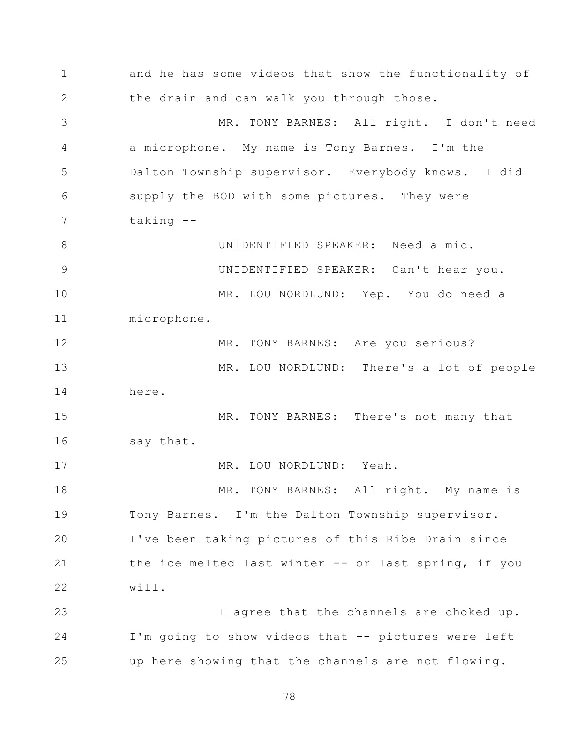1 2 3 4 5 6 7 8 9 10 11 12 13 14 15 16 17 18 19 20 21 22 23 24 25 and he has some videos that show the functionality of the drain and can walk you through those. MR. TONY BARNES: All right. I don't need a microphone. My name is Tony Barnes. I'm the Dalton Township supervisor. Everybody knows. I did supply the BOD with some pictures. They were taking -- UNIDENTIFIED SPEAKER: Need a mic. UNIDENTIFIED SPEAKER: Can't hear you. MR. LOU NORDLUND: Yep. You do need a microphone. MR. TONY BARNES: Are you serious? MR. LOU NORDLUND: There's a lot of people here. MR. TONY BARNES: There's not many that say that. MR. LOU NORDLUND: Yeah. MR. TONY BARNES: All right. My name is Tony Barnes. I'm the Dalton Township supervisor. I've been taking pictures of this Ribe Drain since the ice melted last winter -- or last spring, if you will. I agree that the channels are choked up. I'm going to show videos that -- pictures were left up here showing that the channels are not flowing.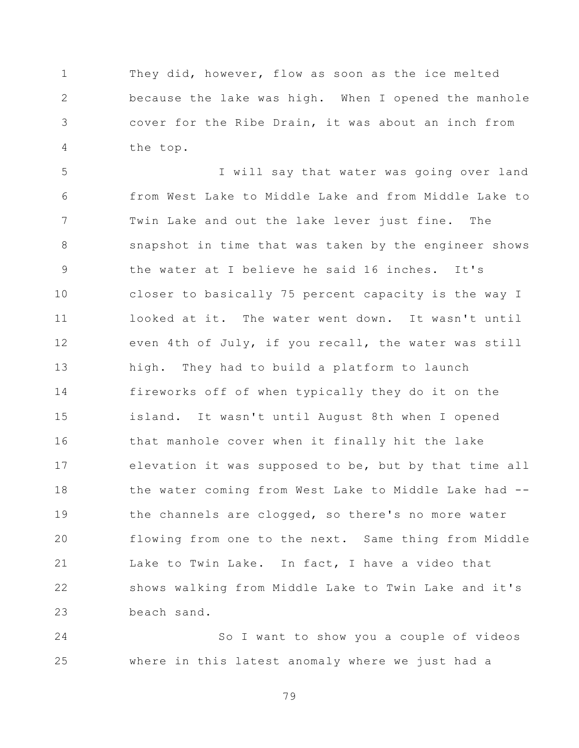1 2 3 4 They did, however, flow as soon as the ice melted because the lake was high. When I opened the manhole cover for the Ribe Drain, it was about an inch from the top.

5 6 7 8 9 10 11 12 13 14 15 16 17 18 19 20 21 22 23 I will say that water was going over land from West Lake to Middle Lake and from Middle Lake to Twin Lake and out the lake lever just fine. The snapshot in time that was taken by the engineer shows the water at I believe he said 16 inches. It's closer to basically 75 percent capacity is the way I looked at it. The water went down. It wasn't until even 4th of July, if you recall, the water was still high. They had to build a platform to launch fireworks off of when typically they do it on the island. It wasn't until August 8th when I opened that manhole cover when it finally hit the lake elevation it was supposed to be, but by that time all the water coming from West Lake to Middle Lake had - the channels are clogged, so there's no more water flowing from one to the next. Same thing from Middle Lake to Twin Lake. In fact, I have a video that shows walking from Middle Lake to Twin Lake and it's beach sand.

24 25 So I want to show you a couple of videos where in this latest anomaly where we just had a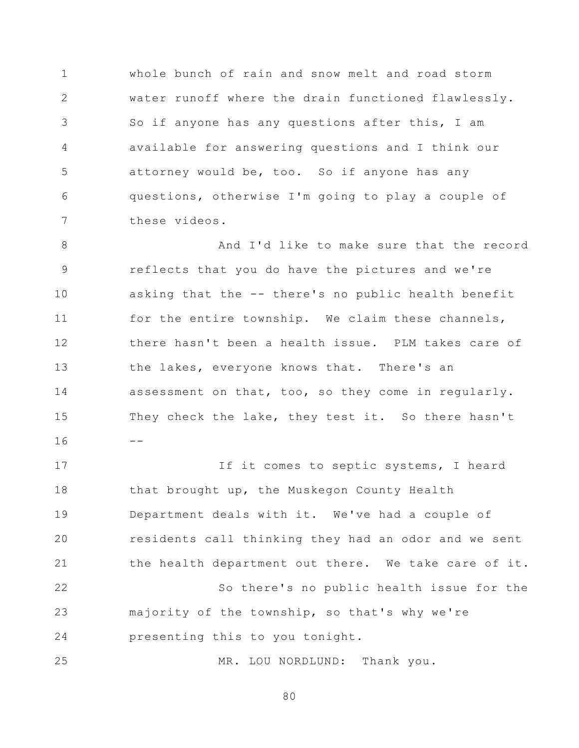1 2 3 4 5 6 7 whole bunch of rain and snow melt and road storm water runoff where the drain functioned flawlessly. So if anyone has any questions after this, I am available for answering questions and I think our attorney would be, too. So if anyone has any questions, otherwise I'm going to play a couple of these videos.

8 9 10 11 12 13 14 15 16 And I'd like to make sure that the record reflects that you do have the pictures and we're asking that the -- there's no public health benefit for the entire township. We claim these channels, there hasn't been a health issue. PLM takes care of the lakes, everyone knows that. There's an assessment on that, too, so they come in regularly. They check the lake, they test it. So there hasn't  $-1$ 

17 18 19 20 21 22 23 24 25 If it comes to septic systems, I heard that brought up, the Muskegon County Health Department deals with it. We've had a couple of residents call thinking they had an odor and we sent the health department out there. We take care of it. So there's no public health issue for the majority of the township, so that's why we're presenting this to you tonight.

MR. LOU NORDLUND: Thank you.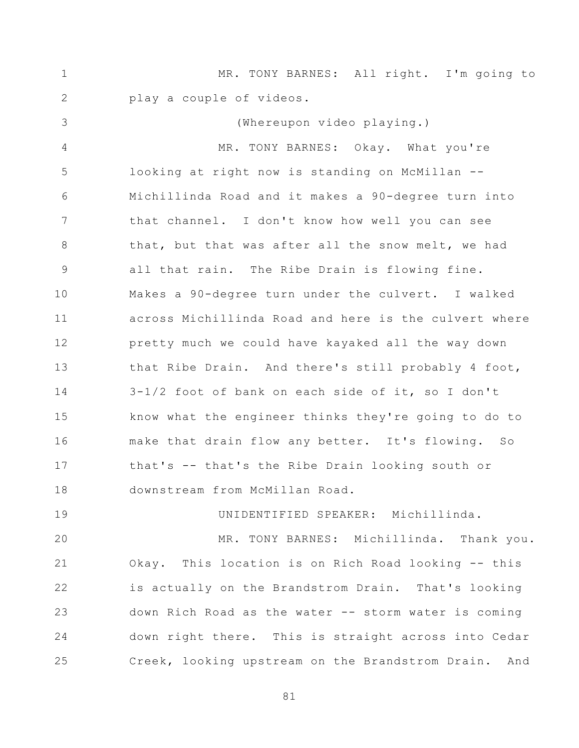1 2 3 4 5 6 7 8 9 10 11 12 13 14 15 16 17 18 19 20 21 22 23 24 25 MR. TONY BARNES: All right. I'm going to play a couple of videos. (Whereupon video playing.) MR. TONY BARNES: Okay. What you're looking at right now is standing on McMillan -- Michillinda Road and it makes a 90-degree turn into that channel. I don't know how well you can see that, but that was after all the snow melt, we had all that rain. The Ribe Drain is flowing fine. Makes a 90-degree turn under the culvert. I walked across Michillinda Road and here is the culvert where pretty much we could have kayaked all the way down that Ribe Drain. And there's still probably 4 foot, 3-1/2 foot of bank on each side of it, so I don't know what the engineer thinks they're going to do to make that drain flow any better. It's flowing. So that's -- that's the Ribe Drain looking south or downstream from McMillan Road. UNIDENTIFIED SPEAKER: Michillinda. MR. TONY BARNES: Michillinda. Thank you. Okay. This location is on Rich Road looking -- this is actually on the Brandstrom Drain. That's looking down Rich Road as the water -- storm water is coming down right there. This is straight across into Cedar Creek, looking upstream on the Brandstrom Drain. And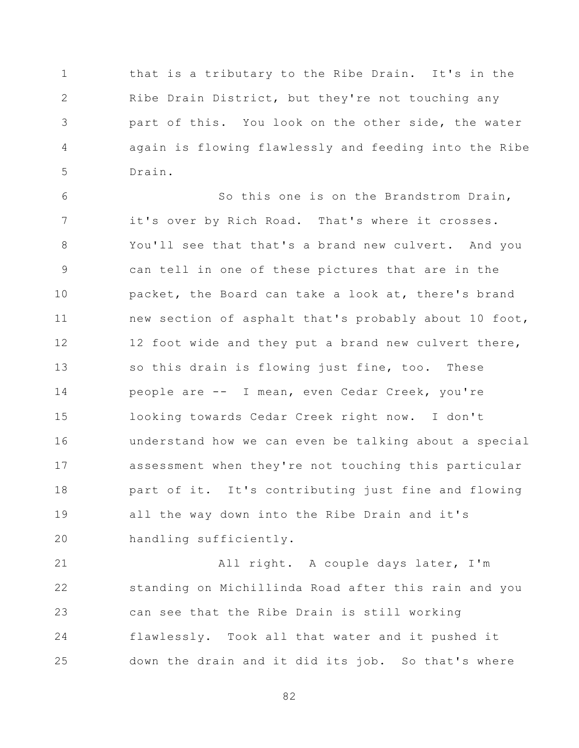1 2 3 4 5 that is a tributary to the Ribe Drain. It's in the Ribe Drain District, but they're not touching any part of this. You look on the other side, the water again is flowing flawlessly and feeding into the Ribe Drain.

6 7 8 9 10 11 12 13 14 15 16 17 18 19 20 So this one is on the Brandstrom Drain, it's over by Rich Road. That's where it crosses. You'll see that that's a brand new culvert. And you can tell in one of these pictures that are in the packet, the Board can take a look at, there's brand new section of asphalt that's probably about 10 foot, 12 foot wide and they put a brand new culvert there, so this drain is flowing just fine, too. These people are -- I mean, even Cedar Creek, you're looking towards Cedar Creek right now. I don't understand how we can even be talking about a special assessment when they're not touching this particular part of it. It's contributing just fine and flowing all the way down into the Ribe Drain and it's handling sufficiently.

21 22 23 24 25 All right. A couple days later, I'm standing on Michillinda Road after this rain and you can see that the Ribe Drain is still working flawlessly. Took all that water and it pushed it down the drain and it did its job. So that's where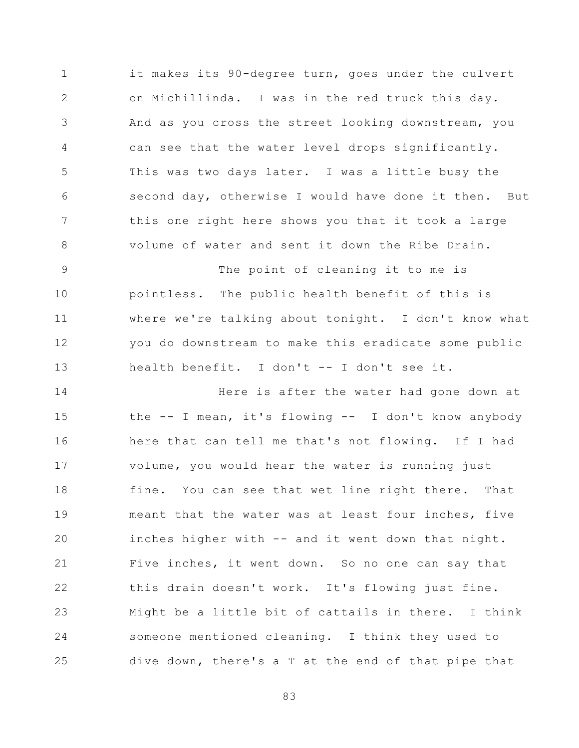1 2 3 4 5 6 7 8 it makes its 90-degree turn, goes under the culvert on Michillinda. I was in the red truck this day. And as you cross the street looking downstream, you can see that the water level drops significantly. This was two days later. I was a little busy the second day, otherwise I would have done it then. But this one right here shows you that it took a large volume of water and sent it down the Ribe Drain.

9 10 11 12 13 The point of cleaning it to me is pointless. The public health benefit of this is where we're talking about tonight. I don't know what you do downstream to make this eradicate some public health benefit. I don't -- I don't see it.

14 15 16 17 18 19 20 21 22 23 24 25 Here is after the water had gone down at the -- I mean, it's flowing -- I don't know anybody here that can tell me that's not flowing. If I had volume, you would hear the water is running just fine. You can see that wet line right there. That meant that the water was at least four inches, five inches higher with -- and it went down that night. Five inches, it went down. So no one can say that this drain doesn't work. It's flowing just fine. Might be a little bit of cattails in there. I think someone mentioned cleaning. I think they used to dive down, there's a T at the end of that pipe that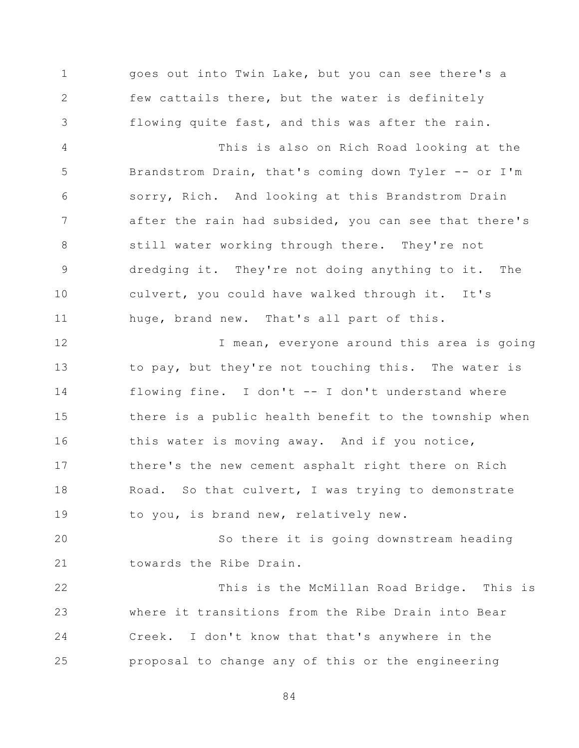1 2 3 4 5 6 7 8 9 10 11 12 13 14 15 16 17 18 19 20 21 22 23 24 25 goes out into Twin Lake, but you can see there's a few cattails there, but the water is definitely flowing quite fast, and this was after the rain. This is also on Rich Road looking at the Brandstrom Drain, that's coming down Tyler -- or I'm sorry, Rich. And looking at this Brandstrom Drain after the rain had subsided, you can see that there's still water working through there. They're not dredging it. They're not doing anything to it. The culvert, you could have walked through it. It's huge, brand new. That's all part of this. I mean, everyone around this area is going to pay, but they're not touching this. The water is flowing fine. I don't -- I don't understand where there is a public health benefit to the township when this water is moving away. And if you notice, there's the new cement asphalt right there on Rich Road. So that culvert, I was trying to demonstrate to you, is brand new, relatively new. So there it is going downstream heading towards the Ribe Drain. This is the McMillan Road Bridge. This is where it transitions from the Ribe Drain into Bear Creek. I don't know that that's anywhere in the proposal to change any of this or the engineering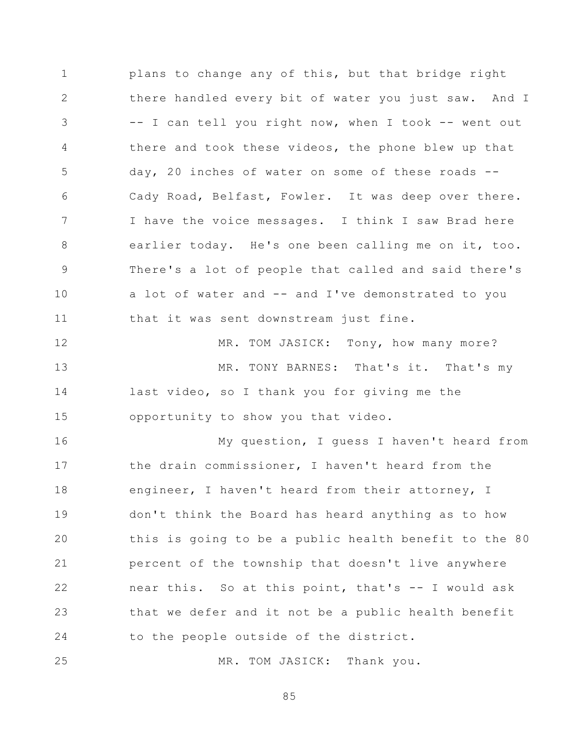1 2 3 4 5 6 7 8 9 10 11 12 plans to change any of this, but that bridge right there handled every bit of water you just saw. And I -- I can tell you right now, when I took -- went out there and took these videos, the phone blew up that day, 20 inches of water on some of these roads -- Cady Road, Belfast, Fowler. It was deep over there. I have the voice messages. I think I saw Brad here earlier today. He's one been calling me on it, too. There's a lot of people that called and said there's a lot of water and -- and I've demonstrated to you that it was sent downstream just fine. MR. TOM JASICK: Tony, how many more?

13 14 15 MR. TONY BARNES: That's it. That's my last video, so I thank you for giving me the opportunity to show you that video.

16 17 18 19 20 21 22 23 24 My question, I guess I haven't heard from the drain commissioner, I haven't heard from the engineer, I haven't heard from their attorney, I don't think the Board has heard anything as to how this is going to be a public health benefit to the 80 percent of the township that doesn't live anywhere near this. So at this point, that's -- I would ask that we defer and it not be a public health benefit to the people outside of the district.

25 MR. TOM JASICK: Thank you.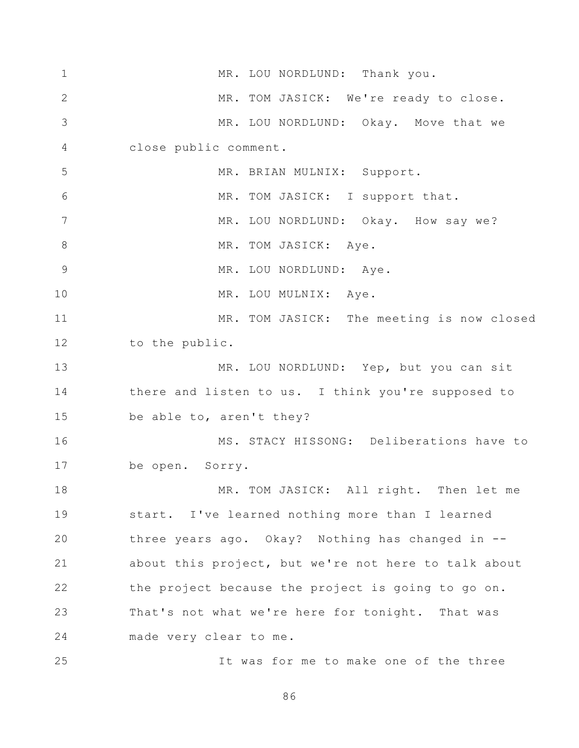1 2 3 4 5 6 7 8 9 10 11 12 13 14 15 16 17 18 19 20 21 22 23 24 25 MR. LOU NORDLUND: Thank you. MR. TOM JASICK: We're ready to close. MR. LOU NORDLUND: Okay. Move that we close public comment. MR. BRIAN MULNIX: Support. MR. TOM JASICK: I support that. MR. LOU NORDLUND: Okay. How say we? MR. TOM JASICK: Aye. MR. LOU NORDLUND: Aye. MR. LOU MULNIX: Aye. MR. TOM JASICK: The meeting is now closed to the public. MR. LOU NORDLUND: Yep, but you can sit there and listen to us. I think you're supposed to be able to, aren't they? MS. STACY HISSONG: Deliberations have to be open. Sorry. MR. TOM JASICK: All right. Then let me start. I've learned nothing more than I learned three years ago. Okay? Nothing has changed in - about this project, but we're not here to talk about the project because the project is going to go on. That's not what we're here for tonight. That was made very clear to me. It was for me to make one of the three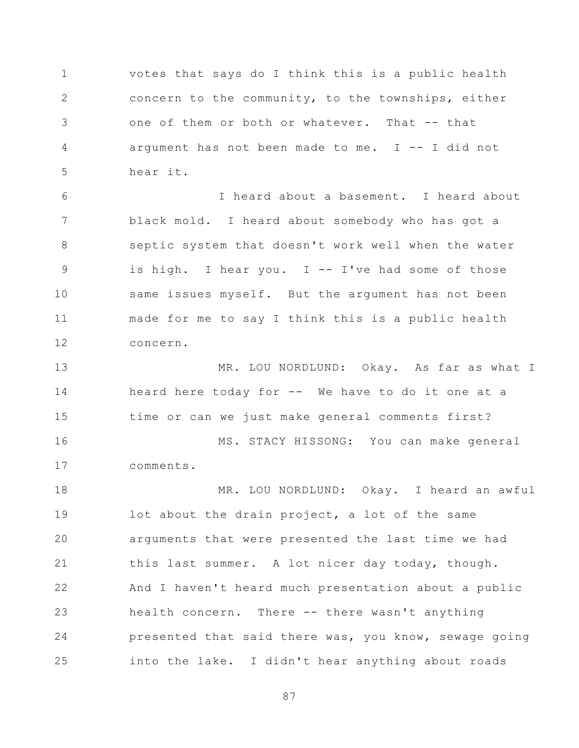1 2 3 4 5 votes that says do I think this is a public health concern to the community, to the townships, either one of them or both or whatever. That -- that argument has not been made to me.  $I$  -- I did not hear it.

6 7 8 9 10 11 12 I heard about a basement. I heard about black mold. I heard about somebody who has got a septic system that doesn't work well when the water is high. I hear you.  $I - I've$  had some of those same issues myself. But the argument has not been made for me to say I think this is a public health concern.

13 14 15 16 17 MR. LOU NORDLUND: Okay. As far as what I heard here today for -- We have to do it one at a time or can we just make general comments first? MS. STACY HISSONG: You can make general comments.

18 19 20 21 22 23 24 25 MR. LOU NORDLUND: Okay. I heard an awful lot about the drain project, a lot of the same arguments that were presented the last time we had this last summer. A lot nicer day today, though. And I haven't heard much presentation about a public health concern. There -- there wasn't anything presented that said there was, you know, sewage going into the lake. I didn't hear anything about roads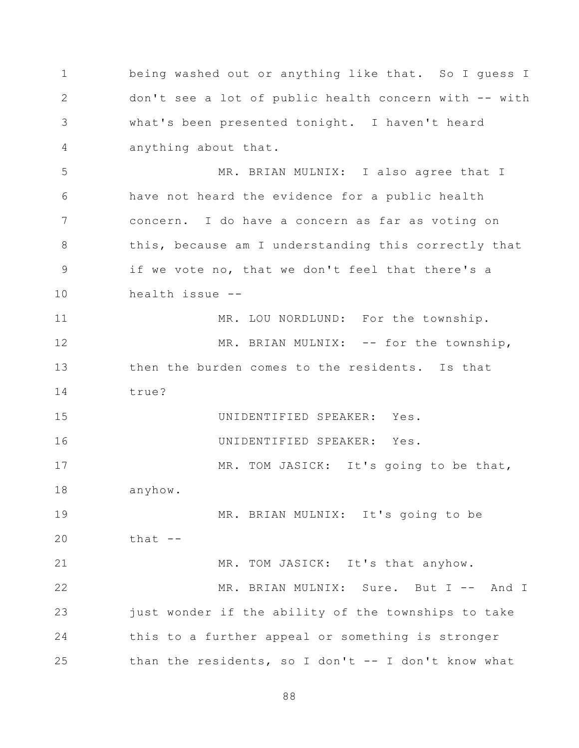1 2 3 4 being washed out or anything like that. So I guess I don't see a lot of public health concern with -- with what's been presented tonight. I haven't heard anything about that.

5 6 7 8 9 10 MR. BRIAN MULNIX: I also agree that I have not heard the evidence for a public health concern. I do have a concern as far as voting on this, because am I understanding this correctly that if we vote no, that we don't feel that there's a health issue --

11 12 13 14 MR. LOU NORDLUND: For the township. MR. BRIAN MULNIX: -- for the township, then the burden comes to the residents. Is that true?

15 UNIDENTIFIED SPEAKER: Yes.

16

UNIDENTIFIED SPEAKER: Yes.

17 18 MR. TOM JASICK: It's going to be that, anyhow.

19 20 MR. BRIAN MULNIX: It's going to be that --

21 22 23 24 25 MR. TOM JASICK: It's that anyhow. MR. BRIAN MULNIX: Sure. But I -- And I just wonder if the ability of the townships to take this to a further appeal or something is stronger than the residents, so I don't -- I don't know what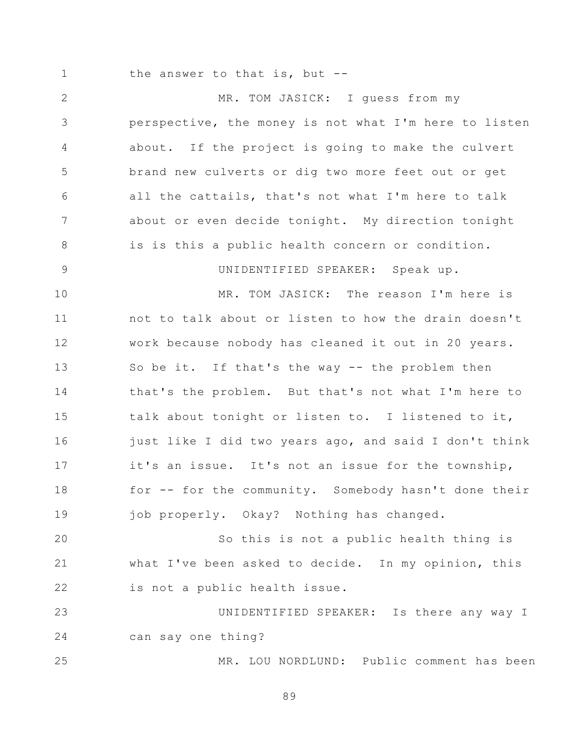1

the answer to that is, but --

2 3 4 5 6 7 8 9 10 11 12 13 14 15 16 17 18 19 20 21 22 23 24 25 MR. TOM JASICK: I guess from my perspective, the money is not what I'm here to listen about. If the project is going to make the culvert brand new culverts or dig two more feet out or get all the cattails, that's not what I'm here to talk about or even decide tonight. My direction tonight is is this a public health concern or condition. UNIDENTIFIED SPEAKER: Speak up. MR. TOM JASICK: The reason I'm here is not to talk about or listen to how the drain doesn't work because nobody has cleaned it out in 20 years. So be it. If that's the way -- the problem then that's the problem. But that's not what I'm here to talk about tonight or listen to. I listened to it, just like I did two years ago, and said I don't think it's an issue. It's not an issue for the township, for -- for the community. Somebody hasn't done their job properly. Okay? Nothing has changed. So this is not a public health thing is what I've been asked to decide. In my opinion, this is not a public health issue. UNIDENTIFIED SPEAKER: Is there any way I can say one thing? MR. LOU NORDLUND: Public comment has been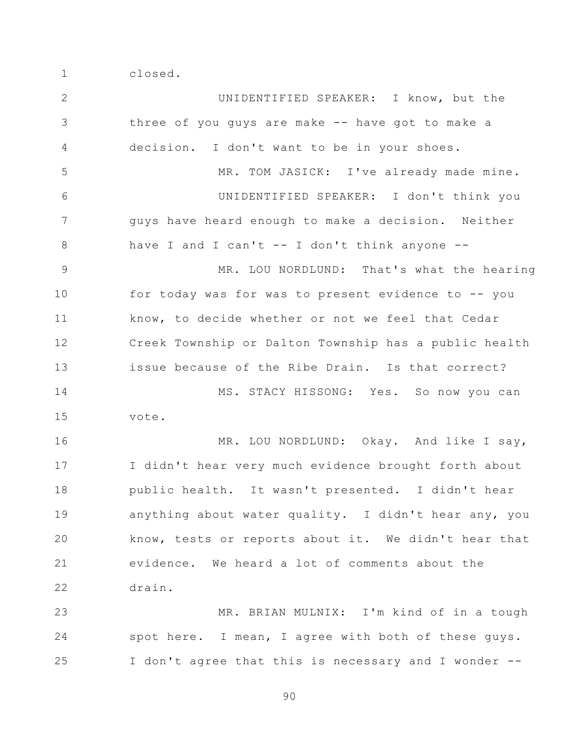1 closed.

2 3 4 5 6 7 8 9 10 11 12 13 14 15 16 17 18 19 20 21 22 23 24 25 UNIDENTIFIED SPEAKER: I know, but the three of you guys are make -- have got to make a decision. I don't want to be in your shoes. MR. TOM JASICK: I've already made mine. UNIDENTIFIED SPEAKER: I don't think you guys have heard enough to make a decision. Neither have I and I can't  $-$  I don't think anyone  $-$ MR. LOU NORDLUND: That's what the hearing for today was for was to present evidence to -- you know, to decide whether or not we feel that Cedar Creek Township or Dalton Township has a public health issue because of the Ribe Drain. Is that correct? MS. STACY HISSONG: Yes. So now you can vote. MR. LOU NORDLUND: Okay. And like I say, I didn't hear very much evidence brought forth about public health. It wasn't presented. I didn't hear anything about water quality. I didn't hear any, you know, tests or reports about it. We didn't hear that evidence. We heard a lot of comments about the drain. MR. BRIAN MULNIX: I'm kind of in a tough spot here. I mean, I agree with both of these guys. I don't agree that this is necessary and I wonder --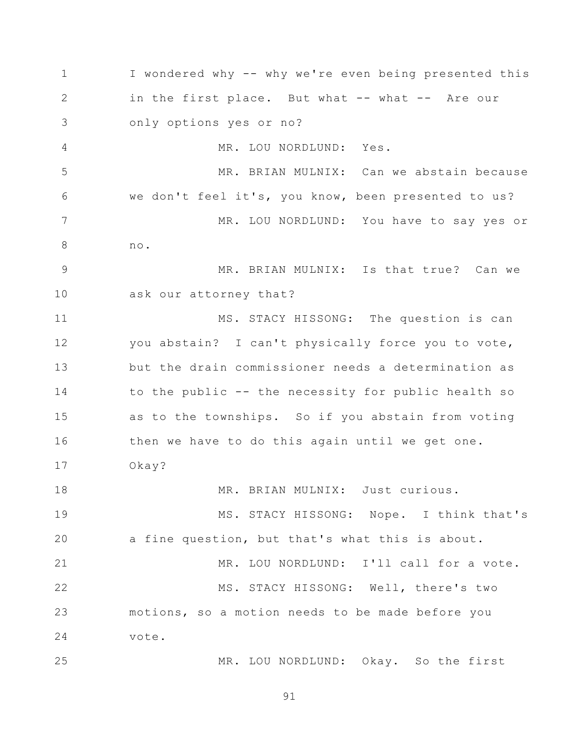1 2 3 4 5 6 7 8 9 10 11 12 13 14 15 16 17 18 19 20 21 22 23 24 25 I wondered why -- why we're even being presented this in the first place. But what -- what -- Are our only options yes or no? MR. LOU NORDLUND: Yes. MR. BRIAN MULNIX: Can we abstain because we don't feel it's, you know, been presented to us? MR. LOU NORDLUND: You have to say yes or no. MR. BRIAN MULNIX: Is that true? Can we ask our attorney that? MS. STACY HISSONG: The question is can you abstain? I can't physically force you to vote, but the drain commissioner needs a determination as to the public -- the necessity for public health so as to the townships. So if you abstain from voting then we have to do this again until we get one. Okay? MR. BRIAN MULNIX: Just curious. MS. STACY HISSONG: Nope. I think that's a fine question, but that's what this is about. MR. LOU NORDLUND: I'll call for a vote. MS. STACY HISSONG: Well, there's two motions, so a motion needs to be made before you vote. MR. LOU NORDLUND: Okay. So the first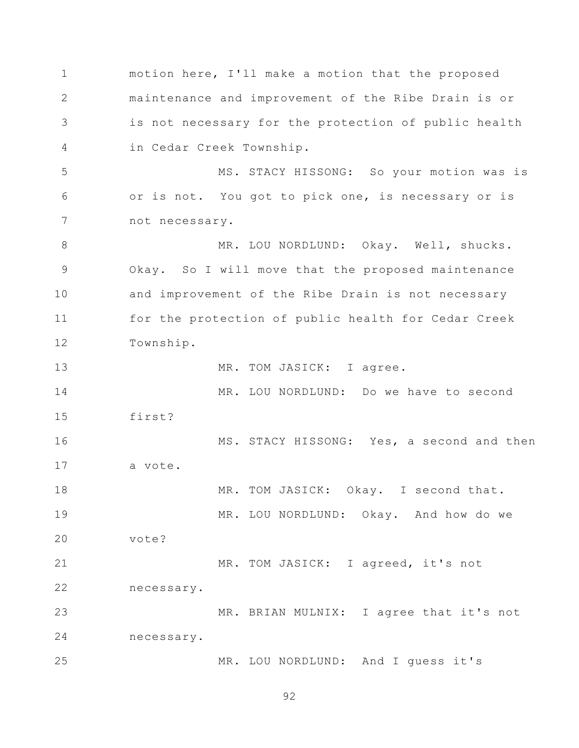1 2 3 4 5 6 7 8 9 10 11 12 13 14 15 16 17 18 19 20 21 22 23 24 25 motion here, I'll make a motion that the proposed maintenance and improvement of the Ribe Drain is or is not necessary for the protection of public health in Cedar Creek Township. MS. STACY HISSONG: So your motion was is or is not. You got to pick one, is necessary or is not necessary. MR. LOU NORDLUND: Okay. Well, shucks. Okay. So I will move that the proposed maintenance and improvement of the Ribe Drain is not necessary for the protection of public health for Cedar Creek Township. MR. TOM JASICK: I agree. MR. LOU NORDLUND: Do we have to second first? MS. STACY HISSONG: Yes, a second and then a vote. MR. TOM JASICK: Okay. I second that. MR. LOU NORDLUND: Okay. And how do we vote? MR. TOM JASICK: I agreed, it's not necessary. MR. BRIAN MULNIX: I agree that it's not necessary. MR. LOU NORDLUND: And I guess it's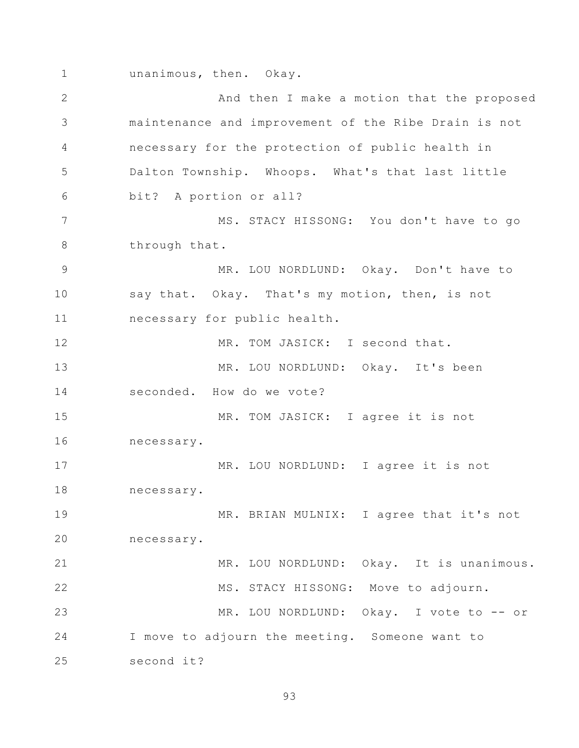1 unanimous, then. Okay.

2 3 4 5 6 7 8 9 10 11 12 13 14 15 16 17 18 19 20 21 22 23 24 25 And then I make a motion that the proposed maintenance and improvement of the Ribe Drain is not necessary for the protection of public health in Dalton Township. Whoops. What's that last little bit? A portion or all? MS. STACY HISSONG: You don't have to go through that. MR. LOU NORDLUND: Okay. Don't have to say that. Okay. That's my motion, then, is not necessary for public health. MR. TOM JASICK: I second that. MR. LOU NORDLUND: Okay. It's been seconded. How do we vote? MR. TOM JASICK: I agree it is not necessary. MR. LOU NORDLUND: I agree it is not necessary. MR. BRIAN MULNIX: I agree that it's not necessary. MR. LOU NORDLUND: Okay. It is unanimous. MS. STACY HISSONG: Move to adjourn. MR. LOU NORDLUND: Okay. I vote to -- or I move to adjourn the meeting. Someone want to second it?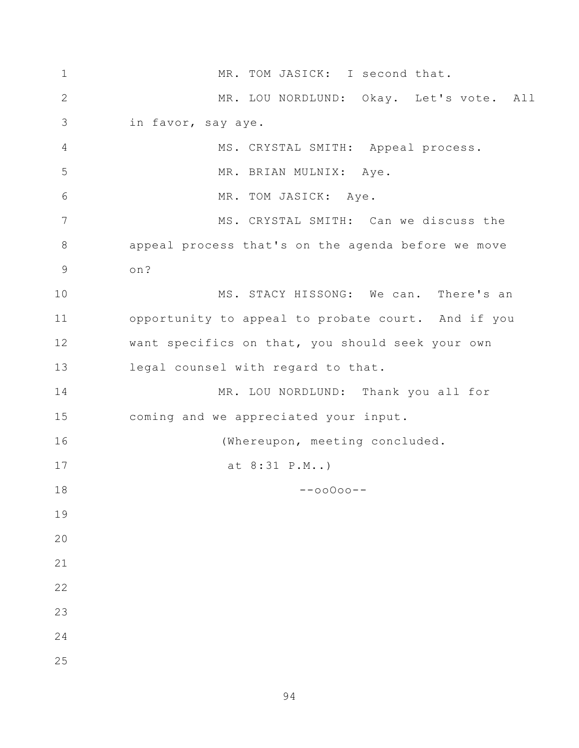| $1\,$          | MR. TOM JASICK: I second that.                     |
|----------------|----------------------------------------------------|
| $\mathbf{2}$   | MR. LOU NORDLUND: Okay. Let's vote. All            |
| 3              | in favor, say aye.                                 |
| $\overline{4}$ | MS. CRYSTAL SMITH: Appeal process.                 |
| 5              | MR. BRIAN MULNIX: Aye.                             |
| 6              | MR. TOM JASICK: Aye.                               |
| $\overline{7}$ | MS. CRYSTAL SMITH: Can we discuss the              |
| $8\,$          | appeal process that's on the agenda before we move |
| 9              | on?                                                |
| 10             | MS. STACY HISSONG: We can. There's an              |
| 11             | opportunity to appeal to probate court. And if you |
| 12             | want specifics on that, you should seek your own   |
| 13             | legal counsel with regard to that.                 |
| 14             | MR. LOU NORDLUND: Thank you all for                |
| 15             | coming and we appreciated your input.              |
| 16             | (Whereupon, meeting concluded.                     |
| 17             | at 8:31 P.M)                                       |
| $18\,$         | $--00000--$                                        |
| 19             |                                                    |
| 20             |                                                    |
| 21             |                                                    |
| 22             |                                                    |
| 23             |                                                    |
| 24             |                                                    |
| 25             |                                                    |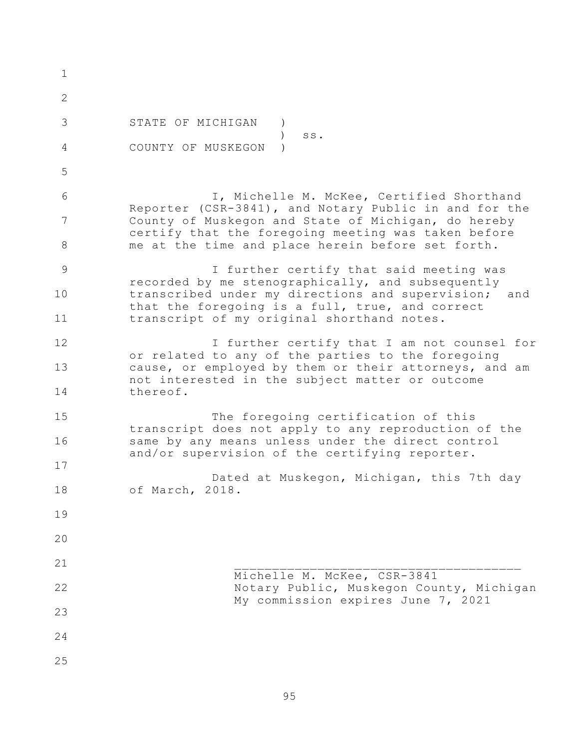1 2 3 4 5 6 7 8 9 10 11 12 13 14 15 16 17 18 19 20 21 22 23 24 25 STATE OF MICHIGAN )  $\qquad \qquad$  ss. COUNTY OF MUSKEGON ) I, Michelle M. McKee, Certified Shorthand Reporter (CSR-3841), and Notary Public in and for the County of Muskegon and State of Michigan, do hereby certify that the foregoing meeting was taken before me at the time and place herein before set forth. I further certify that said meeting was recorded by me stenographically, and subsequently transcribed under my directions and supervision; and that the foregoing is a full, true, and correct transcript of my original shorthand notes. I further certify that I am not counsel for or related to any of the parties to the foregoing cause, or employed by them or their attorneys, and am not interested in the subject matter or outcome thereof. The foregoing certification of this transcript does not apply to any reproduction of the same by any means unless under the direct control and/or supervision of the certifying reporter. Dated at Muskegon, Michigan, this 7th day of March, 2018.  $\overline{\phantom{a}}$  ,  $\overline{\phantom{a}}$  ,  $\overline{\phantom{a}}$  ,  $\overline{\phantom{a}}$  ,  $\overline{\phantom{a}}$  ,  $\overline{\phantom{a}}$  ,  $\overline{\phantom{a}}$  ,  $\overline{\phantom{a}}$  ,  $\overline{\phantom{a}}$  ,  $\overline{\phantom{a}}$  ,  $\overline{\phantom{a}}$  ,  $\overline{\phantom{a}}$  ,  $\overline{\phantom{a}}$  ,  $\overline{\phantom{a}}$  ,  $\overline{\phantom{a}}$  ,  $\overline{\phantom{a}}$ Michelle M. McKee, CSR-3841 Notary Public, Muskegon County, Michigan My commission expires June 7, 2021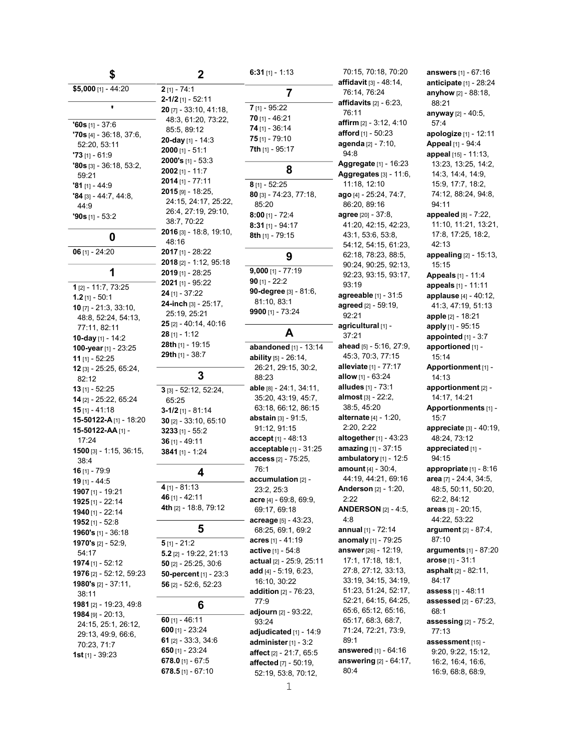| \$                                                            |  |
|---------------------------------------------------------------|--|
| \$5,000 [1] - 44:20                                           |  |
|                                                               |  |
| $960s$ [1] - 37:6<br>$70s$ [4] - 36:18, 37:6,<br>52:20, 53:11 |  |
| $73$ [1] - 61:9                                               |  |
| $'80s$ [3] - 36:18, 53:2,<br>59:21                            |  |
| <b>'81</b> [1] - 44:9                                         |  |
| $^{\bullet}$ 84 [3] - 44:7, 44:8,<br>44.9                     |  |
| <b>'90s</b> [1] - 53:2                                        |  |
| 0                                                             |  |
| $06$ [1] - 24:20                                              |  |
| 1                                                             |  |
| $1_{[2]} - 11:7, 73:25$                                       |  |
| <b>1.2</b> [1] - 50:1<br>10 [7] - 21:3, 33:10,                |  |
| 48:8, 52:24, 54:13,                                           |  |
| 77:11, 82:11                                                  |  |
| 10-day [1] - 14:2<br>100-year [1] - 23:25                     |  |
| 11 [1] - 52:25                                                |  |
| 12 [3] - 25:25, 65:24,                                        |  |
| 82:12                                                         |  |
| 13 [1] - 52:25<br>14 [2] - 25:22, 65:24                       |  |
| 15 [1] - 41:18                                                |  |
| 15-50122-A [1] - 18:20                                        |  |
| 15-50122-AA [1] -<br>17:24                                    |  |
| <b>1500</b> [3] - 1:15, 36:15,<br>38:4                        |  |
| 16 [1] - 79:9                                                 |  |
| 19 [1] - 44:5<br>1907 (11 - 19:21                             |  |
| <b>1925</b> [1] - 22:14                                       |  |
| 1940 [1] - 22:14                                              |  |
| 1952 [1] - 52:8                                               |  |
| 1960's [1] - 36:18                                            |  |
| 1970's [2] - 52:9,                                            |  |
| 54:17                                                         |  |
| 1974 [1] - 52:12<br>1976 [2] - 52:12, 59:23                   |  |
| 1980's [2] - 37:11,                                           |  |
| 38:11                                                         |  |
| 1981 [2] - 19:23, 49:8                                        |  |
| 1984 [9] - 20:13,<br>24:15, 25:1, 26:12,                      |  |
| 29:13, 49:9, 66:6,                                            |  |
| 70:23, 71:7                                                   |  |
| 1st $[1]$ - 39:23                                             |  |

2-1/2 [1] - 52:11 20 [7] - 33:10, 41:18, 48:3, 61:20, 73:22, 20-day [1] - 14:3 2000's [1] - 53:3 2014 [1] - 77:11 2015 [9] - 18:25, 24:15, 24:17, 25:22, 26:4, 27:19, 29:10, 2016 [3] - 18:8, 19:10, 2017 [1] - 28:22 2018 [2] - 1:12, 95:18 2019 [1] - 28:25 2021 [1] - 95:22 24-inch [3] - 25:17, 25 [2] - 40:14, 40:16 28th [1] - 19:15 3 [3] - 52:12, 52:24, 3-1/2 [1] - 81:14 30 [2] - 33:10, 65:10 4th [2] - 18:8, 79:12 5.2 [2] - 19:22, 21:13 50 [2] - 25:25, 30:6 50-percent [1] - 23:3 56 [2] - 52:6, 52:23 61 [2] - 33:3, 34:6 678.0 [1] - 67:5 678.5 [1] - 67:10 6:31 [1] - 1:13 7 7 [1] - 95:22 70 [1] - 46:21 74 [1] - 36:14 75 [1] - 79:10 7th [1] - 95:17 8 8 [1] - 52:25 80 [3] - 74:23, 77:18, 85:20 8:00 [1] - 72:4 8:31 [1] - 94:17 8th [1] - 79:15 9 9,000 [1] - 77:19 90 [1] - 22:2 90-degree [3] - 81:6, 81:10, 83:1 9900 [1] - 73:24 A abandoned [1] - 13:14 ability [5] - 26:14, 26:21, 29:15, 30:2, 88:23 able [8] - 24:1, 34:11, 35:20, 43:19, 45:7, 63:18, 66:12, 86:15 abstain [3] - 91:5, 91:12, 91:15 **accept** [1] - 48:13 acceptable [1] - 31:25 access [2] - 75:25, 76:1 accumulation [2] - 23:2, 25:3 acre [4] - 69:8, 69:9, 69:17, 69:18 acreage [5] - 43:23, 68:25, 69:1, 69:2 acres [1] - 41:19 active [1] - 54:8 actual [2] - 25:9, 25:11 add [4] - 5:19, 6:23, 16:10, 30:22 addition [2] - 76:23, 77:9 adjourn [2] - 93:22, 93:24 adjudicated [1] - 14:9 administer [1] - 3:2 affect [2] - 21:7, 65:5 affected [7] - 50:19, 52:19, 53:8, 70:12,

2

2 [1] - 74:1

85:5, 89:12

2000 [1] - 51:1

2002 [1] - 11:7

38:7, 70:22

24 [1] - 37:22

25:19, 25:21

28 [1] - 1:12

29th [1] - 38:7

65:25

3233 [1] - 55:2 36 [1] - 49:11 3841 [1] - 1:24

4 [1] - 81:13 46 [1] - 42:11

5 [1] - 21:2

60 [1] - 46:11 600 [1] - 23:24

650 [1] - 23:24

3

4

5

6

48:16

70:15, 70:18, 70:20 affidavit [3] - 48:14, 76:14, 76:24 affidavits [2] - 6:23, 76:11 affirm [2] - 3:12, 4:10 afford [1] - 50:23 agenda [2] - 7:10, 94:8 Aggregate [1] - 16:23 Aggregates [3] - 11:6, 11:18, 12:10 ago [4] - 25:24, 74:7, 86:20, 89:16 agree [20] - 37:8, 41:20, 42:15, 42:23, 43:1, 53:6, 53:8, 54:12, 54:15, 61:23, 62:18, 78:23, 88:5, 90:24, 90:25, 92:13, 92:23, 93:15, 93:17, 93:19 agreeable [1] - 31:5 agreed [2] - 59:19, 92:21 agricultural [1] -37:21 ahead [5] - 5:16, 27:9, 45:3, 70:3, 77:15 alleviate [1] - 77:17 allow [1] - 63:24 alludes [1] - 73:1 almost [3] - 22:2, 38:5, 45:20 alternate [4] - 1:20, 2:20, 2:22 altogether  $[1]$  - 43:23 amazing [1] - 37:15 ambulatory [1] - 12:5 amount [4] - 30:4, 44:19, 44:21, 69:16 Anderson [2] - 1:20, 2:22 ANDERSON [2] - 4:5, 4:8 annual [1] - 72:14 anomaly [1] - 79:25 answer [26] - 12:19, 17:1, 17:18, 18:1, 27:8, 27:12, 33:13, 33:19, 34:15, 34:19, 51:23, 51:24, 52:17, 52:21, 64:15, 64:25, 65:6, 65:12, 65:16, 65:17, 68:3, 68:7, 71:24, 72:21, 73:9, 89:1 answered [1] - 64:16 answering [2] - 64:17, 80:4

answers [1] - 67:16 anticipate [1] - 28:24 anyhow [2] - 88:18, 88:21 anyway [2] - 40:5, 57:4 apologize [1] - 12:11 Appeal [1] - 94:4 appeal [15] - 11:13, 13:23, 13:25, 14:2, 14:3, 14:4, 14:9, 15:9, 17:7, 18:2, 74:12, 88:24, 94:8, 94:11 appealed [8] - 7:22, 11:10, 11:21, 13:21, 17:8, 17:25, 18:2, 42:13 appealing [2] - 15:13, 15:15 Appeals [1] - 11:4 appeals [1] - 11:11 applause [4] - 40:12, 41:3, 47:19, 51:13 apple [2] - 18:21 apply [1] - 95:15 appointed [1] - 3:7 apportioned [1] -15:14 Apportionment [1] - 14:13 apportionment [2] - 14:17, 14:21 Apportionments [1] - 15:7 appreciate  $[3] - 40:19$ , 48:24, 73:12 appreciated [1] -94:15 appropriate [1] - 8:16 area [7] - 24:4, 34:5, 48:5, 50:11, 50:20, 62:2, 84:12 areas [3] - 20:15, 44:22, 53:22 argument [2] - 87:4, 87:10 arguments [1] - 87:20 arose [1] - 31:1 asphalt [2] - 82:11, 84:17 assess [1] - 48:11 assessed [2] - 67:23, 68:1 assessing [2] - 75:2, 77:13 assessment [15] - 9:20, 9:22, 15:12, 16:2, 16:4, 16:6,

16:9, 68:8, 68:9,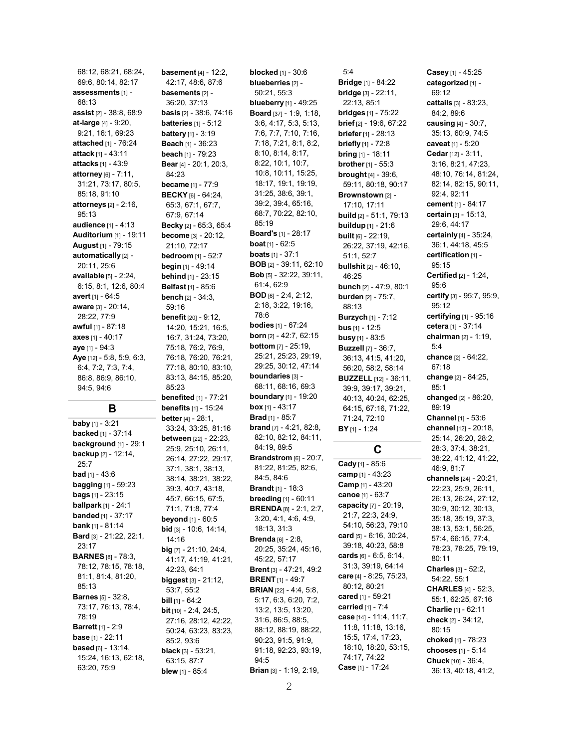68:12, 68:21, 68:24, 69:6, 80:14, 82:17 assessments [1] - 68:13 assist [2] - 38:8, 68:9 at-large [4] - 9:20, 9:21, 16:1, 69:23 attached [1] - 76:24 attack [1] - 43:11 attacks [1] - 43:9 attorney [6] - 7:11, 31:21, 73:17, 80:5, 85:18, 91:10 attorneys [2] - 2:16, 95:13 audience [1] - 4:13 Auditorium [1] - 19:11 August [1] - 79:15 automatically [2] -20:11, 25:6 available [5] - 2:24, 6:15, 8:1, 12:6, 80:4 avert [1] - 64:5 aware [3] - 20:14, 28:22, 77:9 awful [1] - 87:18 axes [1] - 40:17 aye [1] - 94:3 Aye [12] - 5:8, 5:9, 6:3, 6:4, 7:2, 7:3, 7:4, 86:8, 86:9, 86:10, 94:5, 94:6

### B

**baby** [1] - 3:21 **backed** [1] - 37:14 background [1] - 29:1 backup [2] - 12:14, 25:7  $bad$  [1] - 43:6 **bagging** [1] - 59:23 **bags**  $[1]$  - 23:15 ballpark [1] - 24:1 **banded** [1] - 37:17 bank [1] - 81:14 Bard [3] - 21:22, 22:1, 23:17 **BARNES [8] - 78:3,** 78:12, 78:15, 78:18, 81:1, 81:4, 81:20, 85:13 **Barnes** [5] - 32:8, 73:17, 76:13, 78:4, 78:19 **Barrett** [1] - 2:9 base [1] - 22:11 based [6] - 13:14, 15:24, 16:13, 62:18, 63:20, 75:9

**basement** [4] - 12:2, 42:17, 48:6, 87:6 **basements [2] -**36:20, 37:13 **basis** [2] - 38:6, 74:16 **batteries** [1] - 5:12 **battery** [1] - 3:19 Beach [1] - 36:23 beach [1] - 79:23 Bear [4] - 20:1, 20:3, 84:23 became [1] - 77:9 **BECKY** [6] - 64:24, 65:3, 67:1, 67:7, 67:9, 67:14 Becky [2] - 65:3, 65:4 become [3] - 20:12, 21:10, 72:17 **bedroom** [1] - 52:7 **begin** [1] - 49:14 **behind** [1] - 23:15 Belfast [1] - 85:6 **bench**  $[2] - 34:3$ , 59:16 **benefit** [20] - 9:12, 14:20, 15:21, 16:5, 16:7, 31:24, 73:20, 75:18, 76:2, 76:9, 76:18, 76:20, 76:21, 77:18, 80:10, 83:10, 83:13, 84:15, 85:20, 85:23 **benefited** [1] - 77:21 **benefits** [1] - 15:24 **better** [4] - 28:1, 33:24, 33:25, 81:16 between [22] - 22:23, 25:9, 25:10, 26:11, 26:14, 27:22, 29:17, 37:1, 38:1, 38:13, 38:14, 38:21, 38:22, 39:3, 40:7, 43:18, 45:7, 66:15, 67:5, 71:1, 71:8, 77:4 **beyond** [1] - 60:5 **bid** [3] - 10:6, 14:14, 14:16 big [7] - 21:10, 24:4, 41:17, 41:19, 41:21, 42:23, 64:1 biggest [3] - 21:12, 53:7, 55:2 **bill**  $[1]$  -  $64:2$ **bit** [10] - 2:4, 24:5, 27:16, 28:12, 42:22, 50:24, 63:23, 83:23, 85:2, 93:6 **black**  $[3] - 53:21$ , 63:15, 87:7 **blew** [1] - 85:4

blocked [1] - 30:6 blueberries [2] -50:21, 55:3 blueberry [1] - 49:25 Board [37] - 1:9, 1:18, 3:6, 4:17, 5:3, 5:13, 7:6, 7:7, 7:10, 7:16, 7:18, 7:21, 8:1, 8:2, 8:10, 8:14, 8:17, 8:22, 10:1, 10:7, 10:8, 10:11, 15:25, 18:17, 19:1, 19:19, 31:25, 38:6, 39:1, 39:2, 39:4, 65:16, 68:7, 70:22, 82:10, 85:19 Board's [1] - 28:17 boat [1] - 62:5 boats [1] - 37:1 BOB [2] - 39:11, 62:10 Bob [5] - 32:22, 39:11, 61:4, 62:9 BOD [6] - 2:4, 2:12, 2:18, 3:22, 19:16, 78:6 bodies [1] - 67:24 born [2] - 42:7, 62:15 bottom [7] - 25:19, 25:21, 25:23, 29:19, 29:25, 30:12, 47:14 boundaries [3] -68:11, 68:16, 69:3 boundary [1] - 19:20 box [1] - 43:17 Brad [1] - 85:7 brand [7] - 4:21, 82:8, 82:10, 82:12, 84:11, 84:19, 89:5 **Brandstrom** [6] - 20:7, 81:22, 81:25, 82:6, 84:5, 84:6 Brandt [1] - 18:3 breeding [1] - 60:11 BRENDA [8] - 2:1, 2:7, 3:20, 4:1, 4:6, 4:9, 18:13, 31:3 Brenda [6] - 2:8, 20:25, 35:24, 45:16, 45:22, 57:17 Brent [3] - 47:21, 49:2 BRENT [1] - 49:7 BRIAN [22] - 4:4, 5:8, 5:17, 6:3, 6:20, 7:2, 13:2, 13:5, 13:20, 31:6, 86:5, 88:5, 88:12, 88:19, 88:22, 90:23, 91:5, 91:9, 91:18, 92:23, 93:19, 94:5 Brian [3] - 1:19, 2:19,

Bridge [1] - 84:22 bridge [3] - 22:11, 22:13, 85:1 bridges [1] - 75:22 brief [2] - 19:6, 67:22 **briefer** [1] - 28:13 **briefly** [1] - 72:8 bring [1] - 18:11 **brother** [1] - 55:3 brought [4] - 39:6, 59:11, 80:18, 90:17 Brownstown [2] -17:10, 17:11 build [2] - 51:1, 79:13 buildup [1] - 21:6 built [6] - 22:19, 26:22, 37:19, 42:16, 51:1, 52:7 bullshit [2] - 46:10, 46:25 bunch [2] - 47:9, 80:1 burden [2] - 75:7, 88:13 Burzych [1] - 7:12 bus [1] - 12:5 busy [1] - 83:5 Buzzell [7] - 36:7, 36:13, 41:5, 41:20, 56:20, 58:2, 58:14 BUZZELL [12] - 36:11, 39:9, 39:17, 39:21, 40:13, 40:24, 62:25, 64:15, 67:16, 71:22, 71:24, 72:10 BY [1] - 1:24  $\mathbf C$ 

5:4

Cady [1] - 85:6 camp [1] - 43:23 Camp [1] - 43:20 canoe [1] - 63:7 capacity [7] - 20:19, 21:7, 22:3, 24:9, 54:10, 56:23, 79:10 card [5] - 6:16, 30:24, 39:18, 40:23, 58:8 cards [6] - 6:5, 6:14, 31:3, 39:19, 64:14 care [4] - 8:25, 75:23, 80:12, 80:21 cared [1] - 59:21 carried [1] - 7:4 case [14] - 11:4, 11:7, 11:8, 11:18, 13:16, 15:5, 17:4, 17:23, 18:10, 18:20, 53:15, 74:17, 74:22 Case [1] - 17:24

Casey [1] - 45:25 categorized [1] -69:12 cattails [3] - 83:23, 84:2, 89:6 causing [4] - 30:7, 35:13, 60:9, 74:5 caveat [1] - 5:20 Cedar [12] - 3:11, 3:16, 8:21, 47:23, 48:10, 76:14, 81:24, 82:14, 82:15, 90:11, 92:4, 92:11 cement [1] - 84:17 certain [3] - 15:13, 29:6, 44:17 certainly [4] - 35:24, 36:1, 44:18, 45:5 certification [1] -95:15 Certified [2] - 1:24, 95:6 certify [3] - 95:7, 95:9, 95:12 certifying [1] - 95:16 cetera [1] - 37:14 chairman [2] - 1:19, 5:4 chance [2] - 64:22, 67:18 change [2] - 84:25, 85:1 changed [2] - 86:20, 89:19 Channel [1] - 53:6 channel [12] - 20:18, 25:14, 26:20, 28:2, 28:3, 37:4, 38:21, 38:22, 41:12, 41:22, 46:9, 81:7 channels [24] - 20:21, 22:23, 25:9, 26:11, 26:13, 26:24, 27:12, 30:9, 30:12, 30:13, 35:18, 35:19, 37:3, 38:13, 53:1, 56:25, 57:4, 66:15, 77:4, 78:23, 78:25, 79:19, 80:11 Charles [3] - 52:2, 54:22, 55:1 CHARLES [4] - 52:3, 55:1, 62:25, 67:16 Charlie [1] - 62:11 check [2] - 34:12, 80:15 choked [1] - 78:23 chooses [1] - 5:14 Chuck [10] - 36:4, 36:13, 40:18, 41:2,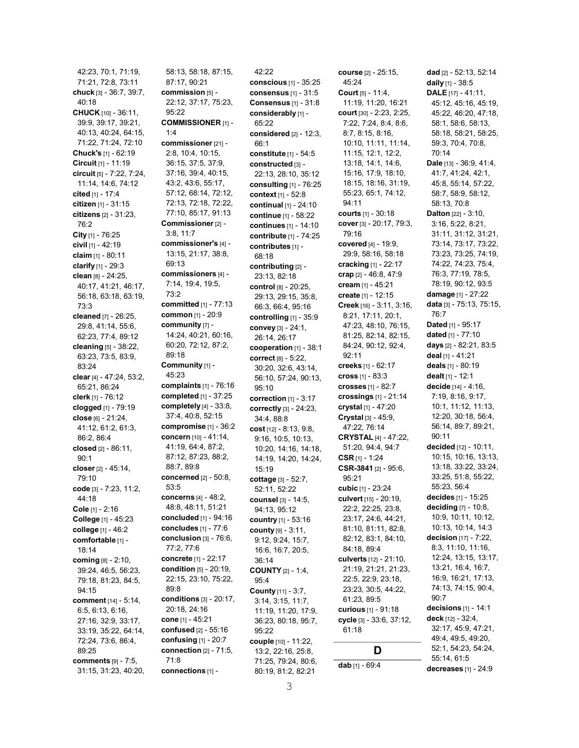42:23, 70:1, 71:19, 71:21, 72:8, 73:11 chuck [3] - 36:7, 39:7, 40:18 CHUCK [10] - 36:11, 39:9, 39:17, 39:21, 40:13, 40:24, 64:15, 71:22, 71:24, 72:10 Chuck's [1] - 62:19 Circuit [1] - 11:19 circuit [5] - 7:22, 7:24, 11:14, 14:6, 74:12 cited [1] - 17:4 citizen [1] - 31:15 citizens [2] - 31:23, 76:2 City [1] - 76:25 civil [1] - 42:19 claim [1] - 80:11 clarify [1] - 29:3 clean [8] - 24:25, 40:17, 41:21, 46:17, 56:18, 63:18, 63:19, 73:3 cleaned [7] - 26:25, 29:8, 41:14, 55:6, 62:23, 77:4, 89:12 cleaning [5] - 38:22, 63:23, 73:5, 83:9, 83:24 clear [4] - 47:24, 53:2, 65:21, 86:24 clerk [1] - 76:12 clogged [1] - 79:19 close [6] - 21:24, 41:12, 61:2, 61:3, 86:2, 86:4 closed [2] - 86:11, 90:1 closer [2] - 45:14, 79:10 code [3] - 7:23, 11:2, 44:18 Cole [1] - 2:16 College [1] - 45:23 college [1] - 46:2 comfortable [1] -18:14 coming [8] - 2:10, 39:24, 46:5, 56:23, 79:18, 81:23, 84:5, 94:15 comment [14] - 5:14, 6:5, 6:13, 6:16, 27:16, 32:9, 33:17, 33:19, 35:22, 64:14, 72:24, 73:6, 86:4, 89:25 comments [9] - 7:5, 31:15, 31:23, 40:20,

58:13, 58:18, 87:15, 87:17, 90:21 commission [5] -22:12, 37:17, 75:23, 95:22 COMMISSIONER [1] - 1:4 commissioner [21] - 2:8, 10:4, 10:15, 36:15, 37:5, 37:9, 37:16, 39:4, 40:15, 43:2, 43:6, 55:17, 57:12, 68:14, 72:12, 72:13, 72:18, 72:22, 77:10, 85:17, 91:13 Commissioner [2] - 3:8, 11:7 commissioner's [4] - 13:15, 21:17, 38:8, 69:13 commissioners [4] - 7:14, 19:4, 19:5, 73:2 committed [1] - 77:13 common [1] - 20:9 community [7] -14:24, 40:21, 60:16, 60:20, 72:12, 87:2, 89:18 Community [1] - 45:23 complaints [1] - 76:16 completed [1] - 37:25 completely [4] - 33:8, 37:4, 40:8, 52:15 compromise [1] - 36:2 concern [10] - 41:14, 41:19, 64:4, 87:2, 87:12, 87:23, 88:2, 88:7, 89:8 concerned [2] - 50:8, 53:5 concerns [4] - 48:2, 48:8, 48:11, 51:21 concluded [1] - 94:16 concludes [1] - 77:6 conclusion  $[3]$  -  $76:6$ , 77:2, 77:6 concrete [1] - 22:17 condition [5] - 20:19, 22:15, 23:10, 75:22, 89:8 conditions [3] - 20:17, 20:18, 24:16 cone [1] - 45:21 confused [2] - 55:16 confusing [1] - 20:7 connection  $[2]$  -  $71:5$ , 71:8 connections [1] -

42:22 conscious [1] - 35:25 consensus [1] - 31:5 Consensus [1] - 31:8 considerably [1] -65:22 considered [2] - 12:3, 66:1 constitute [1] - 54:5 constructed [3] - 22:13, 28:10, 35:12 consulting [1] - 76:25 context [1] - 52:8 continual [1] - 24:10 continue [1] - 58:22 continues [1] - 14:10 contribute [1] - 74:25 contributes [1] -68:18 contributing [2] -23:13, 82:18 control [8] - 20:25, 29:13, 29:15, 35:8, 66:3, 66:4, 95:16 controlling [1] - 35:9 convey [3] - 24:1, 26:14, 26:17 cooperation [1] - 38:1 correct [8] - 5:22, 30:20, 32:6, 43:14, 56:10, 57:24, 90:13, 95:10 correction [1] - 3:17 correctly [3] - 24:23, 34:4, 88:8 cost [12] - 8:13, 9:8, 9:16, 10:5, 10:13, 10:20, 14:16, 14:18, 14:19, 14:20, 14:24, 15:19 cottage [3] - 52:7, 52:11, 52:22 counsel [3] - 14:5, 94:13, 95:12 country [1] - 53:16 county [9] - 3:11, 9:12, 9:24, 15:7, 16:6, 16:7, 20:5, 36:14 COUNTY [2] - 1:4, 95:4 County [11] - 3:7, 3:14, 3:15, 11:7, 11:19, 11:20, 17:9, 36:23, 80:18, 95:7, 95:22 couple [10] - 11:22, 13:2, 22:16, 25:8, 71:25, 79:24, 80:6, 80:19, 81:2, 82:21

course [2] - 25:15, 45:24 Court [5] - 11:4, 11:19, 11:20, 16:21 court [30] - 2:23, 2:25, 7:22, 7:24, 8:4, 8:6, 8:7, 8:15, 8:16, 10:10, 11:11, 11:14, 11:15, 12:1, 12:2, 13:18, 14:1, 14:6, 15:16, 17:9, 18:10, 18:15, 18:16, 31:19, 55:23, 65:1, 74:12, 94:11 courts [1] - 30:18 cover [3] - 20:17, 79:3, 79:16 covered [4] - 19:9, 29:9, 58:16, 58:18 cracking [1] - 22:17 crap [2] - 46:8, 47:9 cream [1] - 45:21 create [1] - 12:15 Creek [16] - 3:11, 3:16, 8:21, 17:11, 20:1, 47:23, 48:10, 76:15, 81:25, 82:14, 82:15, 84:24, 90:12, 92:4, 92:11 creeks [1] - 62:17 cross [1] - 83:3 crosses [1] - 82:7 crossings [1] - 21:14 crystal [1] - 47:20 Crystal [3] - 45:9, 47:22, 76:14 CRYSTAL [4] - 47:22, 51:20, 94:4, 94:7 CSR [1] - 1:24 CSR-3841 [2] - 95:6, 95:21 cubic [1] - 23:24 culvert [15] - 20:19, 22:2, 22:25, 23:8, 23:17, 24:6, 44:21, 81:10, 81:11, 82:8, 82:12, 83:1, 84:10, 84:18, 89:4 culverts [12] - 21:10, 21:19, 21:21, 21:23, 22:5, 22:9, 23:18, 23:23, 30:5, 44:22, 61:23, 89:5 curious [1] - 91:18 cycle [3] - 33:6, 37:12, 61:18 D dab [1] - 69:4

dad [2] - 52:13, 52:14 daily [1] - 38:5 DALE [17] - 41:11, 45:12, 45:16, 45:19, 45:22, 46:20, 47:18, 58:1, 58:6, 58:13, 58:18, 58:21, 58:25, 59:3, 70:4, 70:8, 70:14 Dale [13] - 36:9, 41:4, 41:7, 41:24, 42:1, 45:8, 55:14, 57:22, 58:7, 58:9, 58:12, 58:13, 70:8 Dalton [22] - 3:10, 3:16, 5:22, 8:21, 31:11, 31:12, 31:21, 73:14, 73:17, 73:22, 73:23, 73:25, 74:19, 74:22, 74:23, 75:4, 76:3, 77:19, 78:5, 78:19, 90:12, 93:5 damage [1] - 27:22 data [3] - 75:13, 75:15, 76:7 Dated [1] - 95:17 dated [1] - 77:10 days [2] - 82:21, 83:5 deal [1] - 41:21 deals [1] - 80:19 dealt [1] - 12:1 decide [14] - 4:16, 7:19, 8:16, 9:17, 10:1, 11:12, 11:13, 12:20, 30:18, 56:4, 56:14, 89:7, 89:21, 90:11 decided [12] - 10:11, 10:15, 10:16, 13:13, 13:18, 33:22, 33:24, 33:25, 51:8, 55:22, 55:23, 56:4 decides [1] - 15:25 deciding [7] - 10:8, 10:9, 10:11, 10:12, 10:13, 10:14, 14:3 decision [17] - 7:22, 8:3, 11:10, 11:16, 12:24, 13:15, 13:17, 13:21, 16:4, 16:7, 16:9, 16:21, 17:13, 74:13, 74:15, 90:4, 90:7 decisions [1] - 14:1 deck [12] - 32:4, 32:17, 45:9, 47:21, 49:4, 49:5, 49:20, 52:1, 54:23, 54:24, 55:14, 61:5 decreases [1] - 24:9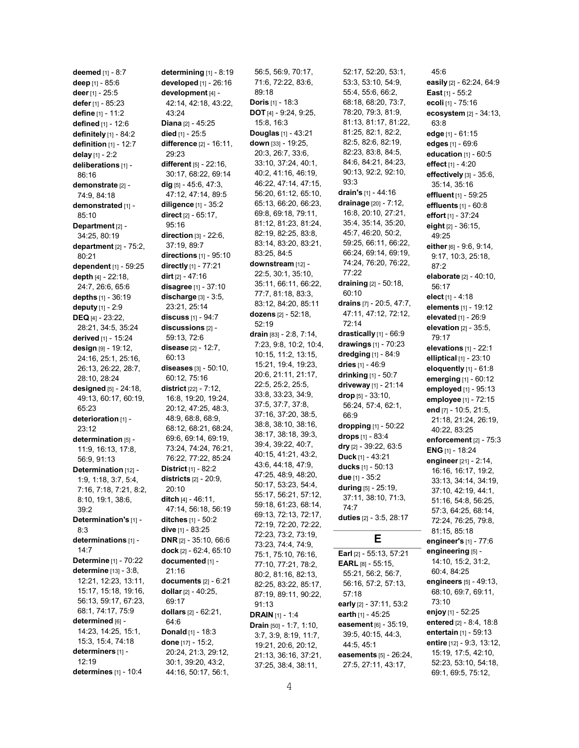deemed [1] - 8:7 deep [1] - 85:6 deer [1] - 25:5 defer [1] - 85:23 define [1] - 11:2 defined [1] - 12:6 definitely [1] - 84:2 definition [1] - 12:7 delay [1] - 2:2 deliberations [1] -86:16 demonstrate [2] -74:9, 84:18 demonstrated [1] -85:10 Department [2] -34:25, 80:19 department  $[2]$  -  $75:2$ , 80:21 dependent [1] - 59:25 depth [4] - 22:18, 24:7, 26:6, 65:6 depths [1] - 36:19 deputy [1] - 2:9 DEQ [4] - 23:22, 28:21, 34:5, 35:24 derived [1] - 15:24 design [9] - 19:12, 24:16, 25:1, 25:16, 26:13, 26:22, 28:7, 28:10, 28:24 designed [5] - 24:18, 49:13, 60:17, 60:19, 65:23 deterioration [1] -23:12 determination [5] -11:9, 16:13, 17:8, 56:9, 91:13 Determination [12] -1:9, 1:18, 3:7, 5:4, 7:16, 7:18, 7:21, 8:2, 8:10, 19:1, 38:6, 39:2 Determination's [1] - 8:3 determinations [1] -14:7 Determine [1] - 70:22 determine [13] - 3:8, 12:21, 12:23, 13:11, 15:17, 15:18, 19:16, 56:13, 59:17, 67:23, 68:1, 74:17, 75:9 determined [6] -14:23, 14:25, 15:1, 15:3, 15:4, 74:18 determiners [1] - 12:19 determines [1] - 10:4

determining [1] - 8:19 developed [1] - 26:16 development [4] - 42:14, 42:18, 43:22, 43:24 Diana [2] - 45:25 died [1] - 25:5 difference [2] - 16:11, 29:23 different [5] - 22:16, 30:17, 68:22, 69:14 dig [5] - 45:6, 47:3, 47:12, 47:14, 89:5 diligence [1] - 35:2 direct [2] - 65:17, 95:16 direction [3] - 22:6, 37:19, 89:7 directions [1] - 95:10 directly [1] - 77:21 dirt [2] - 47:16 disagree [1] - 37:10 discharge  $[3] - 3:5$ , 23:21, 25:14 discuss [1] - 94:7 discussions [2] - 59:13, 72:6 disease [2] - 12:7, 60:13 diseases [3] - 50:10, 60:12, 75:16 district [22] - 7:12, 16:8, 19:20, 19:24, 20:12, 47:25, 48:3, 48:9, 68:8, 68:9, 68:12, 68:21, 68:24, 69:6, 69:14, 69:19, 73:24, 74:24, 76:21, 76:22, 77:22, 85:24 District [1] - 82:2 districts [2] - 20:9, 20:10 ditch [4] - 46:11, 47:14, 56:18, 56:19 ditches [1] - 50:2 dive [1] - 83:25 DNR [2] - 35:10, 66:6 dock [2] - 62:4, 65:10 documented [1] -21:16 documents  $[2] - 6:21$ dollar [2] - 40:25, 69:17 dollars [2] - 62:21, 64:6 Donald [1] - 18:3 done [17] - 15:2, 20:24, 21:3, 29:12, 30:1, 39:20, 43:2, 44:16, 50:17, 56:1,

56:5, 56:9, 70:17, 71:6, 72:22, 83:6, 89:18 Doris [1] - 18:3 DOT [4] - 9:24, 9:25, 15:8, 16:3 Douglas [1] - 43:21 down [33] - 19:25, 20:3, 26:7, 33:6, 33:10, 37:24, 40:1, 40:2, 41:16, 46:19, 46:22, 47:14, 47:15, 56:20, 61:12, 65:10, 65:13, 66:20, 66:23, 69:8, 69:18, 79:11, 81:12, 81:23, 81:24, 82:19, 82:25, 83:8, 83:14, 83:20, 83:21, 83:25, 84:5 downstream [12] -22:5, 30:1, 35:10, 35:11, 66:11, 66:22, 77:7, 81:18, 83:3, 83:12, 84:20, 85:11 dozens [2] - 52:18, 52:19 drain [83] - 2:8, 7:14, 7:23, 9:8, 10:2, 10:4, 10:15, 11:2, 13:15, 15:21, 19:4, 19:23, 20:6, 21:11, 21:17, 22:5, 25:2, 25:5, 33:8, 33:23, 34:9, 37:5, 37:7, 37:8, 37:16, 37:20, 38:5, 38:8, 38:10, 38:16, 38:17, 38:18, 39:3, 39:4, 39:22, 40:7, 40:15, 41:21, 43:2, 43:6, 44:18, 47:9, 47:25, 48:9, 48:20, 50:17, 53:23, 54:4, 55:17, 56:21, 57:12, 59:18, 61:23, 68:14, 69:13, 72:13, 72:17, 72:19, 72:20, 72:22, 72:23, 73:2, 73:19, 73:23, 74:4, 74:9, 75:1, 75:10, 76:16, 77:10, 77:21, 78:2, 80:2, 81:16, 82:13, 82:25, 83:22, 85:17, 87:19, 89:11, 90:22, 91:13 DRAIN [1] - 1:4 Drain [50] - 1:7, 1:10, 3:7, 3:9, 8:19, 11:7, 19:21, 20:6, 20:12, 21:13, 36:16, 37:21, 37:25, 38:4, 38:11,

52:17, 52:20, 53:1, 53:3, 53:10, 54:9, 55:4, 55:6, 66:2, 68:18, 68:20, 73:7, 78:20, 79:3, 81:9, 81:13, 81:17, 81:22, 81:25, 82:1, 82:2, 82:5, 82:6, 82:19, 82:23, 83:8, 84:5, 84:6, 84:21, 84:23, 90:13, 92:2, 92:10, 93:3 drain's [1] - 44:16 drainage [20] - 7:12, 16:8, 20:10, 27:21, 35:4, 35:14, 35:20, 45:7, 46:20, 50:2, 59:25, 66:11, 66:22, 66:24, 69:14, 69:19, 74:24, 76:20, 76:22, 77:22 draining [2] - 50:18, 60:10 drains [7] - 20:5, 47:7, 47:11, 47:12, 72:12, 72:14 drastically [1] - 66:9 drawings [1] - 70:23 dredging [1] - 84:9 dries [1] - 46:9 drinking [1] - 50:7 driveway [1] - 21:14 drop [5] - 33:10, 56:24, 57:4, 62:1, 66:9 dropping [1] - 50:22 drops [1] - 83:4 dry [2] - 39:22, 63:5 Duck [1] - 43:21 ducks [1] - 50:13 due [1] - 35:2 during [5] - 25:19, 37:11, 38:10, 71:3, 74:7 duties [2] - 3:5, 28:17 E Earl [2] - 55:13, 57:21 EARL [8] - 55:15, 55:21, 56:2, 56:7, 56:16, 57:2, 57:13, 57:18 early [2] - 37:11, 53:2 earth [1] - 45:25

easement [6] - 35:19, 39:5, 40:15, 44:3, 44:5, 45:1 easements [5] - 26:24, 27:5, 27:11, 43:17,

easily [2] - 62:24, 64:9 East [1] - 55:2 ecoli [1] - 75:16 ecosystem [2] - 34:13, 63:8 edge [1] - 61:15 edges [1] - 69:6 education [1] - 60:5 effect [1] - 4:20 effectively [3] - 35:6, 35:14, 35:16 effluent [1] - 59:25 effluents [1] - 60:8 effort [1] - 37:24 eight [2] - 36:15, 49:25 either [6] - 9:6, 9:14, 9:17, 10:3, 25:18, 87:2 elaborate [2] - 40:10, 56:17 elect [1] - 4:18 elements [1] - 19:12 elevated [1] - 26:9 elevation  $[2]$  - 35:5, 79:17 elevations [1] - 22:1 elliptical [1] - 23:10 eloquently [1] - 61:8 emerging [1] - 60:12 employed [1] - 95:13 employee [1] - 72:15 end [7] - 10:5, 21:5, 21:18, 21:24, 26:19, 40:22, 83:25 enforcement [2] - 75:3 ENG [1] - 18:24 engineer [21] - 2:14, 16:16, 16:17, 19:2, 33:13, 34:14, 34:19, 37:10, 42:19, 44:1, 51:16, 54:8, 56:25, 57:3, 64:25, 68:14, 72:24, 76:25, 79:8, 81:15, 85:18 engineer's [1] - 77:6 engineering [5] -14:10, 15:2, 31:2, 60:4, 84:25 engineers [5] - 49:13, 68:10, 69:7, 69:11, 73:10 enjoy [1] - 52:25 entered [2] - 8:4, 18:8 entertain [1] - 59:13 entire [12] - 9:3, 13:12, 15:19, 17:5, 42:10, 52:23, 53:10, 54:18, 69:1, 69:5, 75:12,

45:6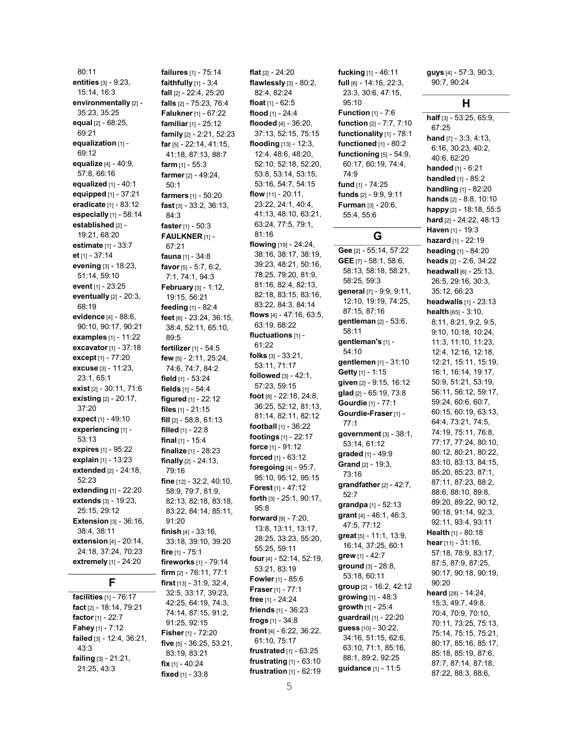80:11 entities [3] - 9:23, 15:14, 16:3 environmentally [2] -35:23, 35:25 equal [2] - 68:25, 69:21 equalization [1] -69:12 equalize [4] - 40:9, 57:8, 66:16 equalized  $[1]$  - 40:1 equipped [1] - 37:21 eradicate [1] - 83:12 especially [1] - 58:14 established [2] -19:21, 68:20 estimate [1] - 33:7 et [1] - 37:14 evening [3] - 18:23, 51:14, 59:10 event [1] - 23:25 eventually  $[2]$  -  $20:3$ , 68:19 evidence [4] - 88:6, 90:10, 90:17, 90:21 examples [1] - 11:22 excavator [1] - 37:18 except [1] - 77:20 excuse [3] - 11:23, 23:1, 65:1 exist [2] - 30:11, 71:6 existing [2] - 20:17, 37:20 expect [1] - 49:10 experiencing [1] -53:13 expires [1] - 95:22 explain [1] - 13:23 extended [2] - 24:18, 52:23 extending [1] - 22:20 extends [3] - 19:23, 25:15, 29:12 **Extension [3] - 36:16,** 38:4, 38:11 extension [4] - 20:14, 24:18, 37:24, 70:23 extremely [1] - 24:20

# F

facilities [1] - 76:17 fact [2] - 18:14, 79:21 factor [1] - 22:7 Fahey [1] - 7:12 failed [3] - 12:4, 36:21, 43:3 failing [3] - 21:21, 21:25, 43:3

failures [1] - 75:14 faithfully [1] - 3:4 fall [2] - 22:4, 25:20 falls [2] - 75:23, 76:4 Falukner [1] - 67:22 familiar [1] - 25:12 family [2] - 2:21, 52:23 far [5] - 22:14, 41:15, 41:18, 87:13, 88:7 farm [1] - 55:3 farmer [2] - 49:24, 50:1 farmers [1] - 50:20 fast [3] - 33:2, 36:13, 84:3 **faster**  $[1] - 50:3$ FAULKNER [1] - 67:21 fauna [1] - 34:8 favor [5] - 5:7, 6:2, 7:1, 74:1, 94:3 February [3] - 1:12, 19:15, 56:21 feeding [1] - 82:4 feet [6] - 23:24, 36:15, 38:4, 52:11, 65:10, 89:5 fertilizer [1] - 54:5 few [5] - 2:11, 25:24, 74:6, 74:7, 84:2 field [1] - 53:24 fields [1] - 54:4 figured [1] - 22:12 files [1] - 21:15 fill [2] - 58:8, 61:13 filled [1] - 22:8 final [1] - 15:4 finalize [1] - 28:23 finally [2] - 24:13, 79:16 fine [12] - 32:2, 40:10, 58:9, 79:7, 81:9, 82:13, 82:18, 83:18, 83:22, 84:14, 85:11, 91:20 finish [4] - 33:16, 33:18, 39:10, 39:20 fire [1] - 75:1 fireworks [1] - 79:14 firm [2] - 76:11, 77:1 first [13] - 31:9, 32:4, 32:5, 33:17, 39:23, 42:25, 64:19, 74:3, 74:14, 87:15, 91:2, 91:25, 92:15 **Fisher** [1] - 72:20 five [5] - 36:25, 53:21, 83:19, 83:21 fix [1] - 40:24 fixed [1] - 33:8

flat [2] - 24:20 flawlessly [3] - 80:2, 82:4, 82:24 float [1] - 62:5 flood [1] - 24:4 flooded [4] - 36:20, 37:13, 52:15, 75:15 flooding [13] - 12:3, 12:4, 48:6, 48:20, 52:10, 52:18, 52:20, 53:8, 53:14, 53:15, 53:16, 54:7, 54:15 flow [11] - 20:11, 23:22, 24:1, 40:4, 41:13, 48:10, 63:21, 63:24, 77:5, 79:1, 81:16 flowing [19] - 24:24, 38:16, 38:17, 38:19, 39:23, 48:21, 50:16, 78:25, 79:20, 81:9, 81:16, 82:4, 82:13, 82:18, 83:15, 83:16, 83:22, 84:3, 84:14 flows [4] - 47:16, 63:5, 63:19, 68:22 fluctuations [1] - 61:22 folks [3] - 33:21, 53:11, 71:17 followed [3] - 42:1, 57:23, 59:15 foot [8] - 22:18, 24:8, 36:25, 52:12, 81:13, 81:14, 82:11, 82:12 football [1] - 36:22 footings [1] - 22:17 force [1] - 91:12 forced [1] - 63:12 foregoing [4] - 95:7, 95:10, 95:12, 95:15 Forest [1] - 47:12 forth [3] - 25:1, 90:17, 95:8 forward [9] - 7:20, 13:8, 13:11, 13:17, 28:25, 33:23, 55:20, 55:25, 59:11 four [4] - 52:14, 52:19, 53:21, 83:19 Fowler [1] - 85:6 Fraser [1] - 77:1 free [1] - 24:24 friends [1] - 36:23 frogs [1] - 34:8 front [4] - 6:22, 36:22, 61:10, 75:17 frustrated [1] - 63:25 frustrating [1] - 63:10 frustration [1] - 62:19

23:3, 30:6, 47:15, 95:10 **Function** [1] - 7:6 function [2] - 7:7, 7:10 functionality [1] - 78:1 functioned [1] - 80:2 functioning [5] - 54:9, 60:17, 60:19, 74:4, 74:9 fund [1] - 74:25 funds [2] - 9:9, 9:11 **Furman [3] - 20:6,** 55:4, 55:6 G Gee [2] - 55:14, 57:22 GEE [7] - 58:1, 58:6, 58:13, 58:18, 58:21, 58:25, 59:3 general [7] - 9:9, 9:11, 12:10, 19:19, 74:25, 87:15, 87:16 gentleman [2] - 53:6, 58:11 gentleman's [1] - 54:10 gentlemen [1] - 31:10 Getty [1] - 1:15 given [2] - 9:15, 16:12 glad [2] - 65:19, 73:8 Gourdie [1] - 77:1 Gourdie-Fraser [1] - 77:1 government [3] - 38:1, 53:14, 61:12 graded [1] - 49:9 Grand [2] - 19:3, 73:16 grandfather  $[2] - 42:7$ , 52:7 grandpa [1] - 52:13 grant [4] - 46:1, 46:3, 47:5, 77:12 great [5] - 11:1, 13:9, 16:14, 37:25, 60:1 grew [1] - 42:7 ground [3] - 28:8, 53:18, 60:11 group [2] - 16:2, 42:12 growing [1] - 48:3 growth [1] - 25:4 guardrail [1] - 22:20 guess [10] - 30:22, 34:16, 51:15, 62:6, 63:10, 71:1, 85:16, 88:1, 89:2, 92:25 guidance [1] - 11:5

fucking [1] - 46:11 full [6] - 14:16, 22:3, guys [4] - 57:3, 90:3, 90:7, 90:24

# H

half [3] - 53:25, 65:9, 67:25 hand [7] - 3:3, 4:13, 6:16, 30:23, 40:2, 40:6, 62:20 handed [1] - 6:21 handled [1] - 85:2 handling [1] - 82:20 hands [2] - 8:8, 10:10 happy [2] - 18:18, 55:5 hard [2] - 24:22, 48:13 Haven [1] - 19:3 hazard [1] - 22:19 heading [1] - 84:20 heads [2] - 2:6, 34:22 headwall [6] - 25:13, 26:5, 29:16, 30:3, 35:12, 66:23 headwalls [1] - 23:13 health [65] - 3:10, 8:11, 8:21, 9:2, 9:5, 9:10, 10:18, 10:24, 11:3, 11:10, 11:23, 12:4, 12:16, 12:18, 12:21, 15:11, 15:19, 16:1, 16:14, 19:17, 50:9, 51:21, 53:19, 56:11, 56:12, 59:17, 59:24, 60:6, 60:7, 60:15, 60:19, 63:13, 64:4, 73:21, 74:5, 74:19, 75:11, 76:8, 77:17, 77:24, 80:10, 80:12, 80:21, 80:22, 83:10, 83:13, 84:15, 85:20, 85:23, 87:1, 87:11, 87:23, 88:2, 88:6, 88:10, 89:8, 89:20, 89:22, 90:12, 90:18, 91:14, 92:3, 92:11, 93:4, 93:11 Health [1] - 80:18 hear [11] - 31:16, 57:18, 78:9, 83:17, 87:5, 87:9, 87:25, 90:17, 90:18, 90:19, 90:20 heard [28] - 14:24, 15:3, 49:7, 49:8, 70:4, 70:9, 70:10, 70:11, 73:25, 75:13, 75:14, 75:15, 75:21, 80:17, 85:16, 85:17, 85:18, 85:19, 87:6, 87:7, 87:14, 87:18, 87:22, 88:3, 88:6,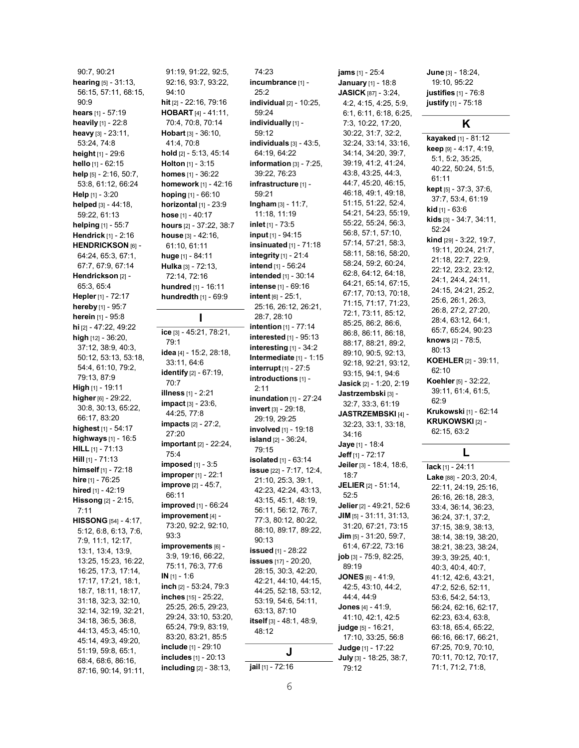90:7, 90:21 hearing [5] - 31:13, 56:15, 57:11, 68:15,  $90.9$ hears [1] - 57:19 heavily [1] - 22:8 heavy [3] - 23:11, 53:24, 74:8 height [1] - 29:6 hello [1] - 62:15 help [5] - 2:16, 50:7, 53:8, 61:12, 66:24 Help [1] - 3:20 helped [3] - 44:18. 59:22, 61:13 helping [1] - 55:7 Hendrick [1] - 2:16 HENDRICKSON [6] - 64:24, 65:3, 67:1, 67:7, 67:9, 67:14 Hendrickson [2] -65:3, 65:4 Hepler [1] - 72:17 hereby [1] - 95:7 herein [1] - 95:8 hi [2] - 47:22, 49:22 high [12] - 36:20, 37:12, 38:9, 40:3, 50:12, 53:13, 53:18, 54:4, 61:10, 79:2, 79:13, 87:9 High [1] - 19:11 higher [6] - 29:22, 30:8, 30:13, 65:22, 66:17, 83:20 highest [1] - 54:17 highways [1] - 16:5 HILL [1] - 71:13  $Hill$  [1] - 71:13 himself [1] - 72:18 hire [1] - 76:25 hired [1] - 42:19 Hissong [2] - 2:15, 7:11 HISSONG [54] - 4:17, 5:12, 6:8, 6:13, 7:6, 7:9, 11:1, 12:17, 13:1, 13:4, 13:9, 13:25, 15:23, 16:22, 16:25, 17:3, 17:14, 17:17, 17:21, 18:1, 18:7, 18:11, 18:17, 31:18, 32:3, 32:10, 32:14, 32:19, 32:21, 34:18, 36:5, 36:8, 44:13, 45:3, 45:10, 45:14, 49:3, 49:20, 51:19, 59:8, 65:1, 68:4, 68:6, 86:16, 87:16, 90:14, 91:11,

91:19, 91:22, 92:5, 92:16, 93:7, 93:22, 94:10 hit [2] - 22:16, 79:16 HOBART [4] - 41:11, 70:4, 70:8, 70:14 Hobart [3] - 36:10, 41:4, 70:8 hold [2] - 5:13, 45:14 **Holton** [1] - 3:15 homes [1] - 36:22 homework [1] - 42:16 hoping [1] - 66:10 horizontal [1] - 23:9 hose [1] - 40:17 hours [2] - 37:22, 38:7 house [3] - 42:16, 61:10, 61:11 huge [1] - 84:11 Hulka [3] - 72:13, 72:14, 72:16 hundred [1] - 16:11 hundredth [1] - 69:9 I ice [3] - 45:21, 78:21, 79:1 idea [4] - 15:2, 28:18, 33:11, 64:6 identify [2] - 67:19, 70:7 illness [1] - 2:21 impact [3] - 23:6, 44:25, 77:8 impacts [2] - 27:2, 27:20 important [2] - 22:24, 75:4 imposed [1] - 3:5 improper [1] - 22:1 improve [2] - 45:7, 66:11 improved [1] - 66:24 improvement [4] - 73:20, 92:2, 92:10, 93:3 improvements [6] -3:9, 19:16, 66:22, 75:11, 76:3, 77:6 IN [1] - 1:6 inch [2] - 53:24, 79:3 inches [15] - 25:22, 25:25, 26:5, 29:23, 29:24, 33:10, 53:20, 65:24, 79:9, 83:19, 83:20, 83:21, 85:5 include [1] - 29:10 includes [1] - 20:13 including [2] - 38:13,

74:23 incumbrance [1] -25:2 individual [2] - 10:25, 59:24 individually [1] -59:12 individuals  $[3]$  - 43:5, 64:19, 64:22 information  $[3]$  - 7:25, 39:22, 76:23 infrastructure [1] -59:21 Ingham [3] - 11:7, 11:18, 11:19 inlet [1] - 73:5 input [1] - 94:15 insinuated [1] - 71:18 integrity [1] - 21:4 intend [1] - 56:24 intended [1] - 30:14 intense [1] - 69:16 intent [6] - 25:1, 25:16, 26:12, 26:21, 28:7, 28:10 intention [1] - 77:14 interested [1] - 95:13 interesting [1] - 34:2 Intermediate [1] - 1:15 interrupt [1] - 27:5 introductions [1] -2:11 inundation [1] - 27:24 invert [3] - 29:18, 29:19, 29:25 involved [1] - 19:18 island [2] - 36:24, 79:15 isolated [1] - 63:14 issue [22] - 7:17, 12:4, 21:10, 25:3, 39:1, 42:23, 42:24, 43:13, 43:15, 45:1, 48:19, 56:11, 56:12, 76:7, 77:3, 80:12, 80:22, 88:10, 89:17, 89:22, 90:13 issued [1] - 28:22 issues [17] - 20:20, 28:15, 30:3, 42:20, 42:21, 44:10, 44:15, 44:25, 52:18, 53:12, 53:19, 54:6, 54:11, 63:13, 87:10 itself [3] - 48:1, 48:9, 48:12 J jail [1] - 72:16

jams [1] - 25:4 January [1] - 18:8 JASICK [87] - 3:24, 4:2, 4:15, 4:25, 5:9, 6:1, 6:11, 6:18, 6:25, 7:3, 10:22, 17:20, 30:22, 31:7, 32:2, 32:24, 33:14, 33:16, 34:14, 34:20, 39:7, 39:19, 41:2, 41:24, 43:8, 43:25, 44:3, 44:7, 45:20, 46:15, 46:18, 49:1, 49:18, 51:15, 51:22, 52:4, 54:21, 54:23, 55:19, 55:22, 55:24, 56:3, 56:8, 57:1, 57:10, 57:14, 57:21, 58:3, 58:11, 58:16, 58:20, 58:24, 59:2, 60:24, 62:8, 64:12, 64:18, 64:21, 65:14, 67:15, 67:17, 70:13, 70:18, 71:15, 71:17, 71:23, 72:1, 73:11, 85:12, 85:25, 86:2, 86:6, 86:8, 86:11, 86:18, 88:17, 88:21, 89:2, 89:10, 90:5, 92:13, 92:18, 92:21, 93:12, 93:15, 94:1, 94:6 Jasick [2] - 1:20, 2:19 Jastrzembski [3] - 32:7, 33:3, 61:19 JASTRZEMBSKI [4] - 32:23, 33:1, 33:18, 34:16 Jaye [1] - 18:4 Jeff [1] - 72:17 Jeiler [3] - 18:4, 18:6, 18:7 JELIER [2] - 51:14, 52:5 Jelier [2] - 49:21, 52:6  $JIM$  [5] - 31:11, 31:13, 31:20, 67:21, 73:15 Jim [5] - 31:20, 59:7, 61:4, 67:22, 73:16 job [3] - 75:9, 82:25, 89:19 JONES [6] - 41:9, 42:5, 43:10, 44:2, 44:4, 44:9 Jones [4] - 41:9, 41:10, 42:1, 42:5 judge [5] - 16:21, 17:10, 33:25, 56:8 Judge [1] - 17:22 July [3] - 18:25, 38:7, 79:12

June [3] - 18:24, 19:10, 95:22 justifies [1] - 76:8 justify [1] - 75:18

# K

kayaked [1] - 81:12 keep [9] - 4:17, 4:19, 5:1, 5:2, 35:25, 40:22, 50:24, 51:5, 61:11 kept [5] - 37:3, 37:6, 37:7, 53:4, 61:19 kid [1] - 63:6 kids [3] - 34:7, 34:11, 52:24 kind [29] - 3:22, 19:7, 19:11, 20:24, 21:7, 21:18, 22:7, 22:9, 22:12, 23:2, 23:12, 24:1, 24:4, 24:11, 24:15, 24:21, 25:2, 25:6, 26:1, 26:3, 26:8, 27:2, 27:20, 28:4, 63:12, 64:1, 65:7, 65:24, 90:23 knows [2] - 78:5, 80:13 KOEHLER [2] - 39:11, 62:10 Koehler [5] - 32:22, 39:11, 61:4, 61:5, 62:9 Krukowski [1] - 62:14 KRUKOWSKI [2] -

#### 62:15, 63:2

# L

lack [1] - 24:11 Lake [88] - 20:3, 20:4, 22:11, 24:19, 25:16, 26:16, 26:18, 28:3, 33:4, 36:14, 36:23, 36:24, 37:1, 37:2, 37:15, 38:9, 38:13, 38:14, 38:19, 38:20, 38:21, 38:23, 38:24, 39:3, 39:25, 40:1, 40:3, 40:4, 40:7, 41:12, 42:6, 43:21, 47:2, 52:6, 52:11, 53:6, 54:2, 54:13, 56:24, 62:16, 62:17, 62:23, 63:4, 63:8, 63:18, 65:4, 65:22, 66:16, 66:17, 66:21, 67:25, 70:9, 70:10, 70:11, 70:12, 70:17, 71:1, 71:2, 71:8,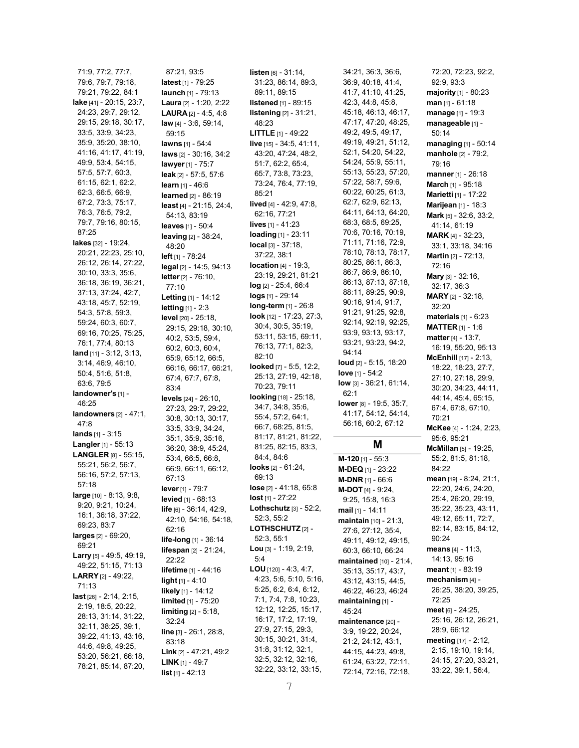71:9, 77:2, 77:7, 79:6, 79:7, 79:18, 79:21, 79:22, 84:1 lake [41] - 20:15, 23:7, 24:23, 29:7, 29:12, 29:15, 29:18, 30:17, 33:5, 33:9, 34:23, 35:9, 35:20, 38:10, 41:16, 41:17, 41:19, 49:9, 53:4, 54:15, 57:5, 57:7, 60:3, 61:15, 62:1, 62:2, 62:3, 66:5, 66:9, 67:2, 73:3, 75:17, 76:3, 76:5, 79:2, 79:7, 79:16, 80:15, 87:25 lakes [32] - 19:24, 20:21, 22:23, 25:10, 26:12, 26:14, 27:22, 30:10, 33:3, 35:6, 36:18, 36:19, 36:21, 37:13, 37:24, 42:7, 43:18, 45:7, 52:19, 54:3, 57:8, 59:3, 59:24, 60:3, 60:7, 69:16, 70:25, 75:25, 76:1, 77:4, 80:13 land [11] - 3:12, 3:13, 3:14, 46:9, 46:10, 50:4, 51:6, 51:8, 63:6, 79:5 landowner's [1] -46:25 landowners [2] - 47:1, 47:8 lands [1] - 3:15 Langler [1] - 55:13 LANGLER [8] - 55:15, 55:21, 56:2, 56:7, 56:16, 57:2, 57:13, 57:18 large [10] - 8:13, 9:8, 9:20, 9:21, 10:24, 16:1, 36:18, 37:22, 69:23, 83:7 larges [2] - 69:20, 69:21 Larry [5] - 49:5, 49:19, 49:22, 51:15, 71:13 LARRY [2] - 49:22, 71:13 last [26] - 2:14, 2:15, 2:19, 18:5, 20:22, 28:13, 31:14, 31:22, 32:11, 38:25, 39:1, 39:22, 41:13, 43:16, 44:6, 49:8, 49:25, 53:20, 56:21, 66:18, 78:21, 85:14, 87:20,

87:21, 93:5 latest [1] - 79:25 launch [1] - 79:13 Laura [2] - 1:20, 2:22 LAURA [2] - 4:5, 4:8 law [4] - 3:6, 59:14, 59:15 lawns [1] - 54:4 laws [2] - 30:16, 34:2 lawyer [1] - 75:7 leak [2] - 57:5, 57:6 learn [1] - 46:6 learned [2] - 86:19 least [4] - 21:15, 24:4, 54:13, 83:19 leaves [1] - 50:4 leaving [2] - 38:24, 48:20 left [1] - 78:24 legal [2] - 14:5, 94:13 letter [2] - 76:10, 77:10 Letting [1] - 14:12 **letting** [1] - 2:3 level [20] - 25:18, 29:15, 29:18, 30:10, 40:2, 53:5, 59:4, 60:2, 60:3, 60:4, 65:9, 65:12, 66:5, 66:16, 66:17, 66:21, 67:4, 67:7, 67:8, 83:4 levels [24] - 26:10, 27:23, 29:7, 29:22, 30:8, 30:13, 30:17, 33:5, 33:9, 34:24, 35:1, 35:9, 35:16, 36:20, 38:9, 45:24, 53:4, 66:5, 66:8, 66:9, 66:11, 66:12, 67:13 lever [1] - 79:7 levied [1] - 68:13 life [6] - 36:14, 42:9, 42:10, 54:16, 54:18, 62:16 life-long [1] - 36:14 lifespan [2] - 21:24, 22:22 lifetime [1] - 44:16 light [1] - 4:10 likely [1] - 14:12 limited [1] - 75:20 limiting [2] - 5:18, 32:24 line [3] - 26:1, 28:8, 83:18 Link [2] - 47:21, 49:2 **LINK**  $[1]$  - 49:7 list [1] - 42:13

listen [6] - 31:14, 31:23, 86:14, 89:3, 89:11, 89:15 listened [1] - 89:15 listening [2] - 31:21, 48:23 LITTLE [1] - 49:22 live [15] - 34:5, 41:11, 43:20, 47:24, 48:2, 51:7, 62:2, 65:4, 65:7, 73:8, 73:23, 73:24, 76:4, 77:19, 85:21 lived [4] - 42:9, 47:8, 62:16, 77:21 lives [1] - 41:23 loading [1] - 23:11 local [3] - 37:18, 37:22, 38:1 location [4] - 19:3, 23:19, 29:21, 81:21 log [2] - 25:4, 66:4 logs [1] - 29:14 long-term [1] - 26:8 look [12] - 17:23, 27:3, 30:4, 30:5, 35:19, 53:11, 53:15, 69:11, 76:13, 77:1, 82:3, 82:10 looked [7] - 5:5, 12:2, 25:13, 27:19, 42:18, 70:23, 79:11 looking [18] - 25:18, 34:7, 34:8, 35:6, 55:4, 57:2, 64:1, 66:7, 68:25, 81:5, 81:17, 81:21, 81:22, 81:25, 82:15, 83:3, 84:4, 84:6 looks [2] - 61:24, 69:13 lose [2] - 41:18, 65:8 lost [1] - 27:22 Lothschutz [3] - 52:2, 52:3, 55:2 LOTHSCHUTZ [2] -52:3, 55:1 Lou [3] - 1:19, 2:19, 5:4 LOU [120] - 4:3, 4:7, 4:23, 5:6, 5:10, 5:16, 5:25, 6:2, 6:4, 6:12, 7:1, 7:4, 7:8, 10:23, 12:12, 12:25, 15:17, 16:17, 17:2, 17:19, 27:9, 27:15, 29:3, 30:15, 30:21, 31:4, 31:8, 31:12, 32:1, 32:5, 32:12, 32:16, 32:22, 33:12, 33:15,

36:9, 40:18, 41:4, 41:7, 41:10, 41:25, 42:3, 44:8, 45:8, 45:18, 46:13, 46:17, 47:17, 47:20, 48:25, 49:2, 49:5, 49:17, 49:19, 49:21, 51:12, 52:1, 54:20, 54:22, 54:24, 55:9, 55:11, 55:13, 55:23, 57:20, 57:22, 58:7, 59:6, 60:22, 60:25, 61:3, 62:7, 62:9, 62:13, 64:11, 64:13, 64:20, 68:3, 68:5, 69:25, 70:6, 70:16, 70:19, 71:11, 71:16, 72:9, 78:10, 78:13, 78:17, 80:25, 86:1, 86:3, 86:7, 86:9, 86:10, 86:13, 87:13, 87:18, 88:11, 89:25, 90:9, 90:16, 91:4, 91:7, 91:21, 91:25, 92:8, 92:14, 92:19, 92:25, 93:9, 93:13, 93:17, 93:21, 93:23, 94:2, 94:14 loud [2] - 5:15, 18:20 love [1] - 54:2 low [3] - 36:21, 61:14, 62:1 lower [8] - 19:5, 35:7, 41:17, 54:12, 54:14, 56:16, 60:2, 67:12

34:21, 36:3, 36:6,

# M

M-120 [1] - 55:3 M-DEQ [1] - 23:22 M-DNR [1] - 66:6 M-DOT [4] - 9:24, 9:25, 15:8, 16:3 mail [1] - 14:11 maintain [10] - 21:3, 27:6, 27:12, 35:4, 49:11, 49:12, 49:15, 60:3, 66:10, 66:24 maintained [10] - 21:4, 35:13, 35:17, 43:7, 43:12, 43:15, 44:5, 46:22, 46:23, 46:24 maintaining [1] - 45:24 maintenance [20] -3:9, 19:22, 20:24, 21:2, 24:12, 43:1, 44:15, 44:23, 49:8, 61:24, 63:22, 72:11, 72:14, 72:16, 72:18,

72:20, 72:23, 92:2, 92:9, 93:3 majority [1] - 80:23 man [1] - 61:18 manage [1] - 19:3 manageable [1] - 50:14 managing [1] - 50:14 manhole [2] - 79:2, 79:16 manner [1] - 26:18 March [1] - 95:18 Marietti [1] - 17:22 **Marijean** [1] - 18:3 Mark [5] - 32:6, 33:2, 41:14, 61:19 MARK [4] - 32:23, 33:1, 33:18, 34:16 Martin [2] - 72:13, 72:16 Mary [3] - 32:16, 32:17, 36:3 MARY [2] - 32:18, 32:20 materials [1] - 6:23 MATTER [1] - 1:6 matter [4] - 13:7, 16:19, 55:20, 95:13 McEnhill [17] - 2:13, 18:22, 18:23, 27:7, 27:10, 27:18, 29:9, 30:20, 34:23, 44:11, 44:14, 45:4, 65:15, 67:4, 67:8, 67:10, 70:21 McKee [4] - 1:24, 2:23, 95:6, 95:21 McMillan [5] - 19:25, 55:2, 81:5, 81:18, 84:22 mean [19] - 8:24, 21:1, 22:20, 24:6, 24:20, 25:4, 26:20, 29:19, 35:22, 35:23, 43:11, 49:12, 65:11, 72:7, 82:14, 83:15, 84:12,  $90.24$ means [4] - 11:3, 14:13, 95:16 meant [1] - 83:19 mechanism [4] - 26:25, 38:20, 39:25, 72:25 meet [6] - 24:25, 25:16, 26:12, 26:21, 28:9, 66:12 meeting [17] - 2:12, 2:15, 19:10, 19:14, 24:15, 27:20, 33:21, 33:22, 39:1, 56:4,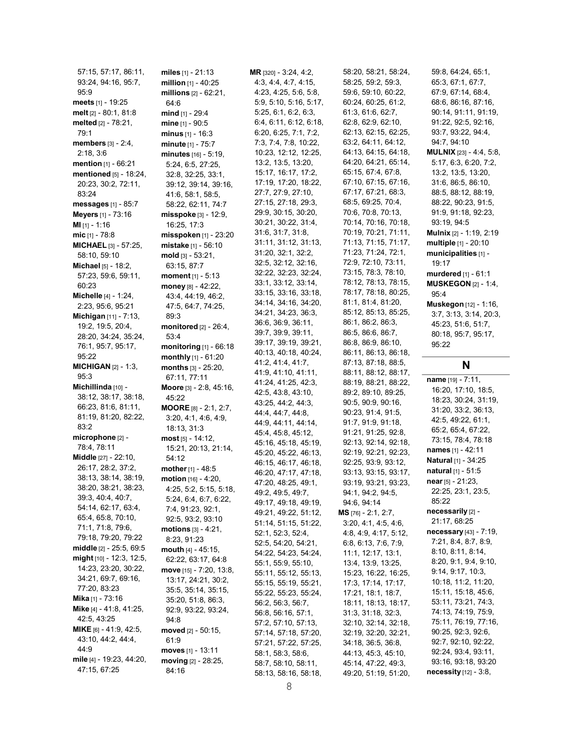57:15, 57:17, 86:11, 93:24, 94:16, 95:7, 95:9 meets [1] - 19:25 melt [2] - 80:1, 81:8 melted [2] - 78:21, 79:1 members [3] - 2:4, 2:18, 3:6 mention [1] - 66:21 mentioned [5] - 18:24, 20:23, 30:2, 72:11, 83:24 messages [1] - 85:7 Meyers [1] - 73:16 MI [1] - 1:16 mic [1] - 78:8 MICHAEL [3] - 57:25, 58:10, 59:10 **Michael** [5] - 18:2, 57:23, 59:6, 59:11, 60:23 Michelle [4] - 1:24, 2:23, 95:6, 95:21 Michigan [11] - 7:13, 19:2, 19:5, 20:4, 28:20, 34:24, 35:24, 76:1, 95:7, 95:17, 95:22 MICHIGAN [2] - 1:3, 95:3 Michillinda [10] -38:12, 38:17, 38:18, 66:23, 81:6, 81:11, 81:19, 81:20, 82:22, 83:2 microphone [2] - 78:4, 78:11 Middle [27] - 22:10, 26:17, 28:2, 37:2, 38:13, 38:14, 38:19, 38:20, 38:21, 38:23, 39:3, 40:4, 40:7, 54:14, 62:17, 63:4, 65:4, 65:8, 70:10, 71:1, 71:8, 79:6, 79:18, 79:20, 79:22 middle [2] - 25:5, 69:5 might [10] - 12:3, 12:5, 14:23, 23:20, 30:22, 34:21, 69:7, 69:16, 77:20, 83:23 Mika [1] - 73:16 Mike [4] - 41:8, 41:25, 42:5, 43:25 MIKE [6] - 41:9, 42:5, 43:10, 44:2, 44:4, 44:9 mile [4] - 19:23, 44:20, 47:15, 67:25

miles [1] - 21:13 million [1] - 40:25 millions [2] - 62:21, 64:6 mind [1] - 29:4 mine [1] - 90:5 minus [1] - 16:3 minute [1] - 75:7 minutes [16] - 5:19, 5:24, 6:5, 27:25, 32:8, 32:25, 33:1, 39:12, 39:14, 39:16, 41:6, 58:1, 58:5, 58:22, 62:11, 74:7 misspoke [3] - 12:9, 16:25, 17:3 misspoken [1] - 23:20 mistake [1] - 56:10 mold [3] - 53:21, 63:15, 87:7 moment [1] - 5:13 money [8] - 42:22, 43:4, 44:19, 46:2, 47:5, 64:7, 74:25, 89:3 monitored [2] - 26:4, 53:4 monitoring [1] - 66:18 monthly [1] - 61:20 months [3] - 25:20, 67:11, 77:11 Moore [3] - 2:8, 45:16, 45:22 MOORE [8] - 2:1, 2:7, 3:20, 4:1, 4:6, 4:9, 18:13, 31:3 most [5] - 14:12, 15:21, 20:13, 21:14, 54:12 mother [1] - 48:5 motion [16] - 4:20, 4:25, 5:2, 5:15, 5:18, 5:24, 6:4, 6:7, 6:22, 7:4, 91:23, 92:1, 92:5, 93:2, 93:10 motions [3] - 4:21, 8:23, 91:23 mouth [4] - 45:15, 62:22, 63:17, 64:8 move [15] - 7:20, 13:8, 13:17, 24:21, 30:2, 35:5, 35:14, 35:15, 35:20, 51:8, 86:3, 92:9, 93:22, 93:24, 94:8 moved [2] - 50:15, 61:9 moves [1] - 13:11 moving [2] - 28:25, 84:16

MR [320] - 3:24, 4:2, 4:3, 4:4, 4:7, 4:15, 4:23, 4:25, 5:6, 5:8, 5:9, 5:10, 5:16, 5:17, 5:25, 6:1, 6:2, 6:3, 6:4, 6:11, 6:12, 6:18, 6:20, 6:25, 7:1, 7:2, 7:3, 7:4, 7:8, 10:22, 10:23, 12:12, 12:25, 13:2, 13:5, 13:20, 15:17, 16:17, 17:2, 17:19, 17:20, 18:22, 27:7, 27:9, 27:10, 27:15, 27:18, 29:3, 29:9, 30:15, 30:20, 30:21, 30:22, 31:4, 31:6, 31:7, 31:8, 31:11, 31:12, 31:13, 31:20, 32:1, 32:2, 32:5, 32:12, 32:16, 32:22, 32:23, 32:24, 33:1, 33:12, 33:14, 33:15, 33:16, 33:18, 34:14, 34:16, 34:20, 34:21, 34:23, 36:3, 36:6, 36:9, 36:11, 39:7, 39:9, 39:11, 39:17, 39:19, 39:21, 40:13, 40:18, 40:24, 41:2, 41:4, 41:7, 41:9, 41:10, 41:11, 41:24, 41:25, 42:3, 42:5, 43:8, 43:10, 43:25, 44:2, 44:3, 44:4, 44:7, 44:8, 44:9, 44:11, 44:14, 45:4, 45:8, 45:12, 45:16, 45:18, 45:19, 45:20, 45:22, 46:13, 46:15, 46:17, 46:18, 46:20, 47:17, 47:18, 47:20, 48:25, 49:1, 49:2, 49:5, 49:7, 49:17, 49:18, 49:19, 49:21, 49:22, 51:12, 51:14, 51:15, 51:22, 52:1, 52:3, 52:4, 52:5, 54:20, 54:21, 54:22, 54:23, 54:24, 55:1, 55:9, 55:10, 55:11, 55:12, 55:13, 55:15, 55:19, 55:21, 55:22, 55:23, 55:24, 56:2, 56:3, 56:7, 56:8, 56:16, 57:1, 57:2, 57:10, 57:13, 57:14, 57:18, 57:20, 57:21, 57:22, 57:25, 58:1, 58:3, 58:6, 58:7, 58:10, 58:11, 58:13, 58:16, 58:18,

58:20, 58:21, 58:24, 58:25, 59:2, 59:3, 59:6, 59:10, 60:22, 60:24, 60:25, 61:2, 61:3, 61:6, 62:7, 62:8, 62:9, 62:10, 62:13, 62:15, 62:25, 63:2, 64:11, 64:12, 64:13, 64:15, 64:18, 64:20, 64:21, 65:14, 65:15, 67:4, 67:8, 67:10, 67:15, 67:16, 67:17, 67:21, 68:3, 68:5, 69:25, 70:4, 70:6, 70:8, 70:13, 70:14, 70:16, 70:18, 70:19, 70:21, 71:11, 71:13, 71:15, 71:17, 71:23, 71:24, 72:1, 72:9, 72:10, 73:11, 73:15, 78:3, 78:10, 78:12, 78:13, 78:15, 78:17, 78:18, 80:25, 81:1, 81:4, 81:20, 85:12, 85:13, 85:25, 86:1, 86:2, 86:3, 86:5, 86:6, 86:7, 86:8, 86:9, 86:10, 86:11, 86:13, 86:18, 87:13, 87:18, 88:5, 88:11, 88:12, 88:17, 88:19, 88:21, 88:22, 89:2, 89:10, 89:25, 90:5, 90:9, 90:16, 90:23, 91:4, 91:5, 91:7, 91:9, 91:18, 91:21, 91:25, 92:8, 92:13, 92:14, 92:18, 92:19, 92:21, 92:23, 92:25, 93:9, 93:12, 93:13, 93:15, 93:17, 93:19, 93:21, 93:23, 94:1, 94:2, 94:5, 94:6, 94:14 MS [76] - 2:1, 2:7, 3:20, 4:1, 4:5, 4:6, 4:8, 4:9, 4:17, 5:12, 6:8, 6:13, 7:6, 7:9, 11:1, 12:17, 13:1, 13:4, 13:9, 13:25, 15:23, 16:22, 16:25, 17:3, 17:14, 17:17, 17:21, 18:1, 18:7, 18:11, 18:13, 18:17, 31:3, 31:18, 32:3, 32:10, 32:14, 32:18, 32:19, 32:20, 32:21, 34:18, 36:5, 36:8, 44:13, 45:3, 45:10, 45:14, 47:22, 49:3, 49:20, 51:19, 51:20,

59:8, 64:24, 65:1, 65:3, 67:1, 67:7, 67:9, 67:14, 68:4, 68:6, 86:16, 87:16, 90:14, 91:11, 91:19, 91:22, 92:5, 92:16, 93:7, 93:22, 94:4, 94:7, 94:10 MULNIX [23] - 4:4, 5:8, 5:17, 6:3, 6:20, 7:2, 13:2, 13:5, 13:20, 31:6, 86:5, 86:10, 88:5, 88:12, 88:19, 88:22, 90:23, 91:5, 91:9, 91:18, 92:23, 93:19, 94:5 Mulnix [2] - 1:19, 2:19 multiple [1] - 20:10 municipalities [1] -19:17 murdered [1] - 61:1 MUSKEGON [2] - 1:4, 95:4 Muskegon [12] - 1:16, 3:7, 3:13, 3:14, 20:3, 45:23, 51:6, 51:7, 80:18, 95:7, 95:17,

# N

95:22

name [19] - 7:11, 16:20, 17:10, 18:5, 18:23, 30:24, 31:19, 31:20, 33:2, 36:13, 42:5, 49:22, 61:1, 65:2, 65:4, 67:22, 73:15, 78:4, 78:18 names [1] - 42:11 Natural [1] - 34:25 natural [1] - 51:5 near [5] - 21:23, 22:25, 23:1, 23:5, 85:22 necessarily [2] - 21:17, 68:25 necessary [43] - 7:19, 7:21, 8:4, 8:7, 8:9, 8:10, 8:11, 8:14, 8:20, 9:1, 9:4, 9:10, 9:14, 9:17, 10:3, 10:18, 11:2, 11:20, 15:11, 15:18, 45:6, 53:11, 73:21, 74:3, 74:13, 74:19, 75:9, 75:11, 76:19, 77:16, 90:25, 92:3, 92:6, 92:7, 92:10, 92:22, 92:24, 93:4, 93:11, 93:16, 93:18, 93:20 necessity [12] - 3:8,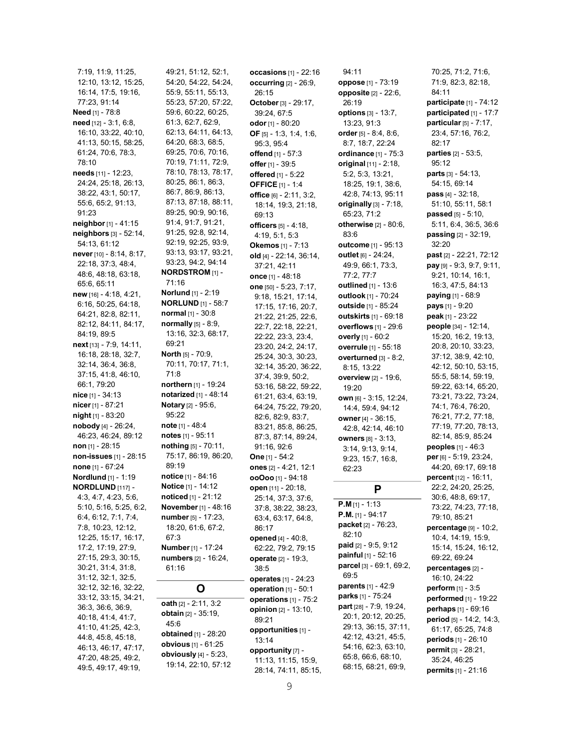7:19, 11:9, 11:25, 12:10, 13:12, 15:25, 16:14, 17:5, 19:16, 77:23, 91:14 Need [1] - 78:8 need [12] - 3:1, 6:8, 16:10, 33:22, 40:10, 41:13, 50:15, 58:25, 61:24, 70:6, 78:3, 78:10 needs [11] - 12:23, 24:24, 25:18, 26:13, 38:22, 43:1, 50:17, 55:6, 65:2, 91:13, 91:23 neighbor [1] - 41:15 neighbors [3] - 52:14, 54:13, 61:12 never [10] - 8:14, 8:17, 22:18, 37:3, 48:4, 48:6, 48:18, 63:18, 65:6, 65:11 new [16] - 4:18, 4:21, 6:16, 50:25, 64:18, 64:21, 82:8, 82:11, 82:12, 84:11, 84:17, 84:19, 89:5 next [13] - 7:9, 14:11, 16:18, 28:18, 32:7, 32:14, 36:4, 36:8, 37:15, 41:8, 46:10, 66:1, 79:20 nice [1] - 34:13 nicer [1] - 87:21 night [1] - 83:20 nobody [4] - 26:24, 46:23, 46:24, 89:12 non [1] - 28:15 non-issues [1] - 28:15 none [1] - 67:24 Nordlund [1] - 1:19 NORDLUND [117] - 4:3, 4:7, 4:23, 5:6, 5:10, 5:16, 5:25, 6:2, 6:4, 6:12, 7:1, 7:4, 7:8, 10:23, 12:12, 12:25, 15:17, 16:17, 17:2, 17:19, 27:9, 27:15, 29:3, 30:15, 30:21, 31:4, 31:8, 31:12, 32:1, 32:5, 32:12, 32:16, 32:22, 33:12, 33:15, 34:21, 36:3, 36:6, 36:9, 40:18, 41:4, 41:7, 41:10, 41:25, 42:3, 44:8, 45:8, 45:18, 46:13, 46:17, 47:17, 47:20, 48:25, 49:2, 49:5, 49:17, 49:19,

49:21, 51:12, 52:1, 54:20, 54:22, 54:24, 55:9, 55:11, 55:13, 55:23, 57:20, 57:22, 59:6, 60:22, 60:25, 61:3, 62:7, 62:9, 62:13, 64:11, 64:13, 64:20, 68:3, 68:5, 69:25, 70:6, 70:16, 70:19, 71:11, 72:9, 78:10, 78:13, 78:17, 80:25, 86:1, 86:3, 86:7, 86:9, 86:13, 87:13, 87:18, 88:11, 89:25, 90:9, 90:16, 91:4, 91:7, 91:21, 91:25, 92:8, 92:14, 92:19, 92:25, 93:9, 93:13, 93:17, 93:21, 93:23, 94:2, 94:14 NORDSTROM [1] - 71:16 Norlund [1] - 2:19 **NORLUND** [1] - 58:7 normal [1] - 30:8  $normally$  [5] - 8:9, 13:16, 32:3, 68:17, 69:21 North [5] - 70:9, 70:11, 70:17, 71:1, 71:8 northern [1] - 19:24 notarized [1] - 48:14 Notary [2] - 95:6, 95:22 note [1] - 48:4 notes [1] - 95:11 nothing [5] - 70:11, 75:17, 86:19, 86:20, 89:19 notice [1] - 84:16 Notice [1] - 14:12 noticed [1] - 21:12 November [1] - 48:16 number [5] - 17:23, 18:20, 61:6, 67:2, 67:3 Number [1] - 17:24 numbers [2] - 16:24, 61:16 O oath [2] - 2:11, 3:2 obtain [2] - 35:19, 45:6 obtained [1] - 28:20 obvious [1] - 61:25 obviously [4] - 5:23,

19:14, 22:10, 57:12

occasions [1] - 22:16 occurring [2] - 26:9, 26:15 October [3] - 29:17, 39:24, 67:5 odor [1] - 80:20 OF [5] - 1:3, 1:4, 1:6, 95:3, 95:4 offend [1] - 57:3 offer [1] - 39:5 offered [1] - 5:22 OFFICE [1] - 1:4 office [6] - 2:11, 3:2, 18:14, 19:3, 21:18, 69:13 officers [5] - 4:18, 4:19, 5:1, 5:3 Okemos [1] - 7:13 old [4] - 22:14, 36:14, 37:21, 42:11 once [1] - 48:18 one [50] - 5:23, 7:17, 9:18, 15:21, 17:14, 17:15, 17:16, 20:7, 21:22, 21:25, 22:6, 22:7, 22:18, 22:21, 22:22, 23:3, 23:4, 23:20, 24:2, 24:17, 25:24, 30:3, 30:23, 32:14, 35:20, 36:22, 37:4, 39:9, 50:2, 53:16, 58:22, 59:22, 61:21, 63:4, 63:19, 64:24, 75:22, 79:20, 82:6, 82:9, 83:7, 83:21, 85:8, 86:25, 87:3, 87:14, 89:24, 91:16, 92:6 One [1] - 54:2 ones [2] - 4:21, 12:1 ooOoo [1] - 94:18 open [11] - 20:18, 25:14, 37:3, 37:6, 37:8, 38:22, 38:23, 63:4, 63:17, 64:8, 86:17 opened [4] - 40:8, 62:22, 79:2, 79:15 operate [2] - 19:3, 38:5 operates [1] - 24:23 operation [1] - 50:1 operations [1] - 75:2 opinion [2] - 13:10, 89:21 opportunities [1] - 13:14 opportunity [7] - 11:13, 11:15, 15:9, 28:14, 74:11, 85:15,

94:11 oppose [1] - 73:19 opposite [2] - 22:6, 26:19 options [3] - 13:7, 13:23, 91:3 order [5] - 8:4, 8:6, 8:7, 18:7, 22:24 ordinance [1] - 75:3 original [11] - 2:18, 5:2, 5:3, 13:21, 18:25, 19:1, 38:6, 42:8, 74:13, 95:11 originally  $[3]$  -  $7:18$ , 65:23, 71:2 otherwise [2] - 80:6, 83:6 outcome [1] - 95:13 outlet [6] - 24:24, 49:9, 66:1, 73:3, 77:2, 77:7 outlined [1] - 13:6 outlook [1] - 70:24 outside [1] - 85:24 outskirts [1] - 69:18 overflows [1] - 29:6 overly [1] - 60:2 overrule [1] - 55:18 overturned [3] - 8:2, 8:15, 13:22 overview [2] - 19:6, 19:20 own [6] - 3:15, 12:24, 14:4, 59:4, 94:12 owner [4] - 36:15, 42:8, 42:14, 46:10 owners [8] - 3:13, 3:14, 9:13, 9:14, 9:23, 15:7, 16:8, 62:23 P P.M [1] - 1:13 P.M. [1] - 94:17 packet [2] - 76:23, 82:10 paid [2] - 9:5, 9:12

painful [1] - 52:16 parcel [3] - 69:1, 69:2,

parents [1] - 42:9 parks [1] - 75:24 part [28] - 7:9, 19:24, 20:1, 20:12, 20:25, 29:13, 36:15, 37:11, 42:12, 43:21, 45:5, 54:16, 62:3, 63:10, 65:8, 66:6, 68:10, 68:15, 68:21, 69:9,

69:5

participate [1] - 74:12 participated [1] - 17:7 particular  $[5] - 7:17$ , 23:4, 57:16, 76:2, 82:17 parties [2] - 53:5, 95:12 parts [3] - 54:13, 54:15, 69:14 pass [4] - 32:18, 51:10, 55:11, 58:1 passed [5] - 5:10, 5:11, 6:4, 36:5, 36:6 passing [2] - 32:19, 32:20 past [2] - 22:21, 72:12 pay [9] - 9:3, 9:7, 9:11, 9:21, 10:14, 16:1, 16:3, 47:5, 84:13 paying [1] - 68:9 pays [1] - 9:20 peak [1] - 23:22 people [34] - 12:14, 15:20, 16:2, 19:13, 20:8, 20:10, 33:23, 37:12, 38:9, 42:10, 42:12, 50:10, 53:15, 55:5, 58:14, 59:19, 59:22, 63:14, 65:20, 73:21, 73:22, 73:24, 74:1, 76:4, 76:20, 76:21, 77:2, 77:18, 77:19, 77:20, 78:13, 82:14, 85:9, 85:24 peoples [1] - 46:3 per [6] - 5:19, 23:24, 44:20, 69:17, 69:18 percent [12] - 16:11, 22:2, 24:20, 25:25, 30:6, 48:8, 69:17, 73:22, 74:23, 77:18, 79:10, 85:21 percentage [9] - 10:2, 10:4, 14:19, 15:9, 15:14, 15:24, 16:12, 69:22, 69:24 percentages [2] - 16:10, 24:22 perform [1] - 3:5 performed [1] - 19:22 perhaps [1] - 69:16 period [5] - 14:2, 14:3, 61:17, 65:25, 74:8 periods [1] - 26:10 permit [3] - 28:21, 35:24, 46:25 permits [1] - 21:16

70:25, 71:2, 71:6, 71:9, 82:3, 82:18,

84:11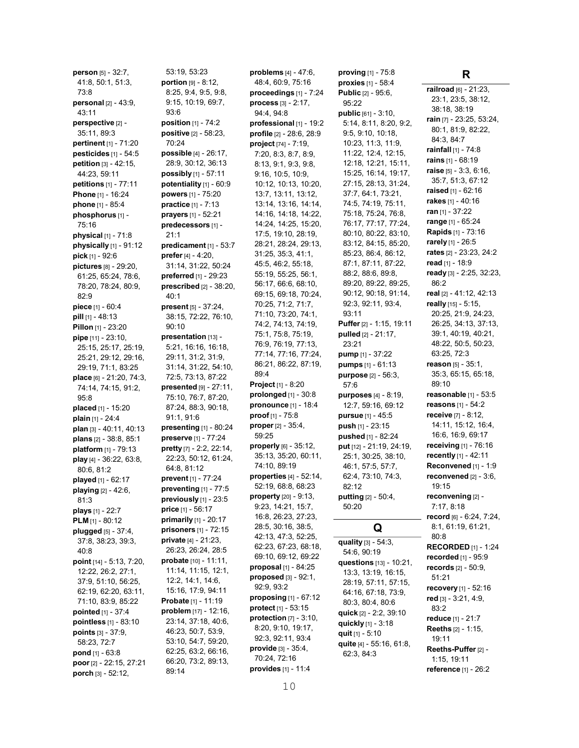person [5] - 32:7, 41:8, 50:1, 51:3, 73:8 personal [2] - 43:9, 43:11 perspective [2] -35:11, 89:3 pertinent [1] - 71:20 pesticides [1] - 54:5 petition [3] - 42:15, 44:23, 59:11 petitions [1] - 77:11 Phone [1] - 16:24 phone [1] - 85:4 phosphorus [1] -75:16 physical [1] - 71:8 **physically**  $[1]$  - 91:12 pick [1] - 92:6 pictures [8] - 29:20, 61:25, 65:24, 78:6, 78:20, 78:24, 80:9, 82:9 piece [1] - 60:4 pill [1] - 48:13 Pillon [1] - 23:20 pipe [11] - 23:10, 25:15, 25:17, 25:19, 25:21, 29:12, 29:16, 29:19, 71:1, 83:25 place [6] - 21:20, 74:3, 74:14, 74:15, 91:2, 95:8 placed [1] - 15:20 plain [1] - 24:4 plan [3] - 40:11, 40:13 plans [2] - 38:8, 85:1 platform [1] - 79:13 play [4] - 36:22, 63:8, 80:6, 81:2 played [1] - 62:17 playing [2] - 42:6, 81:3 plays [1] - 22:7 PLM [1] - 80:12 plugged [5] - 37:4, 37:8, 38:23, 39:3, 40:8 point [14] - 5:13, 7:20, 12:22, 26:2, 27:1, 37:9, 51:10, 56:25, 62:19, 62:20, 63:11, 71:10, 83:9, 85:22 pointed [1] - 37:4 pointless [1] - 83:10 points [3] - 37:9, 58:23, 72:7 pond [1] - 63:8 poor [2] - 22:15, 27:21 porch [3] - 52:12,

53:19, 53:23 portion  $[9] - 8:12$ , 8:25, 9:4, 9:5, 9:8, 9:15, 10:19, 69:7, 93:6 position [1] - 74:2 positive [2] - 58:23, 70:24 possible [4] - 26:17, 28:9, 30:12, 36:13 possibly [1] - 57:11 potentiality  $[1]$  -  $60:9$ powers [1] - 75:20 **practice** [1] - 7:13 prayers [1] - 52:21 predecessors [1] -21:1 predicament [1] - 53:7 **prefer**  $[4] - 4:20$ , 31:14, 31:22, 50:24 preferred [1] - 29:23 prescribed [2] - 38:20, 40:1 present [5] - 37:24, 38:15, 72:22, 76:10, 90:10 presentation [13] -5:21, 16:16, 16:18, 29:11, 31:2, 31:9, 31:14, 31:22, 54:10, 72:5, 73:13, 87:22 presented [9] - 27:11, 75:10, 76:7, 87:20, 87:24, 88:3, 90:18, 91:1, 91:6 presenting [1] - 80:24 preserve [1] - 77:24 pretty [7] - 2:2, 22:14, 22:23, 50:12, 61:24, 64:8, 81:12 prevent [1] - 77:24 preventing  $[1]$  - 77:5 previously [1] - 23:5 price [1] - 56:17 **primarily** [1] - 20:17 prisoners [1] - 72:15 private [4] - 21:23, 26:23, 26:24, 28:5 probate [10] - 11:11, 11:14, 11:15, 12:1, 12:2, 14:1, 14:6, 15:16, 17:9, 94:11 Probate [1] - 11:19 **problem** [17] - 12:16, 23:14, 37:18, 40:6, 46:23, 50:7, 53:9, 53:10, 54:7, 59:20, 62:25, 63:2, 66:16, 66:20, 73:2, 89:13, 89:14

problems [4] - 47:6, 48:4, 60:9, 75:16 proceedings [1] - 7:24 process [3] - 2:17, 94:4, 94:8 professional [1] - 19:2 profile [2] - 28:6, 28:9 project [74] - 7:19, 7:20, 8:3, 8:7, 8:9, 8:13, 9:1, 9:3, 9:8, 9:16, 10:5, 10:9, 10:12, 10:13, 10:20, 13:7, 13:11, 13:12, 13:14, 13:16, 14:14, 14:16, 14:18, 14:22, 14:24, 14:25, 15:20, 17:5, 19:10, 28:19, 28:21, 28:24, 29:13, 31:25, 35:3, 41:1, 45:5, 46:2, 55:18, 55:19, 55:25, 56:1, 56:17, 66:6, 68:10, 69:15, 69:18, 70:24, 70:25, 71:2, 71:7, 71:10, 73:20, 74:1, 74:2, 74:13, 74:19, 75:1, 75:8, 75:19, 76:9, 76:19, 77:13, 77:14, 77:16, 77:24, 86:21, 86:22, 87:19, 89:4 Project [1] - 8:20 prolonged [1] - 30:8 pronounce [1] - 18:4 proof [1] - 75:8 proper [2] - 35:4, 59:25 properly [6] - 35:12, 35:13, 35:20, 60:11, 74:10, 89:19 properties [4] - 52:14, 52:19, 68:8, 68:23 property [20] - 9:13, 9:23, 14:21, 15:7, 16:8, 26:23, 27:23, 28:5, 30:16, 38:5, 42:13, 47:3, 52:25, 62:23, 67:23, 68:18, 69:10, 69:12, 69:22 proposal [1] - 84:25 proposed [3] - 92:1, 92:9, 93:2 proposing [1] - 67:12 protect [1] - 53:15 protection [7] - 3:10, 8:20, 9:10, 19:17, 92:3, 92:11, 93:4 provide [3] - 35:4, 70:24, 72:16 provides [1] - 11:4

proxies [1] - 58:4 Public [2] - 95:6, 95:22 public [61] - 3:10, 5:14, 8:11, 8:20, 9:2, 9:5, 9:10, 10:18, 10:23, 11:3, 11:9, 11:22, 12:4, 12:15, 12:18, 12:21, 15:11, 15:25, 16:14, 19:17, 27:15, 28:13, 31:24, 37:7, 64:1, 73:21, 74:5, 74:19, 75:11, 75:18, 75:24, 76:8, 76:17, 77:17, 77:24, 80:10, 80:22, 83:10, 83:12, 84:15, 85:20, 85:23, 86:4, 86:12, 87:1, 87:11, 87:22, 88:2, 88:6, 89:8, 89:20, 89:22, 89:25, 90:12, 90:18, 91:14, 92:3, 92:11, 93:4, 93:11 Puffer [2] - 1:15, 19:11 pulled [2] - 21:17, 23:21 pump [1] - 37:22 pumps [1] - 61:13 purpose [2] - 56:3, 57:6 purposes [4] - 8:19, 12:7, 59:16, 69:12 pursue [1] - 45:5 push [1] - 23:15 pushed [1] - 82:24 put [12] - 21:19, 24:19, 25:1, 30:25, 38:10, 46:1, 57:5, 57:7, 62:4, 73:10, 74:3, 82:12 putting [2] - 50:4, 50:20 Q quality  $[3] - 54:3,$ 54:6, 90:19 questions [13] - 10:21, 13:3, 13:19, 16:15, 28:19, 57:11, 57:15, 64:16, 67:18, 73:9, 80:3, 80:4, 80:6 quick [2] - 2:2, 39:10 quickly [1] - 3:18 quit [1] - 5:10 quite [4] - 55:16, 61:8,

62:3, 84:3

proving [1] - 75:8

R

railroad [6] - 21:23, 23:1, 23:5, 38:12, 38:18, 38:19 rain [7] - 23:25, 53:24, 80:1, 81:9, 82:22, 84:3, 84:7 rainfall [1] - 74:8 rains [1] - 68:19 raise [5] - 3:3, 6:16, 35:7, 51:3, 67:12 raised [1] - 62:16 rakes [1] - 40:16 ran [1] - 37:22 range [1] - 65:24 Rapids [1] - 73:16 rarely [1] - 26:5 rates [2] - 23:23, 24:2 read [1] - 18:9 ready [3] - 2:25, 32:23, 86:2 real [2] - 41:12, 42:13 really [15] - 5:15, 20:25, 21:9, 24:23, 26:25, 34:13, 37:13, 39:1, 40:19, 40:21, 48:22, 50:5, 50:23, 63:25, 72:3 reason [5] - 35:1, 35:3, 65:15, 65:18, 89:10 reasonable [1] - 53:5 reasons [1] - 54:2 receive [7] - 8:12, 14:11, 15:12, 16:4, 16:6, 16:9, 69:17 receiving [1] - 76:16 recently [1] - 42:11 Reconvened [1] - 1:9 reconvened [2] - 3:6, 19:15 reconvening [2] - 7:17, 8:18 record [6] - 6:24, 7:24, 8:1, 61:19, 61:21, 80:8 RECORDED [1] - 1:24 recorded [1] - 95:9 records [2] - 50:9, 51:21 recovery [1] - 52:16 red [3] - 3:21, 4:9, 83:2 reduce [1] - 21:7 Reeths [2] - 1:15, 19:11 Reeths-Puffer [2] -1:15, 19:11 reference [1] - 26:2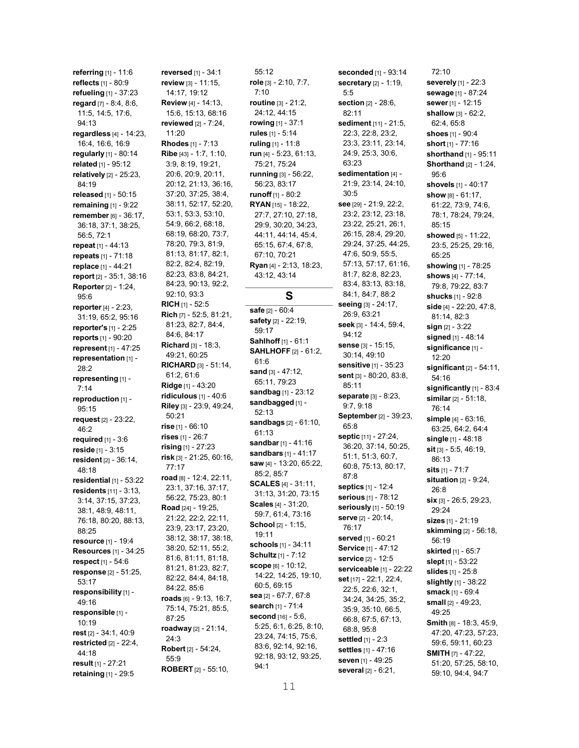referring [1] - 11:6 reflects [1] - 80:9 refueling [1] - 37:23 regard [7] - 8:4, 8:6, 11:5, 14:5, 17:6, 94:13 regardless [4] - 14:23, 16:4, 16:6, 16:9 regularly [1] - 80:14 related [1] - 95:12 relatively [2] - 25:23, 84:19 released [1] - 50:15 remaining [1] - 9:22 remember [6] - 36:17, 36:18, 37:1, 38:25, 56:5, 72:1 repeat [1] - 44:13 repeats [1] - 71:18 replace [1] - 44:21 report [2] - 35:1, 38:16 Reporter [2] - 1:24, 95:6 reporter [4] - 2:23, 31:19, 65:2, 95:16 reporter's [1] - 2:25 reports [1] - 90:20 represent [1] - 47:25 representation [1] - 28:2 representing [1] -7:14 reproduction [1] -95:15 request [2] - 23:22, 46:2 required [1] - 3:6 reside [1] - 3:15 resident [2] - 36:14, 48:18 residential  $[1]$  - 53:22 residents [11] - 3:13, 3:14, 37:15, 37:23, 38:1, 48:9, 48:11, 76:18, 80:20, 88:13, 88:25 resource [1] - 19:4 Resources [1] - 34:25 respect [1] - 54:6 response [2] - 51:25, 53:17 responsibility [1] - 49:16 responsible [1] -10:19 rest [2] - 34:1, 40:9 restricted [2] - 22:4, 44:18 result [1] - 27:21 retaining [1] - 29:5

reversed [1] - 34:1 review [3] - 11:15, 14:17, 19:12 Review [4] - 14:13, 15:6, 15:13, 68:16 reviewed [2] - 7:24, 11:20 Rhodes [1] - 7:13 Ribe [43] - 1:7, 1:10, 3:9, 8:19, 19:21, 20:6, 20:9, 20:11, 20:12, 21:13, 36:16, 37:20, 37:25, 38:4, 38:11, 52:17, 52:20, 53:1, 53:3, 53:10, 54:9, 66:2, 68:18, 68:19, 68:20, 73:7, 78:20, 79:3, 81:9, 81:13, 81:17, 82:1, 82:2, 82:4, 82:19, 82:23, 83:8, 84:21, 84:23, 90:13, 92:2, 92:10, 93:3 **RICH** [1] - 52:5 Rich [7] - 52:5, 81:21, 81:23, 82:7, 84:4, 84:6, 84:17 **Richard** [3] - 18:3, 49:21, 60:25 RICHARD [3] - 51:14, 61:2, 61:6 Ridge [1] - 43:20 ridiculous [1] - 40:6 Riley [3] - 23:9, 49:24, 50:21 rise [1] - 66:10 rises [1] - 26:7 rising [1] - 27:23 risk [3] - 21:25, 60:16, 77:17 road [8] - 12:4, 22:11, 23:1, 37:16, 37:17, 56:22, 75:23, 80:1 Road [24] - 19:25, 21:22, 22:2, 22:11, 23:9, 23:17, 23:20, 38:12, 38:17, 38:18, 38:20, 52:11, 55:2, 81:6, 81:11, 81:18, 81:21, 81:23, 82:7, 82:22, 84:4, 84:18, 84:22, 85:6 roads [6] - 9:13, 16:7, 75:14, 75:21, 85:5, 87:25 roadway [2] - 21:14, 24:3 Robert [2] - 54:24, 55:9

ROBERT [2] - 55:10,

55:12 role [3] - 2:10, 7:7, 7:10 routine [3] - 21:2, 24:12, 44:15 rowing [1] - 37:1 rules [1] - 5:14 ruling [1] - 11:8 run [4] - 5:23, 61:13, 75:21, 75:24 running [3] - 56:22, 56:23, 83:17 runoff [1] - 80:2 RYAN [15] - 18:22. 27:7, 27:10, 27:18, 29:9, 30:20, 34:23, 44:11, 44:14, 45:4, 65:15, 67:4, 67:8, 67:10, 70:21 Ryan [4] - 2:13, 18:23, 43:12, 43:14

# S

safe [2] - 60:4 safety [2] - 22:19, 59:17 Sahlhoff [1] - 61:1 SAHLHOFF [2] - 61:2, 61:6 sand [3] - 47:12, 65:11, 79:23 sandbag [1] - 23:12 sandbagged [1] -52:13 sandbags [2] - 61:10, 61:13 sandbar [1] - 41:16 sandbars [1] - 41:17 saw [4] - 13:20, 65:22, 85:2, 85:7 SCALES [4] - 31:11, 31:13, 31:20, 73:15 Scales [4] - 31:20, 59:7, 61:4, 73:16 School [2] - 1:15, 19:11 schools [1] - 34:11 Schultz [1] - 7:12 scope [6] - 10:12, 14:22, 14:25, 19:10, 60:5, 69:15 sea [2] - 67:7, 67:8 search [1] - 71:4 second [16] - 5:6, 5:25, 6:1, 6:25, 8:10, 23:24, 74:15, 75:6, 83:6, 92:14, 92:16, 92:18, 93:12, 93:25, 94:1

seconded [1] - 93:14 secretary  $[2] - 1:19$ , 5:5 section [2] - 28:6, 82:11 sediment [11] - 21:5, 22:3, 22:8, 23:2, 23:3, 23:11, 23:14, 24:9, 25:3, 30:6, 63:23 sedimentation [4] -21:9, 23:14, 24:10, 30:5 see [29] - 21:9, 22:2, 23:2, 23:12, 23:18, 23:22, 25:21, 26:1, 26:15, 28:4, 29:20, 29:24, 37:25, 44:25, 47:6, 50:9, 55:5, 57:13, 57:17, 61:16, 81:7, 82:8, 82:23, 83:4, 83:13, 83:18, 84:1, 84:7, 88:2 seeing [3] - 24:17, 26:9, 63:21 seek [3] - 14:4, 59:4, 94:12 sense [3] - 15:15, 30:14, 49:10 sensitive [1] - 35:23 sent [3] - 80:20, 83:8, 85:11 separate [3] - 8:23, 9:7, 9:18 September [2] - 39:23, 65:8 septic [11] - 27:24, 36:20, 37:14, 50:25, 51:1, 51:3, 60:7, 60:8, 75:13, 80:17, 87:8 septics [1] - 12:4 serious [1] - 78:12 seriously [1] - 50:19 serve [2] - 20:14, 76:17 served [1] - 60:21 Service [1] - 47:12 service [2] - 12:5 serviceable [1] - 22:22 set [17] - 22:1, 22:4, 22:5, 22:6, 32:1, 34:24, 34:25, 35:2, 35:9, 35:10, 66:5, 66:8, 67:5, 67:13, 68:8, 95:8 settled [1] - 2:3 settles [1] - 47:16 seven [1] - 49:25 several [2] - 6:21,

72:10 severely [1] - 22:3 sewage [1] - 87:24 sewer [1] - 12:15 shallow [3] - 62:2, 62:4, 65:8 shoes [1] - 90:4 short [1] - 77:16 shorthand [1] - 95:11 Shorthand [2] - 1:24, 95:6 shovels [1] - 40:17 show [8] - 61:17, 61:22, 73:9, 74:6, 78:1, 78:24, 79:24, 85:15 showed [5] - 11:22, 23:5, 25:25, 29:16, 65:25 showing [1] - 78:25 shows [4] - 77:14, 79:8, 79:22, 83:7 shucks [1] - 92:8 side [4] - 22:20, 47:8, 81:14, 82:3 sign [2] - 3:22 signed [1] - 48:14 significance [1] -12:20 significant [2] - 54:11, 54:16 significantly [1] - 83:4 similar [2] - 51:18, 76:14 simple [4] - 63:16, 63:25, 64:2, 64:4 single [1] - 48:18 sit [3] - 5:5, 46:19, 86:13 sits [1] - 71:7 situation [2] - 9:24, 26:8 six [3] - 26:5, 29:23, 29:24 sizes [1] - 21:19 skimming [2] - 56:18, 56:19 **skirted** [1] - 65:7 slept [1] - 53:22 slides [1] - 25:8 slightly [1] - 38:22 smack [1] - 69:4 small [2] - 49:23, 49:25 Smith [8] - 18:3, 45:9, 47:20, 47:23, 57:23, 59:6, 59:11, 60:23 SMITH [7] - 47:22, 51:20, 57:25, 58:10,

59:10, 94:4, 94:7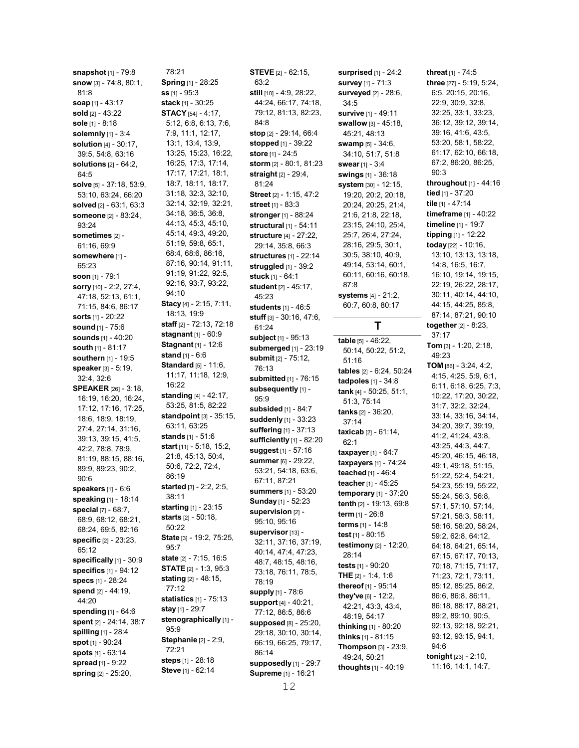snapshot [1] - 79:8 snow [3] - 74:8, 80:1, 81:8 soap [1] - 43:17 sold [2] - 43:22 sole [1] - 8:18 solemnly [1] - 3:4 solution [4] - 30:17, 39:5, 54:8, 63:16 solutions [2] - 64:2, 64:5 solve [5] - 37:18, 53:9, 53:10, 63:24, 66:20 solved [2] - 63:1, 63:3 someone [2] - 83:24, 93:24 sometimes [2] -61:16, 69:9 somewhere [1] -65:23 soon [1] - 79:1 sorry [10] - 2:2, 27:4, 47:18, 52:13, 61:1, 71:15, 84:6, 86:17 sorts [1] - 20:22 sound [1] - 75:6 sounds [1] - 40:20 south [1] - 81:17 southern [1] - 19:5 speaker [3] - 5:19, 32:4, 32:6 SPEAKER [26] - 3:18, 16:19, 16:20, 16:24, 17:12, 17:16, 17:25, 18:6, 18:9, 18:19, 27:4, 27:14, 31:16, 39:13, 39:15, 41:5, 42:2, 78:8, 78:9, 81:19, 88:15, 88:16, 89:9, 89:23, 90:2, 90:6 speakers [1] - 6:6 speaking [1] - 18:14 special [7] - 68:7, 68:9, 68:12, 68:21, 68:24, 69:5, 82:16 specific [2] - 23:23, 65:12 specifically [1] - 30:9 specifics [1] - 94:12 specs [1] - 28:24 spend [2] - 44:19, 44:20 spending [1] - 64:6 spent [2] - 24:14, 38:7 spilling [1] - 28:4 spot [1] - 90:24 spots [1] - 63:14 spread [1] - 9:22 spring  $[2] - 25:20$ ,

78:21 Spring [1] - 28:25 ss [1] - 95:3 stack [1] - 30:25 STACY [54] - 4:17, 5:12, 6:8, 6:13, 7:6, 7:9, 11:1, 12:17, 13:1, 13:4, 13:9, 13:25, 15:23, 16:22, 16:25, 17:3, 17:14, 17:17, 17:21, 18:1, 18:7, 18:11, 18:17, 31:18, 32:3, 32:10, 32:14, 32:19, 32:21, 34:18, 36:5, 36:8, 44:13, 45:3, 45:10, 45:14, 49:3, 49:20, 51:19, 59:8, 65:1, 68:4, 68:6, 86:16, 87:16, 90:14, 91:11, 91:19, 91:22, 92:5, 92:16, 93:7, 93:22, 94:10 Stacy [4] - 2:15, 7:11, 18:13, 19:9 staff [2] - 72:13, 72:18 stagnant [1] - 60:9 Stagnant [1] - 12:6 stand [1] - 6:6 Standard [5] - 11:6, 11:17, 11:18, 12:9, 16:22 standing [4] - 42:17, 53:25, 81:5, 82:22 standpoint [3] - 35:15, 63:11, 63:25 stands [1] - 51:6 start [11] - 5:18, 15:2, 21:8, 45:13, 50:4, 50:6, 72:2, 72:4, 86:19 started [3] - 2:2, 2:5, 38:11 starting [1] - 23:15 starts [2] - 50:18, 50:22 State [3] - 19:2, 75:25, 95:7 state [2] - 7:15, 16:5 **STATE** [2] - 1:3, 95:3 stating [2] - 48:15, 77:12 statistics [1] - 75:13 stay [1] - 29:7 stenographically [1] -95:9 Stephanie [2] - 2:9, 72:21 steps [1] - 28:18 Steve [1] - 62:14

63:2 still [10] - 4:9, 28:22, 44:24, 66:17, 74:18, 79:12, 81:13, 82:23, 84:8 stop [2] - 29:14, 66:4 stopped [1] - 39:22 store [1] - 24:5 storm [2] - 80:1, 81:23 straight [2] - 29:4, 81:24 Street [2] - 1:15, 47:2 **street** [1] - 83:3 stronger [1] - 88:24 structural [1] - 54:11 structure [4] - 27:22, 29:14, 35:8, 66:3 structures [1] - 22:14 struggled [1] - 39:2 stuck [1] - 64:1 student [2] - 45:17, 45:23 students [1] - 46:5 stuff [3] - 30:16, 47:6, 61:24 subject [1] - 95:13 submerged [1] - 23:19 submit [2] - 75:12, 76:13 submitted [1] - 76:15 subsequently [1] -95:9 subsided [1] - 84:7 suddenly [1] - 33:23 suffering [1] - 37:13 sufficiently [1] - 82:20 suggest [1] - 57:16 summer [6] - 29:22, 53:21, 54:18, 63:6, 67:11, 87:21 summers [1] - 53:20 Sunday [1] - 52:23 supervision [2] -95:10, 95:16 supervisor [13] -32:11, 37:16, 37:19, 40:14, 47:4, 47:23, 48:7, 48:15, 48:16, 73:18, 76:11, 78:5, 78:19 supply [1] - 78:6 support [4] - 40:21, 77:12, 86:5, 86:6 supposed [8] - 25:20, 29:18, 30:10, 30:14, 66:19, 66:25, 79:17, 86:14 supposedly [1] - 29:7 Supreme [1] - 16:21

**STEVE** [2] - 62:15,

surprised [1] - 24:2 **survey** [1] - 71:3 surveyed [2] - 28:6, 34:5 survive [1] - 49:11 swallow [3] - 45:18, 45:21, 48:13 swamp [5] - 34:6, 34:10, 51:7, 51:8 swear [1] - 3:4 swings [1] - 36:18 **system** [30] - 12:15, 19:20, 20:2, 20:18, 20:24, 20:25, 21:4, 21:6, 21:8, 22:18, 23:15, 24:10, 25:4, 25:7, 26:4, 27:24, 28:16, 29:5, 30:1, 30:5, 38:10, 40:9, 49:14, 53:14, 60:1, 60:11, 60:16, 60:18, 87:8 systems [4] - 21:2, 60:7, 60:8, 80:17 T table  $\overline{[5] - 46.22}$ , 50:14, 50:22, 51:2, 51:16 tables [2] - 6:24, 50:24 tadpoles [1] - 34:8 tank [4] - 50:25, 51:1, 51:3, 75:14 tanks [2] - 36:20, 37:14 taxicab [2] - 61:14,  $62.1$ taxpayer [1] - 64:7 taxpayers [1] - 74:24 teached [1] - 46:4 teacher [1] - 45:25 temporary [1] - 37:20 tenth [2] - 19:13, 69:8 term [1] - 26:8 terms [1] - 14:8 test [1] - 80:15

testimony [2] - 12:20,

28:14 tests [1] - 90:20 THE [2] - 1:4, 1:6 thereof [1] - 95:14 they've [6] - 12:2, 42:21, 43:3, 43:4, 48:19, 54:17 thinking [1] - 80:20 thinks [1] - 81:15 Thompson [3] - 23:9, 49:24, 50:21 thoughts [1] - 40:19

three [27] - 5:19, 5:24, 6:5, 20:15, 20:16, 22:9, 30:9, 32:8, 32:25, 33:1, 33:23, 36:12, 39:12, 39:14, 39:16, 41:6, 43:5, 53:20, 58:1, 58:22, 61:17, 62:10, 66:18, 67:2, 86:20, 86:25, 90:3 throughout [1] - 44:16 tied [1] - 37:20 tile [1] - 47:14 timeframe [1] - 40:22 timeline [1] - 19:7 tipping [1] - 12:22 today [22] - 10:16, 13:10, 13:13, 13:18, 14:8, 16:5, 16:7, 16:10, 19:14, 19:15, 22:19, 26:22, 28:17, 30:11, 40:14, 44:10, 44:15, 44:25, 85:8, 87:14, 87:21, 90:10 together [2] - 8:23, 37:17 Tom [3] - 1:20, 2:18, 49:23 TOM [86] - 3:24, 4:2, 4:15, 4:25, 5:9, 6:1, 6:11, 6:18, 6:25, 7:3, 10:22, 17:20, 30:22, 31:7, 32:2, 32:24, 33:14, 33:16, 34:14, 34:20, 39:7, 39:19, 41:2, 41:24, 43:8, 43:25, 44:3, 44:7, 45:20, 46:15, 46:18, 49:1, 49:18, 51:15, 51:22, 52:4, 54:21, 54:23, 55:19, 55:22, 55:24, 56:3, 56:8, 57:1, 57:10, 57:14, 57:21, 58:3, 58:11, 58:16, 58:20, 58:24, 59:2, 62:8, 64:12, 64:18, 64:21, 65:14, 67:15, 67:17, 70:13, 70:18, 71:15, 71:17, 71:23, 72:1, 73:11, 85:12, 85:25, 86:2, 86:6, 86:8, 86:11, 86:18, 88:17, 88:21, 89:2, 89:10, 90:5, 92:13, 92:18, 92:21, 93:12, 93:15, 94:1, 94:6 tonight [23] - 2:10, 11:16, 14:1, 14:7,

threat [1] - 74:5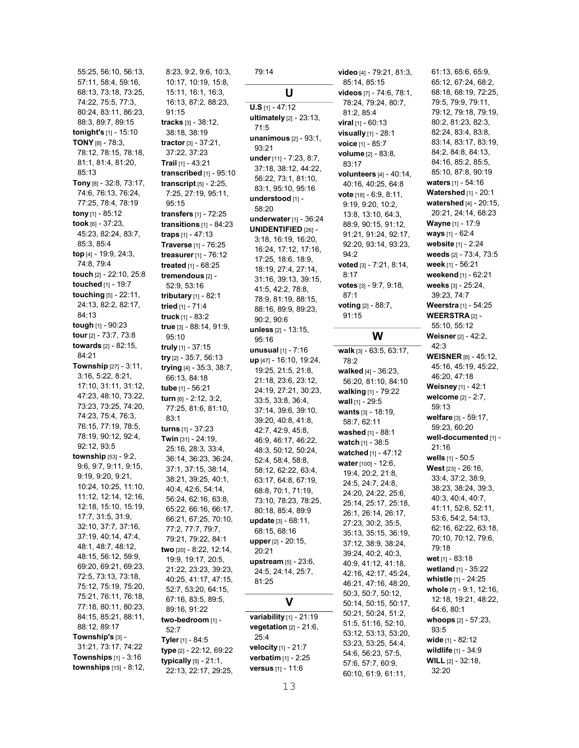55:25, 56:10, 56:13, 57:11, 58:4, 59:16, 68:13, 73:18, 73:25, 74:22, 75:5, 77:3, 80:24, 83:11, 86:23, 88:3, 89:7, 89:15 tonight's [1] - 15:10 TONY [8] - 78:3, 78:12, 78:15, 78:18, 81:1, 81:4, 81:20, 85:13 Tony [8] - 32:8, 73:17, 74:6, 76:13, 76:24, 77:25, 78:4, 78:19 tony [1] - 85:12 took [6] - 37:23, 45:23, 82:24, 83:7, 85:3, 85:4 top [4] - 19:9, 24:3, 74:8, 79:4 touch [2] - 22:10, 25:8 touched [1] - 19:7 touching [5] - 22:11, 24:13, 82:2, 82:17, 84:13 tough [1] - 90:23 tour [2] - 73:7, 73:8 towards [2] - 82:15, 84:21 Township [27] - 3:11, 3:16, 5:22, 8:21, 17:10, 31:11, 31:12, 47:23, 48:10, 73:22, 73:23, 73:25, 74:20, 74:23, 75:4, 76:3, 76:15, 77:19, 78:5, 78:19, 90:12, 92:4, 92:12, 93:5 township [53] - 9:2, 9:6, 9:7, 9:11, 9:15, 9:19, 9:20, 9:21, 10:24, 10:25, 11:10, 11:12, 12:14, 12:16, 12:18, 15:10, 15:19, 17:7, 31:5, 31:9, 32:10, 37:7, 37:16, 37:19, 40:14, 47:4, 48:1, 48:7, 48:12, 48:15, 56:12, 59:9, 69:20, 69:21, 69:23, 72:5, 73:13, 73:18, 75:12, 75:19, 75:20, 75:21, 76:11, 76:18, 77:18, 80:11, 80:23, 84:15, 85:21, 88:11, 88:12, 89:17 Township's [3] - 31:21, 73:17, 74:22 Townships  $[1]$  -  $3:16$ townships [15] - 8:12,

8:23, 9:2, 9:6, 10:3, 10:17, 10:19, 15:8, 15:11, 16:1, 16:3, 16:13, 87:2, 88:23, 91:15 tracks [3] - 38:12, 38:18, 38:19 tractor [3] - 37:21, 37:22, 37:23 Trail [1] - 43:21 transcribed [1] - 95:10 transcript [5] - 2:25, 7:25, 27:19, 95:11, 95:15 transfers [1] - 72:25 transitions [1] - 84:23 traps [1] - 47:13 Traverse [1] - 76:25 treasurer [1] - 76:12 treated [1] - 68:25 tremendous [2] - 52:9, 53:16 tributary [1] - 82:1 tried [1] - 71:4 truck [1] - 83:2 true [3] - 88:14, 91:9, 95:10 truly [1] - 37:15 try [2] - 35:7, 56:13 trying [4] - 35:3, 38:7, 66:13, 84:18 tube [1] - 56:21 turn [6] - 2:12, 3:2, 77:25, 81:6, 81:10, 83:1 turns [1] - 37:23 Twin [31] - 24:19, 25:16, 28:3, 33:4, 36:14, 36:23, 36:24, 37:1, 37:15, 38:14, 38:21, 39:25, 40:1, 40:4, 42:6, 54:14, 56:24, 62:16, 63:8, 65:22, 66:16, 66:17, 66:21, 67:25, 70:10, 77:2, 77:7, 79:7, 79:21, 79:22, 84:1 two [20] - 8:22, 12:14, 19:9, 19:17, 20:5, 21:22, 23:23, 39:23, 40:25, 41:17, 47:15, 52:7, 53:20, 64:15, 67:16, 83:5, 89:5, 89:16, 91:22 two-bedroom [1] - 52:7 Tyler [1] - 84:5 type [2] - 22:12, 69:22 typically [5] - 21:1, 22:13, 22:17, 29:25,

79:14 U U.S [1] - 47:12 ultimately [2] - 23:13, 71:5 unanimous [2] - 93:1, 93:21 under [11] - 7:23, 8:7, 37:18, 38:12, 44:22, 56:22, 73:1, 81:10, 83:1, 95:10, 95:16 understood [1] -58:20 underwater [1] - 36:24 UNIDENTIFIED [26] - 3:18, 16:19, 16:20, 16:24, 17:12, 17:16, 17:25, 18:6, 18:9, 18:19, 27:4, 27:14, 31:16, 39:13, 39:15, 41:5, 42:2, 78:8, 78:9, 81:19, 88:15, 88:16, 89:9, 89:23, 90:2, 90:6 unless [2] - 13:15, 95:16 **unusual**  $[1] - 7:16$ up [47] - 16:10, 19:24, 19:25, 21:5, 21:8, 21:18, 23:6, 23:12, 24:19, 27:21, 30:23, 33:5, 33:8, 36:4, 37:14, 39:6, 39:10, 39:20, 40:8, 41:8, 42:7, 42:9, 45:8, 46:9, 46:17, 46:22, 48:3, 50:12, 50:24, 52:4, 58:4, 58:8, 58:12, 62:22, 63:4, 63:17, 64:8, 67:19, 68:8, 70:1, 71:19, 73:10, 78:23, 78:25, 80:18, 85:4, 89:9 update [3] - 68:11, 68:15, 68:16 upper [2] - 20:15, 20:21 upstream [5] - 23:6, 24:5, 24:14, 25:7, 81:25 V variability [1] - 21:19 vegetation [2] - 21:6, 25:4 velocity [1] - 21:7 verbatim [1] - 2:25 versus [1] - 11:6

video [4] - 79:21, 81:3, 85:14, 85:15 videos [7] - 74:6, 78:1, 78:24, 79:24, 80:7, 81:2, 85:4 viral [1] - 60:13 visually [1] - 28:1 voice [1] - 85:7 volume [2] - 83:8, 83:17 volunteers [4] - 40:14, 40:16, 40:25, 64:8 vote [18] - 6:9, 8:11, 9:19, 9:20, 10:2, 13:8, 13:10, 64:3, 88:9, 90:15, 91:12, 91:21, 91:24, 92:17, 92:20, 93:14, 93:23, 94:2 voted [3] - 7:21, 8:14, 8:17 votes [3] - 9:7, 9:18, 87:1 voting [2] - 88:7, 91:15 W walk [3] - 63:5, 63:17, 78:2 walked [4] - 36:23, 56:20, 81:10, 84:10 walking [1] - 79:22 wall [1] - 29:5 wants [3] - 18:19, 58:7, 62:11 washed [1] - 88:1

**watch**  $[1]$  - 38:5 watched [1] - 47:12 water [100] - 12:6, 19:4, 20:2, 21:8, 24:5, 24:7, 24:8, 24:20, 24:22, 25:6, 25:14, 25:17, 25:18, 26:1, 26:14, 26:17, 27:23, 30:2, 35:5, 35:13, 35:15, 36:19, 37:12, 38:9, 38:24, 39:24, 40:2, 40:3, 40:9, 41:12, 41:18, 42:16, 42:17, 45:24, 46:21, 47:16, 48:20, 50:3, 50:7, 50:12, 50:14, 50:15, 50:17, 50:21, 50:24, 51:2, 51:5, 51:16, 52:10, 53:12, 53:13, 53:20, 53:23, 53:25, 54:4, 54:6, 56:23, 57:5, 57:6, 57:7, 60:9, 60:10, 61:9, 61:11,

68:18, 68:19, 72:25, 79:5, 79:9, 79:11, 79:12, 79:18, 79:19, 80:2, 81:23, 82:3, 82:24, 83:4, 83:8, 83:14, 83:17, 83:19, 84:2, 84:8, 84:13, 84:16, 85:2, 85:5, 85:10, 87:8, 90:19 waters [1] - 54:16 **Watershed** [1] - 20:1 watershed [4] - 20:15, 20:21, 24:14, 68:23 Wayne [1] - 17:9 ways [1] - 62:4 website [1] - 2:24 weeds [2] - 73:4, 73:5 week [1] - 56:21 weekend [1] - 62:21 weeks [3] - 25:24, 39:23, 74:7 Weerstra [1] - 54:25 WEERSTRA [2] -55:10, 55:12 Weisner [2] - 42:2, 42:3 WEISNER [6] - 45:12, 45:16, 45:19, 45:22, 46:20, 47:18 **Weisney** [1] - 42:1 welcome [2] - 2:7, 59:13 welfare [3] - 59:17, 59:23, 60:20 well-documented [1] -21:16 wells [1] - 50:5 West [23] - 26:16, 33:4, 37:2, 38:9, 38:23, 38:24, 39:3, 40:3, 40:4, 40:7, 41:11, 52:6, 52:11, 53:6, 54:2, 54:13, 62:16, 62:22, 63:18, 70:10, 70:12, 79:6, 79:18 wet [1] - 83:18 wetland [1] - 35:22 whistle [1] - 24:25 whole [7] - 9:1, 12:16, 12:18, 19:21, 48:22, 64:6, 80:1 whoops [2] - 57:23, 93:5 wide [1] - 82:12 wildlife [1] - 34:9 WILL [2] - 32:18, 32:20

61:13, 65:6, 65:9, 65:12, 67:24, 68:2,